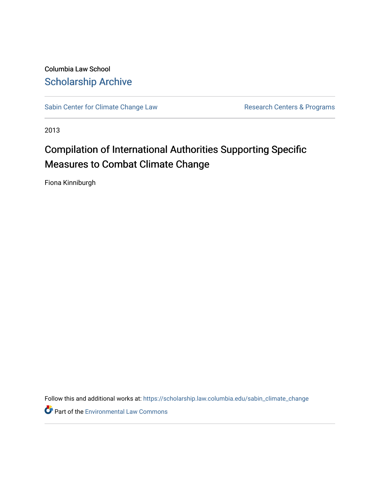Columbia Law School [Scholarship Archive](https://scholarship.law.columbia.edu/) 

[Sabin Center for Climate Change Law](https://scholarship.law.columbia.edu/sabin_climate_change) Research Centers & Programs

2013

# Compilation of International Authorities Supporting Specific Measures to Combat Climate Change

Fiona Kinniburgh

Follow this and additional works at: [https://scholarship.law.columbia.edu/sabin\\_climate\\_change](https://scholarship.law.columbia.edu/sabin_climate_change?utm_source=scholarship.law.columbia.edu%2Fsabin_climate_change%2F150&utm_medium=PDF&utm_campaign=PDFCoverPages) 

**Part of the [Environmental Law Commons](http://network.bepress.com/hgg/discipline/599?utm_source=scholarship.law.columbia.edu%2Fsabin_climate_change%2F150&utm_medium=PDF&utm_campaign=PDFCoverPages)**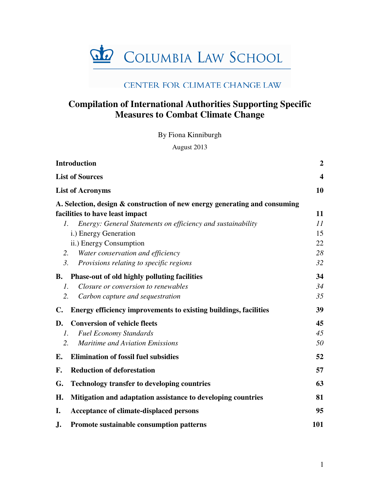

# CENTER FOR CLIMATE CHANGE LAW

# **Compilation of International Authorities Supporting Specific Measures to Combat Climate Change**

By Fiona Kinniburgh

August 2013

| <b>Introduction</b>                                                                | $\boldsymbol{2}$ |
|------------------------------------------------------------------------------------|------------------|
| <b>List of Sources</b>                                                             | $\boldsymbol{4}$ |
| <b>List of Acronyms</b>                                                            |                  |
| A. Selection, design & construction of new energy generating and consuming         |                  |
| facilities to have least impact                                                    | 11               |
| Energy: General Statements on efficiency and sustainability<br>1.                  | 11               |
| i.) Energy Generation                                                              | 15               |
| ii.) Energy Consumption                                                            | 22               |
| Water conservation and efficiency<br>2.                                            | 28               |
| $\mathfrak{Z}$ .<br>Provisions relating to specific regions                        | 32               |
| Phase-out of old highly polluting facilities<br><b>B.</b>                          | 34               |
| Closure or conversion to renewables<br>1.                                          | 34               |
| 2.<br>Carbon capture and sequestration                                             | 35               |
| Energy efficiency improvements to existing buildings, facilities<br>$\mathbf{C}$ . | 39               |
| <b>Conversion of vehicle fleets</b><br>D.                                          | 45               |
| <b>Fuel Economy Standards</b><br>1.                                                | 45               |
| <b>Maritime and Aviation Emissions</b><br>2.                                       | 50               |
| <b>Elimination of fossil fuel subsidies</b><br>Е.                                  | 52               |
| <b>Reduction of deforestation</b><br>F.                                            | 57               |
| G.<br><b>Technology transfer to developing countries</b>                           | 63               |
| Н.<br>Mitigation and adaptation assistance to developing countries                 | 81               |
| Acceptance of climate-displaced persons<br>I.                                      | 95               |
| Promote sustainable consumption patterns<br>J.                                     | 101              |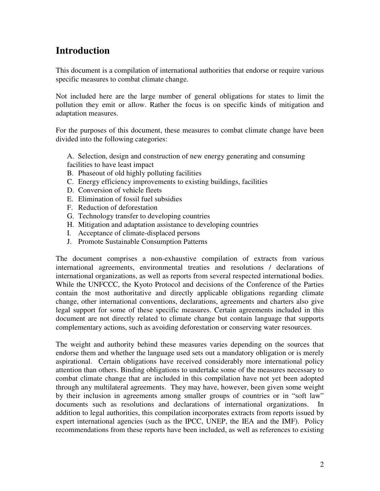# **Introduction**

This document is a compilation of international authorities that endorse or require various specific measures to combat climate change.

Not included here are the large number of general obligations for states to limit the pollution they emit or allow. Rather the focus is on specific kinds of mitigation and adaptation measures.

For the purposes of this document, these measures to combat climate change have been divided into the following categories:

A. Selection, design and construction of new energy generating and consuming facilities to have least impact

- B. Phaseout of old highly polluting facilities
- C. Energy efficiency improvements to existing buildings, facilities
- D. Conversion of vehicle fleets
- E. Elimination of fossil fuel subsidies
- F. Reduction of deforestation
- G. Technology transfer to developing countries
- H. Mitigation and adaptation assistance to developing countries
- I. Acceptance of climate-displaced persons
- J. Promote Sustainable Consumption Patterns

The document comprises a non-exhaustive compilation of extracts from various international agreements, environmental treaties and resolutions / declarations of international organizations, as well as reports from several respected international bodies. While the UNFCCC, the Kyoto Protocol and decisions of the Conference of the Parties contain the most authoritative and directly applicable obligations regarding climate change, other international conventions, declarations, agreements and charters also give legal support for some of these specific measures. Certain agreements included in this document are not directly related to climate change but contain language that supports complementary actions, such as avoiding deforestation or conserving water resources.

The weight and authority behind these measures varies depending on the sources that endorse them and whether the language used sets out a mandatory obligation or is merely aspirational. Certain obligations have received considerably more international policy attention than others. Binding obligations to undertake some of the measures necessary to combat climate change that are included in this compilation have not yet been adopted through any multilateral agreements. They may have, however, been given some weight by their inclusion in agreements among smaller groups of countries or in "soft law" documents such as resolutions and declarations of international organizations. In addition to legal authorities, this compilation incorporates extracts from reports issued by expert international agencies (such as the IPCC, UNEP, the IEA and the IMF). Policy recommendations from these reports have been included, as well as references to existing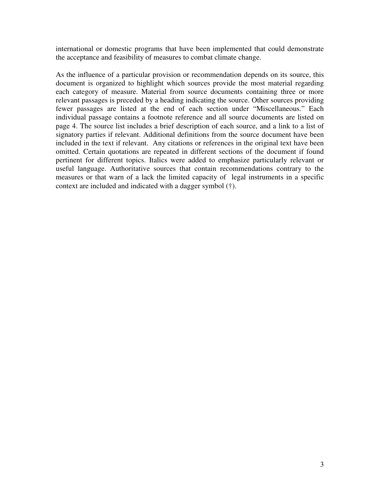international or domestic programs that have been implemented that could demonstrate the acceptance and feasibility of measures to combat climate change.

As the influence of a particular provision or recommendation depends on its source, this document is organized to highlight which sources provide the most material regarding each category of measure. Material from source documents containing three or more relevant passages is preceded by a heading indicating the source. Other sources providing fewer passages are listed at the end of each section under "Miscellaneous." Each individual passage contains a footnote reference and all source documents are listed on page 4. The source list includes a brief description of each source, and a link to a list of signatory parties if relevant. Additional definitions from the source document have been included in the text if relevant. Any citations or references in the original text have been omitted. Certain quotations are repeated in different sections of the document if found pertinent for different topics. Italics were added to emphasize particularly relevant or useful language. Authoritative sources that contain recommendations contrary to the measures or that warn of a lack the limited capacity of legal instruments in a specific context are included and indicated with a dagger symbol (†).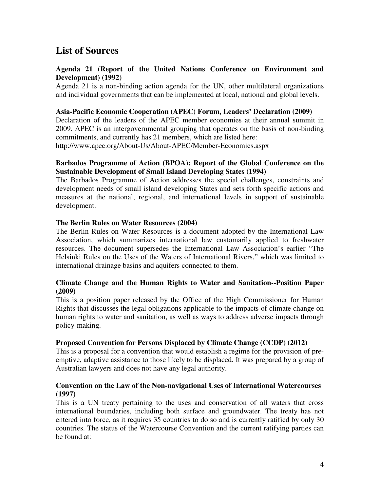# **List of Sources**

### **Agenda 21 (Report of the United Nations Conference on Environment and Development) (1992)**

Agenda 21 is a non-binding action agenda for the UN, other multilateral organizations and individual governments that can be implemented at local, national and global levels.

### **Asia-Pacific Economic Cooperation (APEC) Forum, Leaders' Declaration (2009)**

Declaration of the leaders of the APEC member economies at their annual summit in 2009. APEC is an intergovernmental grouping that operates on the basis of non-binding commitments, and currently has 21 members, which are listed here: http://www.apec.org/About-Us/About-APEC/Member-Economies.aspx

### **Barbados Programme of Action (BPOA): Report of the Global Conference on the Sustainable Development of Small Island Developing States (1994)**

The Barbados Programme of Action addresses the special challenges, constraints and development needs of small island developing States and sets forth specific actions and measures at the national, regional, and international levels in support of sustainable development.

### **The Berlin Rules on Water Resources (2004)**

The Berlin Rules on Water Resources is a document adopted by the International Law Association, which summarizes international law customarily applied to freshwater resources. The document supersedes the International Law Association's earlier "The Helsinki Rules on the Uses of the Waters of International Rivers," which was limited to international drainage basins and aquifers connected to them.

### **Climate Change and the Human Rights to Water and Sanitation--Position Paper (2009)**

This is a position paper released by the Office of the High Commissioner for Human Rights that discusses the legal obligations applicable to the impacts of climate change on human rights to water and sanitation, as well as ways to address adverse impacts through policy-making.

#### **Proposed Convention for Persons Displaced by Climate Change (CCDP) (2012)**

This is a proposal for a convention that would establish a regime for the provision of preemptive, adaptive assistance to those likely to be displaced. It was prepared by a group of Australian lawyers and does not have any legal authority.

### **Convention on the Law of the Non-navigational Uses of International Watercourses (1997)**

This is a UN treaty pertaining to the uses and conservation of all waters that cross international boundaries, including both surface and groundwater. The treaty has not entered into force, as it requires 35 countries to do so and is currently ratified by only 30 countries. The status of the Watercourse Convention and the current ratifying parties can be found at: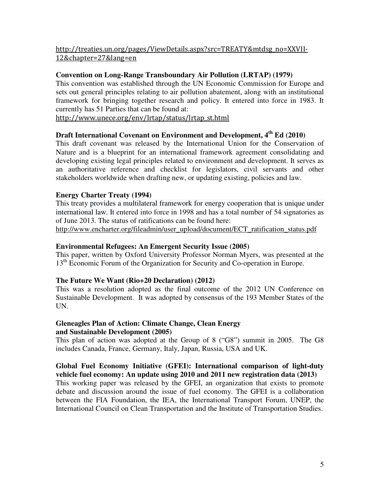# http://treaties.un.org/pages/ViewDetails.aspx?src=TREATY&mtdsg\_no=XXVII-12&chapter=27&lang=en

# **Convention on Long-Range Transboundary Air Pollution (LRTAP) (1979)**

This convention was established through the UN Economic Commission for Europe and sets out general principles relating to air pollution abatement, along with an institutional framework for bringing together research and policy. It entered into force in 1983. It currently has 51 Parties that can be found at:

http://www.unece.org/env/lrtap/status/lrtap\_st.html

# **Draft International Covenant on Environment and Development, 4th Ed (2010)**

This draft covenant was released by the International Union for the Conservation of Nature and is a blueprint for an international framework agreement consolidating and developing existing legal principles related to environment and development. It serves as an authoritative reference and checklist for legislators, civil servants and other stakeholders worldwide when drafting new, or updating existing, policies and law.

# **Energy Charter Treaty (1994)**

This treaty provides a multilateral framework for energy cooperation that is unique under international law. It entered into force in 1998 and has a total number of 54 signatories as of June 2013. The status of ratifications can be found here:

http://www.encharter.org/fileadmin/user\_upload/document/ECT\_ratification\_status.pdf

# **Environmental Refugees: An Emergent Security Issue (2005)**

This paper, written by Oxford University Professor Norman Myers, was presented at the 13<sup>th</sup> Economic Forum of the Organization for Security and Co-operation in Europe.

# **The Future We Want (Rio+20 Declaration) (2012)**

This was a resolution adopted as the final outcome of the 2012 UN Conference on Sustainable Development. It was adopted by consensus of the 193 Member States of the UN.

# **Gleneagles Plan of Action: Climate Change, Clean Energy and Sustainable Development (2005)**

This plan of action was adopted at the Group of 8 ("G8") summit in 2005. The G8 includes Canada, France, Germany, Italy, Japan, Russia, USA and UK.

# **Global Fuel Economy Initiative (GFEI): International comparison of light-duty vehicle fuel economy: An update using 2010 and 2011 new registration data (2013)**

This working paper was released by the GFEI, an organization that exists to promote debate and discussion around the issue of fuel economy. The GFEI is a collaboration between the FIA Foundation, the IEA, the International Transport Forum, UNEP, the International Council on Clean Transportation and the Institute of Transportation Studies.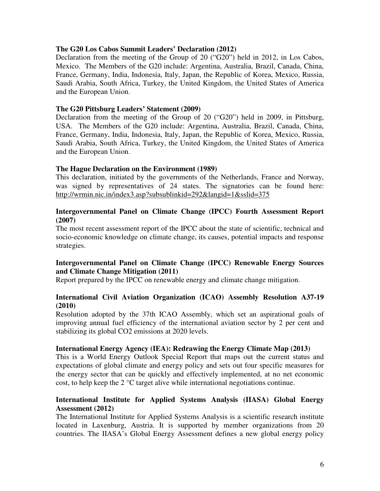### **The G20 Los Cabos Summit Leaders' Declaration (2012)**

Declaration from the meeting of the Group of 20 ("G20") held in 2012, in Los Cabos, Mexico. The Members of the G20 include: Argentina, Australia, Brazil, Canada, China, France, Germany, India, Indonesia, Italy, Japan, the Republic of Korea, Mexico, Russia, Saudi Arabia, South Africa, Turkey, the United Kingdom, the United States of America and the European Union.

### **The G20 Pittsburg Leaders' Statement (2009)**

Declaration from the meeting of the Group of 20 ("G20") held in 2009, in Pittsburg, USA. The Members of the G20 include: Argentina, Australia, Brazil, Canada, China, France, Germany, India, Indonesia, Italy, Japan, the Republic of Korea, Mexico, Russia, Saudi Arabia, South Africa, Turkey, the United Kingdom, the United States of America and the European Union.

### **The Hague Declaration on the Environment (1989)**

This declaration, initiated by the governments of the Netherlands, France and Norway, was signed by representatives of 24 states. The signatories can be found here: http://wrmin.nic.in/index3.asp?subsublinkid=292&langid=1&sslid=375

## **Intergovernmental Panel on Climate Change (IPCC) Fourth Assessment Report (2007)**

The most recent assessment report of the IPCC about the state of scientific, technical and socio-economic knowledge on climate change, its causes, potential impacts and response strategies.

# **Intergovernmental Panel on Climate Change (IPCC) Renewable Energy Sources and Climate Change Mitigation (2011)**

Report prepared by the IPCC on renewable energy and climate change mitigation.

# **International Civil Aviation Organization (ICAO) Assembly Resolution A37-19 (2010)**

Resolution adopted by the 37th ICAO Assembly, which set an aspirational goals of improving annual fuel efficiency of the international aviation sector by 2 per cent and stabilizing its global CO2 emissions at 2020 levels.

#### **International Energy Agency (IEA): Redrawing the Energy Climate Map (2013)**

This is a World Energy Outlook Special Report that maps out the current status and expectations of global climate and energy policy and sets out four specific measures for the energy sector that can be quickly and effectively implemented, at no net economic cost, to help keep the 2 °C target alive while international negotiations continue.

# **International Institute for Applied Systems Analysis (IIASA) Global Energy Assessment (2012)**

The International Institute for Applied Systems Analysis is a scientific research institute located in Laxenburg, Austria. It is supported by member organizations from 20 countries. The IIASA's Global Energy Assessment defines a new global energy policy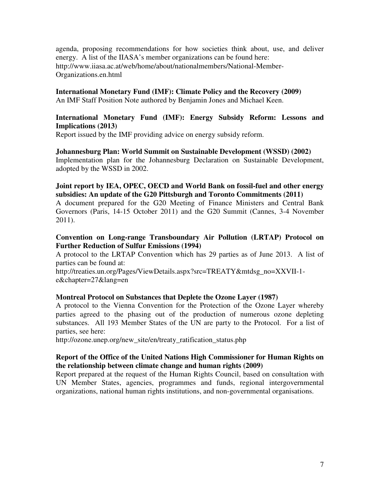agenda, proposing recommendations for how societies think about, use, and deliver energy. A list of the IIASA's member organizations can be found here: http://www.iiasa.ac.at/web/home/about/nationalmembers/National-Member-Organizations.en.html

# **International Monetary Fund (IMF): Climate Policy and the Recovery (2009)**

An IMF Staff Position Note authored by Benjamin Jones and Michael Keen.

## **International Monetary Fund (IMF): Energy Subsidy Reform: Lessons and Implications (2013)**

Report issued by the IMF providing advice on energy subsidy reform.

### **Johannesburg Plan: World Summit on Sustainable Development (WSSD) (2002)**

Implementation plan for the Johannesburg Declaration on Sustainable Development, adopted by the WSSD in 2002.

## **Joint report by IEA, OPEC, OECD and World Bank on fossil-fuel and other energy subsidies: An update of the G20 Pittsburgh and Toronto Commitments (2011)**

A document prepared for the G20 Meeting of Finance Ministers and Central Bank Governors (Paris, 14-15 October 2011) and the G20 Summit (Cannes, 3-4 November 2011).

# **Convention on Long-range Transboundary Air Pollution (LRTAP) Protocol on Further Reduction of Sulfur Emissions (1994)**

A protocol to the LRTAP Convention which has 29 parties as of June 2013. A list of parties can be found at:

http://treaties.un.org/Pages/ViewDetails.aspx?src=TREATY&mtdsg\_no=XXVII-1 e&chapter=27&lang=en

## **Montreal Protocol on Substances that Deplete the Ozone Layer (1987)**

A protocol to the Vienna Convention for the Protection of the Ozone Layer whereby parties agreed to the phasing out of the production of numerous ozone depleting substances. All 193 Member States of the UN are party to the Protocol. For a list of parties, see here:

http://ozone.unep.org/new\_site/en/treaty\_ratification\_status.php

# **Report of the Office of the United Nations High Commissioner for Human Rights on the relationship between climate change and human rights (2009)**

Report prepared at the request of the Human Rights Council, based on consultation with UN Member States, agencies, programmes and funds, regional intergovernmental organizations, national human rights institutions, and non-governmental organisations.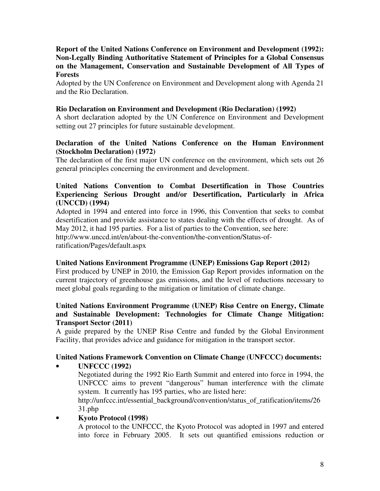# **Report of the United Nations Conference on Environment and Development (1992): Non-Legally Binding Authoritative Statement of Principles for a Global Consensus on the Management, Conservation and Sustainable Development of All Types of Forests**

Adopted by the UN Conference on Environment and Development along with Agenda 21 and the Rio Declaration.

# **Rio Declaration on Environment and Development (Rio Declaration) (1992)**

A short declaration adopted by the UN Conference on Environment and Development setting out 27 principles for future sustainable development.

## **Declaration of the United Nations Conference on the Human Environment (Stockholm Declaration) (1972)**

The declaration of the first major UN conference on the environment, which sets out 26 general principles concerning the environment and development.

# **United Nations Convention to Combat Desertification in Those Countries Experiencing Serious Drought and/or Desertification, Particularly in Africa (UNCCD) (1994)**

Adopted in 1994 and entered into force in 1996, this Convention that seeks to combat desertification and provide assistance to states dealing with the effects of drought. As of May 2012, it had 195 parties. For a list of parties to the Convention, see here: http://www.unccd.int/en/about-the-convention/the-convention/Status-ofratification/Pages/default.aspx

### **United Nations Environment Programme (UNEP) Emissions Gap Report (2012)**

First produced by UNEP in 2010, the Emission Gap Report provides information on the current trajectory of greenhouse gas emissions, and the level of reductions necessary to meet global goals regarding to the mitigation or limitation of climate change.

# **United Nations Environment Programme (UNEP) Risø Centre on Energy, Climate and Sustainable Development: Technologies for Climate Change Mitigation: Transport Sector (2011)**

A guide prepared by the UNEP Risø Centre and funded by the Global Environment Facility, that provides advice and guidance for mitigation in the transport sector.

# **United Nations Framework Convention on Climate Change (UNFCCC) documents:**

• **UNFCCC (1992)** 

Negotiated during the 1992 Rio Earth Summit and entered into force in 1994, the UNFCCC aims to prevent "dangerous" human interference with the climate system. It currently has 195 parties, who are listed here:

http://unfccc.int/essential\_background/convention/status\_of\_ratification/items/26 31.php

# • **Kyoto Protocol (1998)**

A protocol to the UNFCCC, the Kyoto Protocol was adopted in 1997 and entered into force in February 2005. It sets out quantified emissions reduction or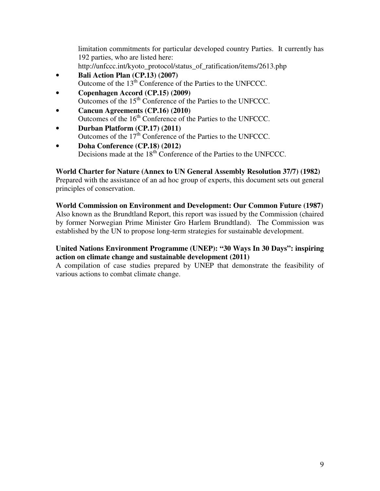limitation commitments for particular developed country Parties. It currently has 192 parties, who are listed here:

http://unfccc.int/kyoto\_protocol/status\_of\_ratification/items/2613.php

- **Bali Action Plan (CP.13) (2007)**  Outcome of the 13<sup>th</sup> Conference of the Parties to the UNFCCC.
- **Copenhagen Accord (CP.15) (2009)**  Outcomes of the 15<sup>th</sup> Conference of the Parties to the UNFCCC.
- **Cancun Agreements (CP.16) (2010)**  Outcomes of the 16<sup>th</sup> Conference of the Parties to the UNFCCC.
- **Durban Platform (CP.17) (2011)**  Outcomes of the 17<sup>th</sup> Conference of the Parties to the UNFCCC.
- **Doha Conference (CP.18) (2012)**  Decisions made at the 18<sup>th</sup> Conference of the Parties to the UNFCCC.

# **World Charter for Nature (Annex to UN General Assembly Resolution 37/7) (1982)**

Prepared with the assistance of an ad hoc group of experts, this document sets out general principles of conservation.

# **World Commission on Environment and Development: Our Common Future (1987)**

Also known as the Brundtland Report, this report was issued by the Commission (chaired by former Norwegian Prime Minister Gro Harlem Brundtland). The Commission was established by the UN to propose long-term strategies for sustainable development.

# **United Nations Environment Programme (UNEP): "30 Ways In 30 Days": inspiring action on climate change and sustainable development (2011)**

A compilation of case studies prepared by UNEP that demonstrate the feasibility of various actions to combat climate change.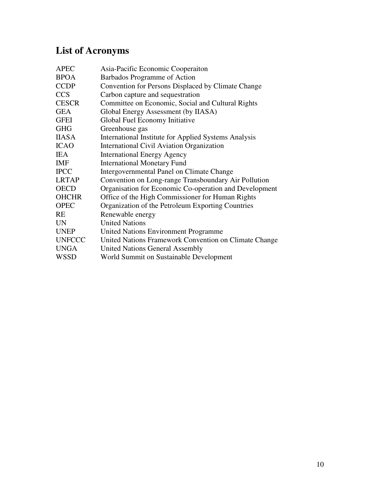# **List of Acronyms**

| <b>APEC</b>   | Asia-Pacific Economic Cooperaiton                      |
|---------------|--------------------------------------------------------|
| <b>BPOA</b>   | Barbados Programme of Action                           |
| <b>CCDP</b>   | Convention for Persons Displaced by Climate Change     |
| <b>CCS</b>    | Carbon capture and sequestration                       |
| <b>CESCR</b>  | Committee on Economic, Social and Cultural Rights      |
| <b>GEA</b>    | Global Energy Assessment (by IIASA)                    |
| <b>GFEI</b>   | Global Fuel Economy Initiative                         |
| <b>GHG</b>    | Greenhouse gas                                         |
| <b>IIASA</b>  | International Institute for Applied Systems Analysis   |
| <b>ICAO</b>   | <b>International Civil Aviation Organization</b>       |
| <b>IEA</b>    | <b>International Energy Agency</b>                     |
| <b>IMF</b>    | <b>International Monetary Fund</b>                     |
| <b>IPCC</b>   | Intergovernmental Panel on Climate Change              |
| <b>LRTAP</b>  | Convention on Long-range Transboundary Air Pollution   |
| <b>OECD</b>   | Organisation for Economic Co-operation and Development |
| <b>OHCHR</b>  | Office of the High Commissioner for Human Rights       |
| <b>OPEC</b>   | Organization of the Petroleum Exporting Countries      |
| <b>RE</b>     | Renewable energy                                       |
| <b>UN</b>     | <b>United Nations</b>                                  |
| <b>UNEP</b>   | <b>United Nations Environment Programme</b>            |
| <b>UNFCCC</b> | United Nations Framework Convention on Climate Change  |
| <b>UNGA</b>   | <b>United Nations General Assembly</b>                 |
| <b>WSSD</b>   | World Summit on Sustainable Development                |
|               |                                                        |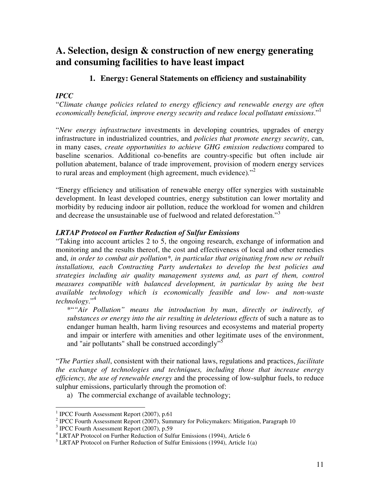# **A. Selection, design & construction of new energy generating and consuming facilities to have least impact**

# **1. Energy: General Statements on efficiency and sustainability**

# *IPCC*

"*Climate change policies related to energy efficiency and renewable energy are often economically beneficial, improve energy security and reduce local pollutant emissions*."<sup>1</sup>

"*New energy infrastructure* investments in developing countries*,* upgrades of energy infrastructure in industrialized countries, and *policies that promote energy security*, can, in many cases, *create opportunities to achieve GHG emission reductions* compared to baseline scenarios. Additional co-benefits are country-specific but often include air pollution abatement, balance of trade improvement, provision of modern energy services to rural areas and employment (high agreement, much evidence)*.*" 2

"Energy efficiency and utilisation of renewable energy offer synergies with sustainable development. In least developed countries, energy substitution can lower mortality and morbidity by reducing indoor air pollution, reduce the workload for women and children and decrease the unsustainable use of fuelwood and related deforestation."<sup>3</sup>

### *LRTAP Protocol on Further Reduction of Sulfur Emissions*

"Taking into account articles 2 to 5, the ongoing research, exchange of information and monitoring and the results thereof, the cost and effectiveness of local and other remedies and, *in order to combat air pollution\*, in particular that originating from new or rebuilt installations, each Contracting Party undertakes to develop the best policies and strategies including air quality management systems and, as part of them, control measures compatible with balanced development, in particular by using the best available technology which is economically feasible and low- and non-waste technology*."<sup>4</sup>

\*"*"Air Pollution" means the introduction by man*, *directly or indirectly, of substances or energy into the air resulting in deleterious effects* of such a nature as to endanger human health, harm living resources and ecosystems and material property and impair or interfere with amenities and other legitimate uses of the environment, and "air pollutants" shall be construed accordingly"<sup>5</sup>

"*The Parties shall*, consistent with their national laws, regulations and practices, *facilitate the exchange of technologies and techniques, including those that increase energy efficiency, the use of renewable energy* and the processing of low-sulphur fuels, to reduce sulphur emissions, particularly through the promotion of:

a) The commercial exchange of available technology;

 1 IPCC Fourth Assessment Report (2007), p.61

<sup>&</sup>lt;sup>2</sup> IPCC Fourth Assessment Report (2007), Summary for Policymakers: Mitigation, Paragraph 10

<sup>3</sup> IPCC Fourth Assessment Report (2007), p.59

<sup>4</sup> LRTAP Protocol on Further Reduction of Sulfur Emissions (1994), Article 6

<sup>&</sup>lt;sup>5</sup> LRTAP Protocol on Further Reduction of Sulfur Emissions (1994), Article 1(a)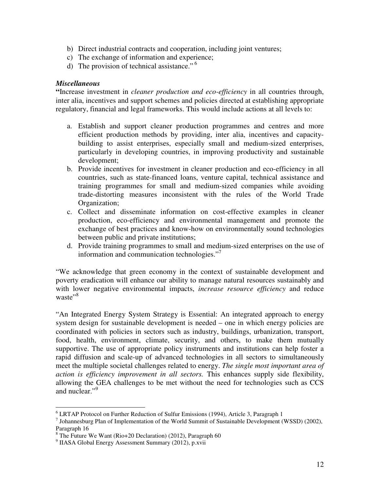- b) Direct industrial contracts and cooperation, including joint ventures;
- c) The exchange of information and experience;
- d) The provision of technical assistance."<sup>6</sup>

### *Miscellaneous*

**"**Increase investment in *cleaner production and eco-efficiency* in all countries through, inter alia, incentives and support schemes and policies directed at establishing appropriate regulatory, financial and legal frameworks. This would include actions at all levels to:

- a. Establish and support cleaner production programmes and centres and more efficient production methods by providing, inter alia, incentives and capacitybuilding to assist enterprises, especially small and medium-sized enterprises, particularly in developing countries, in improving productivity and sustainable development;
- b. Provide incentives for investment in cleaner production and eco-efficiency in all countries, such as state-financed loans, venture capital, technical assistance and training programmes for small and medium-sized companies while avoiding trade-distorting measures inconsistent with the rules of the World Trade Organization;
- c. Collect and disseminate information on cost-effective examples in cleaner production, eco-efficiency and environmental management and promote the exchange of best practices and know-how on environmentally sound technologies between public and private institutions;
- d. Provide training programmes to small and medium-sized enterprises on the use of information and communication technologies."<sup>7</sup>

"We acknowledge that green economy in the context of sustainable development and poverty eradication will enhance our ability to manage natural resources sustainably and with lower negative environmental impacts, *increase resource efficiency* and reduce  $waste$ <sup>"8</sup>

"An Integrated Energy System Strategy is Essential: An integrated approach to energy system design for sustainable development is needed – one in which energy policies are coordinated with policies in sectors such as industry, buildings, urbanization, transport, food, health, environment, climate, security, and others, to make them mutually supportive. The use of appropriate policy instruments and institutions can help foster a rapid diffusion and scale-up of advanced technologies in all sectors to simultaneously meet the multiple societal challenges related to energy. *The single most important area of action is efficiency improvement in all sectors.* This enhances supply side flexibility, allowing the GEA challenges to be met without the need for technologies such as CCS and nuclear."<sup>9</sup>

 6 LRTAP Protocol on Further Reduction of Sulfur Emissions (1994), Article 3, Paragraph 1

 $<sup>7</sup>$  Johannesburg Plan of Implementation of the World Summit of Sustainable Development (WSSD) (2002),</sup> Paragraph 16

<sup>8</sup> The Future We Want (Rio+20 Declaration) (2012), Paragraph 60

<sup>&</sup>lt;sup>9</sup> IIASA Global Energy Assessment Summary (2012), p.xvii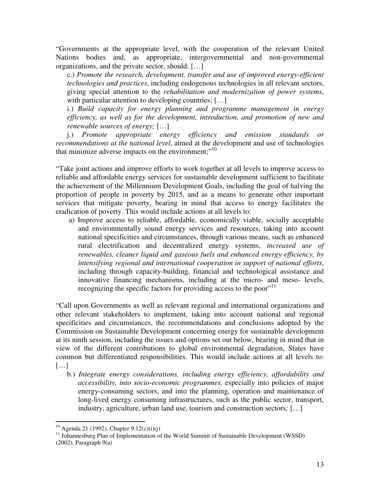"Governments at the appropriate level, with the cooperation of the relevant United Nations bodies and, as appropriate, intergovernmental and non-governmental organizations, and the private sector, should: […]

c.) *Promote the research, development, transfer and use of improved energy-efficient technologies and practices*, including endogenous technologies in all relevant sectors, giving special attention to the *rehabilitation and modernization of power systems*, with particular attention to developing countries; [...]

i.) *Build capacity for energy planning and programme management in energy efficiency, as well as for the development, introduction, and promotion of new and renewable sources of energy;* […]

j.) *Promote appropriate energy efficiency and emission standards or recommendations at the national level*, aimed at the development and use of technologies that minimize adverse impacts on the environment; $\cdot$ <sup>10</sup>

"Take joint actions and improve efforts to work together at all levels to improve access to reliable and affordable energy services for sustainable development sufficient to facilitate the achievement of the Millennium Development Goals, including the goal of halving the proportion of people in poverty by 2015, and as a means to generate other important services that mitigate poverty, bearing in mind that access to energy facilitates the eradication of poverty. This would include actions at all levels to:

 a) Improve access to reliable, affordable, economically viable, socially acceptable and environmentally sound energy services and resources, taking into account national specificities and circumstances, through various means, such as enhanced rural electrification and decentralized energy systems, *increased use of renewables, cleaner liquid and gaseous fuels and enhanced energy efficiency, by intensifying regional and international cooperation in support of national efforts*, including through capacity-building, financial and technological assistance and innovative financing mechanisms, including at the micro- and meso- levels, recognizing the specific factors for providing access to the poor"<sup>11</sup>

"Call upon Governments as well as relevant regional and international organizations and other relevant stakeholders to implement, taking into account national and regional specificities and circumstances, the recommendations and conclusions adopted by the Commission on Sustainable Development concerning energy for sustainable development at its ninth session, including the issues and options set out below, bearing in mind that in view of the different contributions to global environmental degradation, States have common but differentiated responsibilities. This would include actions at all levels to: […]

b.) *Integrate energy considerations, including energy efficiency, affordability and accessibility, into socio-economic programmes,* especially into policies of major energy-consuming sectors, and into the planning, operation and maintenance of long-lived energy consuming infrastructures, such as the public sector, transport, industry, agriculture, urban land use, tourism and construction sectors*;* […]

<sup>&</sup>lt;sup>10</sup> Agenda 21 (1992), Chapter 9.12(c)(i)(j)

<sup>&</sup>lt;sup>11</sup> Johannesburg Plan of Implementation of the World Summit of Sustainable Development (WSSD) (2002), Paragraph 9(a)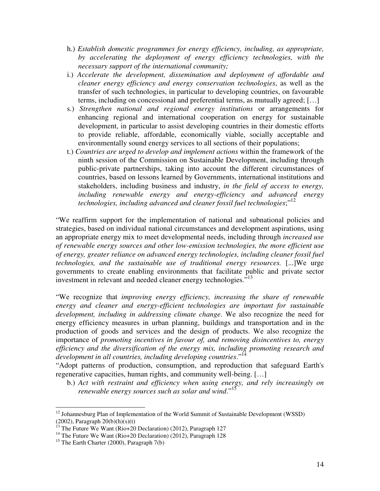- h.) *Establish domestic programmes for energy efficiency, including, as appropriate, by accelerating the deployment of energy efficiency technologies, with the necessary support of the international community;*
- i.) *Accelerate the development, dissemination and deployment of affordable and cleaner energy efficiency and energy conservation technologies*, as well as the transfer of such technologies, in particular to developing countries, on favourable terms, including on concessional and preferential terms, as mutually agreed; […]
- s.) *Strengthen national and regional energy institutions* or arrangements for enhancing regional and international cooperation on energy for sustainable development, in particular to assist developing countries in their domestic efforts to provide reliable, affordable, economically viable, socially acceptable and environmentally sound energy services to all sections of their populations;
- t.) *Countries are urged to develop and implement actions* within the framework of the ninth session of the Commission on Sustainable Development, including through public-private partnerships, taking into account the different circumstances of countries, based on lessons learned by Governments, international institutions and stakeholders, including business and industry, *in the field of access to energy, including renewable energy and energy-efficiency and advanced energy technologies, including advanced and cleaner fossil fuel technologies*;"<sup>12</sup>

"We reaffirm support for the implementation of national and subnational policies and strategies, based on individual national circumstances and development aspirations, using an appropriate energy mix to meet developmental needs, including through *increased use of renewable energy sources and other low-emission technologies, the more efficient use of energy, greater reliance on advanced energy technologies, including cleaner fossil fuel technologies, and the sustainable use of traditional energy resources.* [...]We urge governments to create enabling environments that facilitate public and private sector investment in relevant and needed cleaner energy technologies."<sup>13</sup>

"We recognize that *improving energy efficiency, increasing the share of renewable energy and cleaner and energy-efficient technologies are important for sustainable development, including in addressing climate change*. We also recognize the need for energy efficiency measures in urban planning, buildings and transportation and in the production of goods and services and the design of products. We also recognize the importance of *promoting incentives in favour of, and removing disincentives to, energy efficiency and the diversification of the energy mix, including promoting research and development in all countries, including developing countries*."<sup>14</sup>

"Adopt patterns of production, consumption, and reproduction that safeguard Earth's regenerative capacities, human rights, and community well-being. […]

b.) *Act with restraint and efficiency when using energy, and rely increasingly on renewable energy sources such as solar and wind*."<sup>15</sup>

 $12$  Johannesburg Plan of Implementation of the World Summit of Sustainable Development (WSSD)  $(2002)$ , Paragraph  $20(b)(h)(s)(t)$ 

 $13$  The Future We Want (Rio+20 Declaration) (2012), Paragraph 127

<sup>&</sup>lt;sup>14</sup> The Future We Want (Rio+20 Declaration) (2012), Paragraph 128

<sup>&</sup>lt;sup>15</sup> The Earth Charter (2000), Paragraph  $7(b)$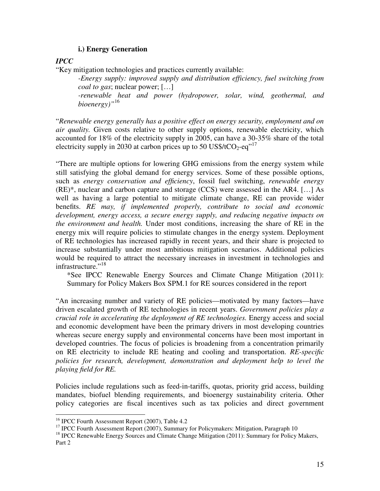### **i.) Energy Generation**

*IPCC* 

"Key mitigation technologies and practices currently available:

*-Energy supply: improved supply and distribution efficiency, fuel switching from coal to gas*; nuclear power; […]

*-renewable heat and power (hydropower, solar, wind, geothermal, and bioenergy)"*<sup>16</sup>

"*Renewable energy generally has a positive effect on energy security, employment and on air quality.* Given costs relative to other supply options, renewable electricity, which accounted for 18% of the electricity supply in 2005, can have a 30-35% share of the total electricity supply in 2030 at carbon prices up to 50 US\$/tCO<sub>2</sub>-eq<sup>-17</sup>

"There are multiple options for lowering GHG emissions from the energy system while still satisfying the global demand for energy services. Some of these possible options, such as *energy conservation and efficiency*, fossil fuel switching, *renewable energy* (RE)\*, nuclear and carbon capture and storage (CCS) were assessed in the AR4. […] As well as having a large potential to mitigate climate change, RE can provide wider benefits. *RE may, if implemented properly, contribute to social and economic development, energy access, a secure energy supply, and reducing negative impacts on the environment and health.* Under most conditions, increasing the share of RE in the energy mix will require policies to stimulate changes in the energy system. Deployment of RE technologies has increased rapidly in recent years, and their share is projected to increase substantially under most ambitious mitigation scenarios. Additional policies would be required to attract the necessary increases in investment in technologies and infrastructure."<sup>18</sup>

\*See IPCC Renewable Energy Sources and Climate Change Mitigation (2011): Summary for Policy Makers Box SPM.1 for RE sources considered in the report

"An increasing number and variety of RE policies—motivated by many factors—have driven escalated growth of RE technologies in recent years. *Government policies play a crucial role in accelerating the deployment of RE technologies.* Energy access and social and economic development have been the primary drivers in most developing countries whereas secure energy supply and environmental concerns have been most important in developed countries. The focus of policies is broadening from a concentration primarily on RE electricity to include RE heating and cooling and transportation. *RE-specific policies for research, development, demonstration and deployment help to level the playing field for RE.* 

Policies include regulations such as feed-in-tariffs, quotas, priority grid access, building mandates, biofuel blending requirements, and bioenergy sustainability criteria. Other policy categories are fiscal incentives such as tax policies and direct government

<sup>&</sup>lt;sup>16</sup> IPCC Fourth Assessment Report (2007), Table 4.2

<sup>&</sup>lt;sup>17</sup> IPCC Fourth Assessment Report (2007), Summary for Policymakers: Mitigation, Paragraph 10

<sup>&</sup>lt;sup>18</sup> IPCC Renewable Energy Sources and Climate Change Mitigation (2011): Summary for Policy Makers, Part 2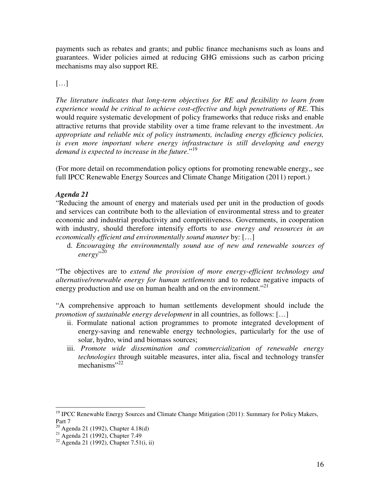payments such as rebates and grants; and public finance mechanisms such as loans and guarantees. Wider policies aimed at reducing GHG emissions such as carbon pricing mechanisms may also support RE.

 $[\ldots]$ 

*The literature indicates that long-term objectives for RE and flexibility to learn from experience would be critical to achieve cost-effective and high penetrations of RE*. This would require systematic development of policy frameworks that reduce risks and enable attractive returns that provide stability over a time frame relevant to the investment. *An appropriate and reliable mix of policy instruments, including energy efficiency policies, is even more important where energy infrastructure is still developing and energy demand is expected to increase in the future*."<sup>19</sup>

(For more detail on recommendation policy options for promoting renewable energy,, see full IPCC Renewable Energy Sources and Climate Change Mitigation (2011) report.)

# *Agenda 21*

"Reducing the amount of energy and materials used per unit in the production of goods and services can contribute both to the alleviation of environmental stress and to greater economic and industrial productivity and competitiveness. Governments, in cooperation with industry, should therefore intensify efforts to *use energy and resources in an economically efficient and environmentally sound manner* by: […]

d. *Encouraging the environmentally sound use of new and renewable sources of*  energy"<sup>20</sup>

"The objectives are to *extend the provision of more energy-efficient technology and alternative/renewable energy for human settlements* and to reduce negative impacts of energy production and use on human health and on the environment."<sup>21</sup>

"A comprehensive approach to human settlements development should include the *promotion of sustainable energy development* in all countries, as follows: […]

- ii. Formulate national action programmes to promote integrated development of energy-saving and renewable energy technologies, particularly for the use of solar, hydro, wind and biomass sources;
- iii. *Promote wide dissemination and commercialization of renewable energy technologies* through suitable measures, inter alia, fiscal and technology transfer mechanisms $"^{22}$

 $\overline{a}$ <sup>19</sup> IPCC Renewable Energy Sources and Climate Change Mitigation (2011): Summary for Policy Makers, Part 7

 $20$  Agenda 21 (1992), Chapter 4.18(d)

<sup>21</sup> Agenda 21 (1992), Chapter 7.49

 $22$  Agenda 21 (1992), Chapter 7.51(i, ii)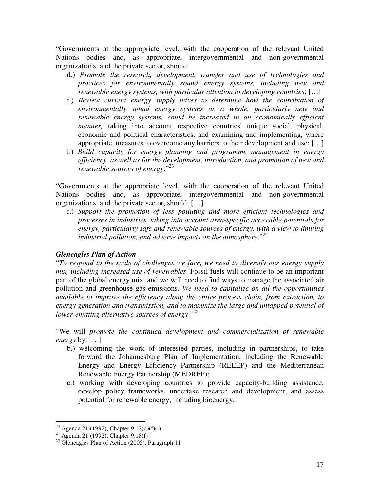"Governments at the appropriate level, with the cooperation of the relevant United Nations bodies and, as appropriate, intergovernmental and non-governmental organizations, and the private sector, should:

- d.) *Promote the research, development, transfer and use of technologies and practices for environmentally sound energy systems, including new and renewable energy systems, with particular attention to developing countries*; […]
- f.) *Review current energy supply mixes to determine how the contribution of environmentally sound energy systems as a whole, particularly new and renewable energy systems, could be increased in an economically efficient manner*, taking into account respective countries' unique social, physical, economic and political characteristics, and examining and implementing, where appropriate, measures to overcome any barriers to their development and use; […]
- i.) *Build capacity for energy planning and programme management in energy efficiency, as well as for the development, introduction, and promotion of new and renewable sources of energy*;"<sup>23</sup>

"Governments at the appropriate level, with the cooperation of the relevant United Nations bodies and, as appropriate, intergovernmental and non-governmental organizations, and the private sector, should: […]

f.) *Support the promotion of less polluting and more efficient technologies and processes in industries, taking into account area-specific accessible potentials for energy, particularly safe and renewable sources of energy, with a view to limiting industrial pollution, and adverse impacts on the atmosphere*."<sup>24</sup>

# *Gleneagles Plan of Action*

"*To respond to the scale of challenges we face, we need to diversify our energy supply mix, including increased use of renewables*. Fossil fuels will continue to be an important part of the global energy mix, and we will need to find ways to manage the associated air pollution and greenhouse gas emissions. *We need to capitalize on all the opportunities available to improve the efficiency along the entire process chain, from extraction, to energy generation and transmission, and to maximize the large and untapped potential of lower-emitting alternative sources of energy*."<sup>25</sup>

"We will *promote the continued development and commercialization of renewable energy* by: […]

- b.) welcoming the work of interested parties, including in partnerships, to take forward the Johannesburg Plan of Implementation, including the Renewable Energy and Energy Efficiency Partnership (REEEP) and the Mediterranean Renewable Energy Partnership (MEDREP);
- c.) working with developing countries to provide capacity-building assistance, develop policy frameworks, undertake research and development, and assess potential for renewable energy, including bioenergy;

<sup>&</sup>lt;sup>23</sup> Agenda 21 (1992), Chapter  $9.12(d)(f)(i)$ 

<sup>&</sup>lt;sup>24</sup> Agenda 21 (1992), Chapter 9.18(f)

 $25$  Gleneagles Plan of Action (2005), Paragraph 11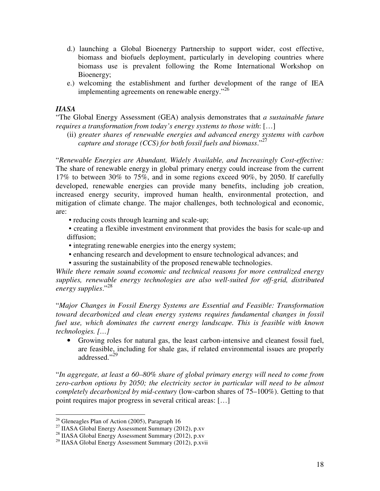- d.) launching a Global Bioenergy Partnership to support wider, cost effective, biomass and biofuels deployment, particularly in developing countries where biomass use is prevalent following the Rome International Workshop on Bioenergy;
- e.) welcoming the establishment and further development of the range of IEA implementing agreements on renewable energy."<sup>26</sup>

# *IIASA*

"The Global Energy Assessment (GEA) analysis demonstrates that *a sustainable future requires a transformation from today's energy systems to those with*: […]

(ii) *greater shares of renewable energies and advanced energy systems with carbon capture and storage (CCS) for both fossil fuels and biomass*."<sup>27</sup>

"*Renewable Energies are Abundant, Widely Available, and Increasingly Cost-effective:*  The share of renewable energy in global primary energy could increase from the current 17% to between 30% to 75%, and in some regions exceed 90%, by 2050. If carefully developed, renewable energies can provide many benefits, including job creation, increased energy security, improved human health, environmental protection, and mitigation of climate change. The major challenges, both technological and economic, are:

- reducing costs through learning and scale-up;
- creating a flexible investment environment that provides the basis for scale-up and diffusion;
- integrating renewable energies into the energy system;
- enhancing research and development to ensure technological advances; and
- assuring the sustainability of the proposed renewable technologies.

*While there remain sound economic and technical reasons for more centralized energy supplies, renewable energy technologies are also well-suited for off-grid, distributed energy supplies*."<sup>28</sup>

"*Major Changes in Fossil Energy Systems are Essential and Feasible: Transformation toward decarbonized and clean energy systems requires fundamental changes in fossil fuel use, which dominates the current energy landscape. This is feasible with known technologies. […]* 

• Growing roles for natural gas, the least carbon-intensive and cleanest fossil fuel, are feasible, including for shale gas, if related environmental issues are properly addressed."<sup>29</sup>

"*In aggregate, at least a 60–80% share of global primary energy will need to come from zero-carbon options by 2050; the electricity sector in particular will need to be almost completely decarbonized by mid-century* (low-carbon shares of 75–100%). Getting to that point requires major progress in several critical areas: […]

 $26$  Gleneagles Plan of Action (2005), Paragraph 16

<sup>27</sup> IIASA Global Energy Assessment Summary (2012), p.xv

 $28$  IIASA Global Energy Assessment Summary (2012), p.xv

 $^{29}$  IIASA Global Energy Assessment Summary (2012), p.xvii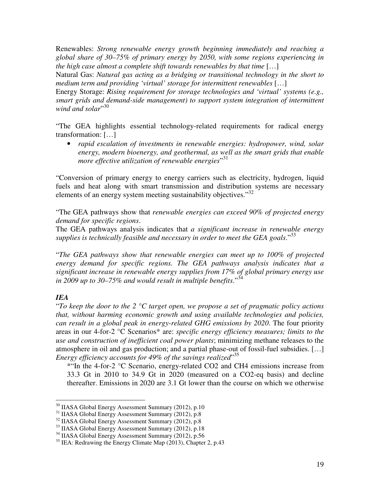Renewables: *Strong renewable energy growth beginning immediately and reaching a global share of 30–75% of primary energy by 2050, with some regions experiencing in the high case almost a complete shift towards renewables by that time* […]

Natural Gas: *Natural gas acting as a bridging or transitional technology in the short to medium term and providing 'virtual' storage for intermittent renewables* […]

Energy Storage: *Rising requirement for storage technologies and 'virtual' systems (e.g., smart grids and demand-side management) to support system integration of intermittent*  wind and solar"<sup>30</sup>

"The GEA highlights essential technology-related requirements for radical energy transformation: […]

• *rapid escalation of investments in renewable energies: hydropower, wind, solar energy, modern bioenergy, and geothermal, as well as the smart grids that enable more effective utilization of renewable energies*" 31

"Conversion of primary energy to energy carriers such as electricity, hydrogen, liquid fuels and heat along with smart transmission and distribution systems are necessary elements of an energy system meeting sustainability objectives."<sup>32</sup>

"The GEA pathways show that *renewable energies can exceed 90% of projected energy demand for specific regions*.

The GEA pathways analysis indicates that *a significant increase in renewable energy supplies is technically feasible and necessary in order to meet the GEA goals*."<sup>33</sup>

"*The GEA pathways show that renewable energies can meet up to 100% of projected energy demand for specific regions. The GEA pathways analysis indicates that a significant increase in renewable energy supplies from 17% of global primary energy use in 2009 up to 30–75% and would result in multiple benefits*."<sup>34</sup>

## *IEA*

"*To keep the door to the 2 °C target open, we propose a set of pragmatic policy actions that, without harming economic growth and using available technologies and policies, can result in a global peak in energy-related GHG emissions by 2020*. The four priority areas in our 4-for-2 °C Scenarios\* are: *specific energy efficiency measures; limits to the use and construction of inefficient coal power plants*; minimizing methane releases to the atmosphere in oil and gas production; and a partial phase-out of fossil-fuel subsidies. […] *Energy efficiency accounts for 49% of the savings realized*" 35

\*"In the 4-for-2 °C Scenario, energy-related CO2 and CH4 emissions increase from 33.3 Gt in 2010 to 34.9 Gt in 2020 (measured on a CO2-eq basis) and decline thereafter. Emissions in 2020 are 3.1 Gt lower than the course on which we otherwise

 $\overline{a}$ <sup>30</sup> IIASA Global Energy Assessment Summary (2012), p.10

 $31$  IIASA Global Energy Assessment Summary (2012), p.8

<sup>&</sup>lt;sup>32</sup> IIASA Global Energy Assessment Summary (2012), p.8

<sup>&</sup>lt;sup>33</sup> IIASA Global Energy Assessment Summary (2012), p.18

 $34$  IIASA Global Energy Assessment Summary (2012), p.56

<sup>&</sup>lt;sup>35</sup> IEA: Redrawing the Energy Climate Map (2013), Chapter 2, p.43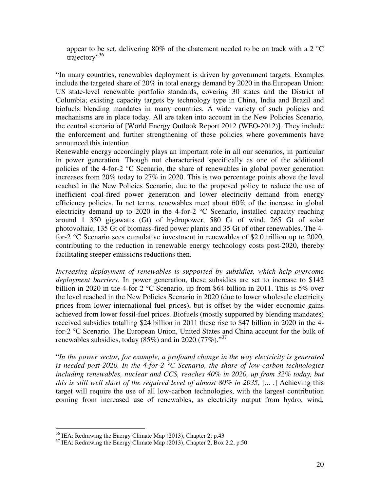appear to be set, delivering 80% of the abatement needed to be on track with a 2 °C trajectory"<sup>36</sup>

"In many countries, renewables deployment is driven by government targets. Examples include the targeted share of 20% in total energy demand by 2020 in the European Union; US state-level renewable portfolio standards, covering 30 states and the District of Columbia; existing capacity targets by technology type in China, India and Brazil and biofuels blending mandates in many countries. A wide variety of such policies and mechanisms are in place today. All are taken into account in the New Policies Scenario, the central scenario of [World Energy Outlook Report 2012 (WEO-2012)]. They include the enforcement and further strengthening of these policies where governments have announced this intention.

Renewable energy accordingly plays an important role in all our scenarios, in particular in power generation*.* Though not characterised specifically as one of the additional policies of the 4-for-2 °C Scenario, the share of renewables in global power generation increases from 20% today to 27% in 2020. This is two percentage points above the level reached in the New Policies Scenario, due to the proposed policy to reduce the use of inefficient coal-fired power generation and lower electricity demand from energy efficiency policies. In net terms, renewables meet about 60% of the increase in global electricity demand up to 2020 in the 4-for-2 °C Scenario, installed capacity reaching around 1 350 gigawatts (Gt) of hydropower, 580 Gt of wind, 265 Gt of solar photovoltaic, 135 Gt of biomass-fired power plants and 35 Gt of other renewables. The 4 for-2 °C Scenario sees cumulative investment in renewables of \$2.0 trillion up to 2020, contributing to the reduction in renewable energy technology costs post-2020, thereby facilitating steeper emissions reductions then*.* 

*Increasing deployment of renewables is supported by subsidies, which help overcome deployment barriers.* In power generation, these subsidies are set to increase to \$142 billion in 2020 in the 4-for-2 °C Scenario, up from \$64 billion in 2011. This is 5% over the level reached in the New Policies Scenario in 2020 (due to lower wholesale electricity prices from lower international fuel prices), but is offset by the wider economic gains achieved from lower fossil-fuel prices. Biofuels (mostly supported by blending mandates) received subsidies totalling \$24 billion in 2011 these rise to \$47 billion in 2020 in the 4 for-2 °C Scenario. The European Union, United States and China account for the bulk of renewables subsidies, today (85%) and in 2020 (77%).<sup>37</sup>

"*In the power sector, for example, a profound change in the way electricity is generated is needed post-2020. In the 4-for-2 °C Scenario, the share of low-carbon technologies including renewables, nuclear and CCS, reaches 40% in 2020, up from 32% today, but this is still well short of the required level of almost 80% in 2035*, [... .] Achieving this target will require the use of all low-carbon technologies, with the largest contribution coming from increased use of renewables, as electricity output from hydro, wind,

 $\overline{a}$  $36$  IEA: Redrawing the Energy Climate Map (2013), Chapter 2, p.43

<sup>&</sup>lt;sup>37</sup> IEA: Redrawing the Energy Climate Map (2013), Chapter 2, Box 2.2, p.50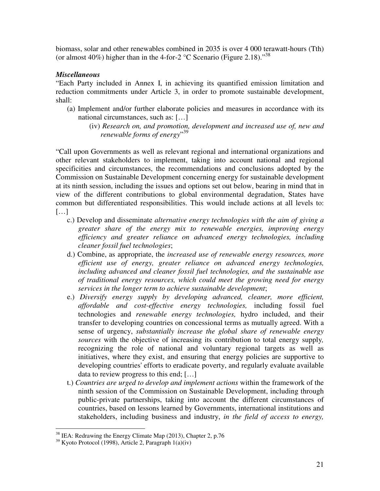biomass, solar and other renewables combined in 2035 is over 4 000 terawatt-hours (Tth) (or almost 40%) higher than in the 4-for-2  $\rm{^{\circ}C}$  Scenario (Figure 2.18).<sup>38</sup>

# *Miscellaneous*

"Each Party included in Annex I, in achieving its quantified emission limitation and reduction commitments under Article 3, in order to promote sustainable development, shall:

- (a) Implement and/or further elaborate policies and measures in accordance with its national circumstances, such as: […]
	- (iv) *Research on, and promotion, development and increased use of, new and renewable forms of energy*" 39

"Call upon Governments as well as relevant regional and international organizations and other relevant stakeholders to implement, taking into account national and regional specificities and circumstances, the recommendations and conclusions adopted by the Commission on Sustainable Development concerning energy for sustainable development at its ninth session, including the issues and options set out below, bearing in mind that in view of the different contributions to global environmental degradation, States have common but differentiated responsibilities. This would include actions at all levels to: […]

- c.) Develop and disseminate *alternative energy technologies with the aim of giving a greater share of the energy mix to renewable energies, improving energy efficiency and greater reliance on advanced energy technologies, including cleaner fossil fuel technologies*;
- d.) Combine, as appropriate, the *increased use of renewable energy resources, more efficient use of energy, greater reliance on advanced energy technologies, including advanced and cleaner fossil fuel technologies, and the sustainable use of traditional energy resources, which could meet the growing need for energy services in the longer term to achieve sustainable development*;
- e.) *Diversify energy supply by developing advanced, cleaner, more efficient, affordable and cost-effective energy technologies,* including fossil fuel technologies and *renewable energy technologies,* hydro included, and their transfer to developing countries on concessional terms as mutually agreed. With a sense of urgency, *substantially increase the global share of renewable energy sources* with the objective of increasing its contribution to total energy supply*,* recognizing the role of national and voluntary regional targets as well as initiatives, where they exist, and ensuring that energy policies are supportive to developing countries' efforts to eradicate poverty, and regularly evaluate available data to review progress to this end; […]
- t.) *Countries are urged to develop and implement actions* within the framework of the ninth session of the Commission on Sustainable Development, including through public-private partnerships, taking into account the different circumstances of countries, based on lessons learned by Governments, international institutions and stakeholders, including business and industry, *in the field of access to energy,*

 $\overline{a}$  $38$  IEA: Redrawing the Energy Climate Map (2013), Chapter 2, p.76

<sup>39</sup> Kyoto Protocol (1998), Article 2, Paragraph 1(a)(iv)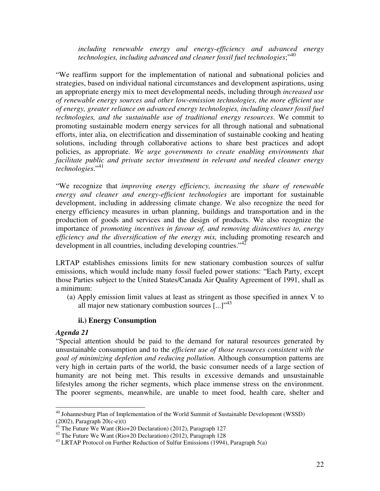*including renewable energy and energy-efficiency and advanced energy technologies, including advanced and cleaner fossil fuel technologies*;"<sup>40</sup>

"We reaffirm support for the implementation of national and subnational policies and strategies, based on individual national circumstances and development aspirations, using an appropriate energy mix to meet developmental needs, including through *increased use of renewable energy sources and other low-emission technologies, the more efficient use of energy, greater reliance on advanced energy technologies, including cleaner fossil fuel technologies, and the sustainable use of traditional energy resources*. We commit to promoting sustainable modern energy services for all through national and subnational efforts, inter alia, on electrification and dissemination of sustainable cooking and heating solutions, including through collaborative actions to share best practices and adopt policies, as appropriate. *We urge governments to create enabling environments that facilitate public and private sector investment in relevant and needed cleaner energy technologies*."<sup>41</sup>

"We recognize that *improving energy efficiency, increasing the share of renewable energy and cleaner and energy-efficient technologies* are important for sustainable development, including in addressing climate change. We also recognize the need for energy efficiency measures in urban planning, buildings and transportation and in the production of goods and services and the design of products. We also recognize the importance of *promoting incentives in favour of, and removing disincentives to, energy efficiency and the diversification of the energy mix,* including promoting research and development in all countries, including developing countries."<sup>42</sup>

LRTAP establishes emissions limits for new stationary combustion sources of sulfur emissions, which would include many fossil fueled power stations: "Each Party, except those Parties subject to the United States/Canada Air Quality Agreement of 1991, shall as a minimum:

(a) Apply emission limit values at least as stringent as those specified in annex V to all major new stationary combustion sources  $[...]^{343}$ 

# **ii.) Energy Consumption**

# *Agenda 21*

"Special attention should be paid to the demand for natural resources generated by unsustainable consumption and to the *efficient use of those resources consistent with the goal of minimizing depletion and reducing pollution.* Although consumption patterns are very high in certain parts of the world, the basic consumer needs of a large section of humanity are not being met. This results in excessive demands and unsustainable lifestyles among the richer segments, which place immense stress on the environment. The poorer segments, meanwhile, are unable to meet food, health care, shelter and

 $\overline{a}$ <sup>40</sup> Johannesburg Plan of Implementation of the World Summit of Sustainable Development (WSSD) (2002), Paragraph 20(c-e)(t)

<sup>&</sup>lt;sup>41</sup> The Future We Want (Rio+20 Declaration) (2012), Paragraph 127

<sup>&</sup>lt;sup>42</sup> The Future We Want (Rio+20 Declaration) (2012), Paragraph 128

 $43$  LRTAP Protocol on Further Reduction of Sulfur Emissions (1994), Paragraph 5(a)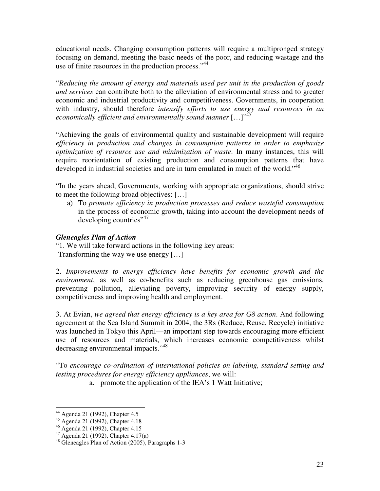educational needs. Changing consumption patterns will require a multipronged strategy focusing on demand, meeting the basic needs of the poor, and reducing wastage and the use of finite resources in the production process."<sup>44</sup>

"*Reducing the amount of energy and materials used per unit in the production of goods and services* can contribute both to the alleviation of environmental stress and to greater economic and industrial productivity and competitiveness. Governments, in cooperation with industry, should therefore *intensify efforts to use energy and resources in an economically efficient and environmentally sound manner* […]"<sup>45</sup>

"Achieving the goals of environmental quality and sustainable development will require *efficiency in production and changes in consumption patterns in order to emphasize optimization of resource use and minimization of waste*. In many instances, this will require reorientation of existing production and consumption patterns that have developed in industrial societies and are in turn emulated in much of the world."<sup>46</sup>

"In the years ahead, Governments, working with appropriate organizations, should strive to meet the following broad objectives: […]

a) To *promote efficiency in production processes and reduce wasteful consumption* in the process of economic growth, taking into account the development needs of developing countries"<sup>47</sup>

# *Gleneagles Plan of Action*

"1. We will take forward actions in the following key areas: -Transforming the way we use energy […]

2. *Improvements to energy efficiency have benefits for economic growth and the environment*, as well as co-benefits such as reducing greenhouse gas emissions, preventing pollution, alleviating poverty, improving security of energy supply, competitiveness and improving health and employment.

3. At Evian, *we agreed that energy efficiency is a key area for G8 action*. And following agreement at the Sea Island Summit in 2004, the 3Rs (Reduce, Reuse, Recycle) initiative was launched in Tokyo this April—an important step towards encouraging more efficient use of resources and materials, which increases economic competitiveness whilst decreasing environmental impacts."<sup>48</sup>

"To *encourage co-ordination of international policies on labeling, standard setting and testing procedures for energy efficiency appliances*, we will:

a. promote the application of the IEA's 1 Watt Initiative;

 $\overline{a}$ <sup>44</sup> Agenda 21 (1992), Chapter 4.5

<sup>45</sup> Agenda 21 (1992), Chapter 4.18

<sup>46</sup> Agenda 21 (1992), Chapter 4.15

<sup>47</sup> Agenda 21 (1992), Chapter 4.17(a)

<sup>48</sup> Gleneagles Plan of Action (2005), Paragraphs 1-3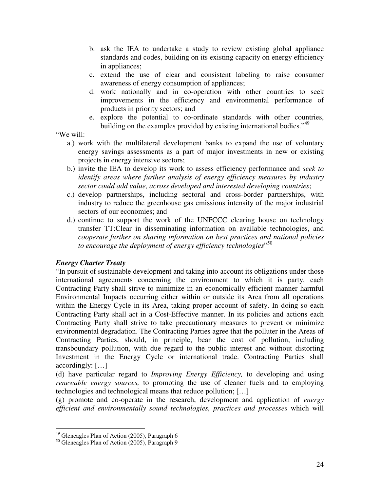- b. ask the IEA to undertake a study to review existing global appliance standards and codes, building on its existing capacity on energy efficiency in appliances;
- c. extend the use of clear and consistent labeling to raise consumer awareness of energy consumption of appliances;
- d. work nationally and in co-operation with other countries to seek improvements in the efficiency and environmental performance of products in priority sectors; and
- e. explore the potential to co-ordinate standards with other countries, building on the examples provided by existing international bodies."<sup>49</sup>

"We will:

- a.) work with the multilateral development banks to expand the use of voluntary energy savings assessments as a part of major investments in new or existing projects in energy intensive sectors;
- b.) invite the IEA to develop its work to assess efficiency performance and *seek to identify areas where further analysis of energy efficiency measures by industry sector could add value, across developed and interested developing countries*;
- c.) develop partnerships, including sectoral and cross-border partnerships, with industry to reduce the greenhouse gas emissions intensity of the major industrial sectors of our economies; and
- d.) continue to support the work of the UNFCCC clearing house on technology transfer TT:Clear in disseminating information on available technologies, and *cooperate further on sharing information on best practices and national policies to encourage the deployment of energy efficiency technologies*" 50

# *Energy Charter Treaty*

"In pursuit of sustainable development and taking into account its obligations under those international agreements concerning the environment to which it is party, each Contracting Party shall strive to minimize in an economically efficient manner harmful Environmental Impacts occurring either within or outside its Area from all operations within the Energy Cycle in its Area, taking proper account of safety. In doing so each Contracting Party shall act in a Cost-Effective manner. In its policies and actions each Contracting Party shall strive to take precautionary measures to prevent or minimize environmental degradation. The Contracting Parties agree that the polluter in the Areas of Contracting Parties, should, in principle, bear the cost of pollution, including transboundary pollution, with due regard to the public interest and without distorting Investment in the Energy Cycle or international trade. Contracting Parties shall accordingly: […]

(d) have particular regard to *Improving Energy Efficiency,* to developing and using *renewable energy sources,* to promoting the use of cleaner fuels and to employing technologies and technological means that reduce pollution; […]

(g) promote and co-operate in the research, development and application of *energy efficient and environmentally sound technologies, practices and processes* which will

 $\overline{\phantom{a}}$ 

<sup>&</sup>lt;sup>49</sup> Gleneagles Plan of Action (2005), Paragraph 6

<sup>50</sup> Gleneagles Plan of Action (2005), Paragraph 9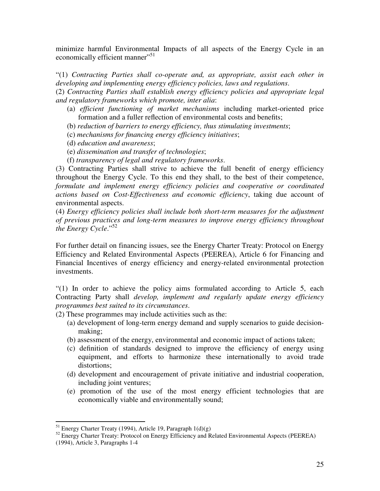minimize harmful Environmental Impacts of all aspects of the Energy Cycle in an economically efficient manner"<sup>51</sup>

"(1) *Contracting Parties shall co-operate and, as appropriate, assist each other in developing and implementing energy efficiency policies, laws and regulations*.

(2) *Contracting Parties shall establish energy efficiency policies and appropriate legal and regulatory frameworks which promote, inter alia*:

- (a) *efficient functioning of market mechanisms* including market-oriented price formation and a fuller reflection of environmental costs and benefits;
- (b) *reduction of barriers to energy efficiency, thus stimulating investments*;
- (c) *mechanisms for financing energy efficiency initiatives*;
- (d) *education and awareness*;
- (e) *dissemination and transfer of technologies*;
- (f) *transparency of legal and regulatory frameworks*.

(3) Contracting Parties shall strive to achieve the full benefit of energy efficiency throughout the Energy Cycle. To this end they shall, to the best of their competence, *formulate and implement energy efficiency policies and cooperative or coordinated actions based on Cost-Effectiveness and economic efficiency*, taking due account of environmental aspects.

(4) *Energy efficiency policies shall include both short-term measures for the adjustment of previous practices and long-term measures to improve energy efficiency throughout the Energy Cycle*."<sup>52</sup>

For further detail on financing issues, see the Energy Charter Treaty: Protocol on Energy Efficiency and Related Environmental Aspects (PEEREA), Article 6 for Financing and Financial Incentives of energy efficiency and energy-related environmental protection investments.

"(1) In order to achieve the policy aims formulated according to Article 5, each Contracting Party shall *develop, implement and regularly update energy efficiency programmes best suited to its circumstances*.

- (2) These programmes may include activities such as the:
	- (a) development of long-term energy demand and supply scenarios to guide decisionmaking;
	- (b) assessment of the energy, environmental and economic impact of actions taken;
	- (c) definition of standards designed to improve the efficiency of energy using equipment, and efforts to harmonize these internationally to avoid trade distortions;
	- (d) development and encouragement of private initiative and industrial cooperation, including joint ventures:
	- (e) promotion of the use of the most energy efficient technologies that are economically viable and environmentally sound;

<sup>&</sup>lt;sup>51</sup> Energy Charter Treaty (1994), Article 19, Paragraph  $1(d)(g)$ 

<sup>&</sup>lt;sup>52</sup> Energy Charter Treaty: Protocol on Energy Efficiency and Related Environmental Aspects (PEEREA) (1994), Article 3, Paragraphs 1-4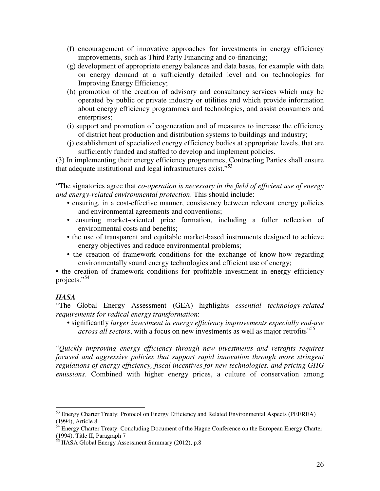- (f) encouragement of innovative approaches for investments in energy efficiency improvements, such as Third Party Financing and co-financing;
- (g) development of appropriate energy balances and data bases, for example with data on energy demand at a sufficiently detailed level and on technologies for Improving Energy Efficiency;
- (h) promotion of the creation of advisory and consultancy services which may be operated by public or private industry or utilities and which provide information about energy efficiency programmes and technologies, and assist consumers and enterprises;
- (i) support and promotion of cogeneration and of measures to increase the efficiency of district heat production and distribution systems to buildings and industry;
- (j) establishment of specialized energy efficiency bodies at appropriate levels, that are sufficiently funded and staffed to develop and implement policies.

(3) In implementing their energy efficiency programmes, Contracting Parties shall ensure that adequate institutional and legal infrastructures exist."<sup>53</sup>

"The signatories agree that *co-operation is necessary in the field of efficient use of energy and energy-related environmental protection*. This should include:

- ensuring, in a cost-effective manner, consistency between relevant energy policies and environmental agreements and conventions;
- ensuring market-oriented price formation, including a fuller reflection of environmental costs and benefits;
- the use of transparent and equitable market-based instruments designed to achieve energy objectives and reduce environmental problems;
- the creation of framework conditions for the exchange of know-how regarding environmentally sound energy technologies and efficient use of energy;

• the creation of framework conditions for profitable investment in energy efficiency projects."<sup>54</sup>

# *IIASA*

"The Global Energy Assessment (GEA) highlights *essential technology-related requirements for radical energy transformation*:

• significantly *larger investment in energy efficiency improvements especially end-use across all sectors*, with a focus on new investments as well as major retrofits"<sup>55</sup>

"*Quickly improving energy efficiency through new investments and retrofits requires focused and aggressive policies that support rapid innovation through more stringent regulations of energy efficiency, fiscal incentives for new technologies, and pricing GHG emissions*. Combined with higher energy prices, a culture of conservation among

 $\overline{a}$ <sup>53</sup> Energy Charter Treaty: Protocol on Energy Efficiency and Related Environmental Aspects (PEEREA) (1994), Article 8

<sup>&</sup>lt;sup>54</sup> Energy Charter Treaty: Concluding Document of the Hague Conference on the European Energy Charter  $(1994)$ , Title II, Paragraph 7

 $\frac{55}{11}$  IIASA Global Energy Assessment Summary (2012), p.8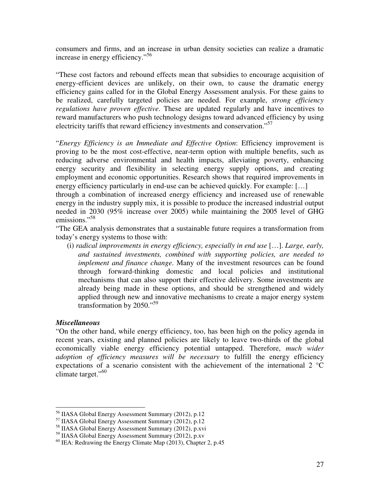consumers and firms, and an increase in urban density societies can realize a dramatic increase in energy efficiency."<sup>56</sup>

"These cost factors and rebound effects mean that subsidies to encourage acquisition of energy-efficient devices are unlikely, on their own, to cause the dramatic energy efficiency gains called for in the Global Energy Assessment analysis. For these gains to be realized, carefully targeted policies are needed. For example, *strong efficiency regulations have proven effective*. These are updated regularly and have incentives to reward manufacturers who push technology designs toward advanced efficiency by using electricity tariffs that reward efficiency investments and conservation."<sup>57</sup>

"*Energy Efficiency is an Immediate and Effective Option*: Efficiency improvement is proving to be the most cost-effective, near-term option with multiple benefits, such as reducing adverse environmental and health impacts, alleviating poverty, enhancing energy security and flexibility in selecting energy supply options, and creating employment and economic opportunities. Research shows that required improvements in energy efficiency particularly in end-use can be achieved quickly. For example: [...]

through a combination of increased energy efficiency and increased use of renewable energy in the industry supply mix, it is possible to produce the increased industrial output needed in 2030 (95% increase over 2005) while maintaining the 2005 level of GHG emissions."<sup>58</sup>

"The GEA analysis demonstrates that a sustainable future requires a transformation from today's energy systems to those with:

(i) *radical improvements in energy efficiency, especially in end use* […]. *Large, early, and sustained investments, combined with supporting policies, are needed to implement and finance change*. Many of the investment resources can be found through forward-thinking domestic and local policies and institutional mechanisms that can also support their effective delivery. Some investments are already being made in these options, and should be strengthened and widely applied through new and innovative mechanisms to create a major energy system transformation by  $2050.^{59}$ 

### *Miscellaneous*

"On the other hand, while energy efficiency, too, has been high on the policy agenda in recent years, existing and planned policies are likely to leave two-thirds of the global economically viable energy efficiency potential untapped. Therefore, *much wider adoption of efficiency measures will be necessary* to fulfill the energy efficiency expectations of a scenario consistent with the achievement of the international 2  $^{\circ}C$ climate target."<sup>60</sup>

 $\overline{a}$ <sup>56</sup> IIASA Global Energy Assessment Summary (2012), p.12

<sup>57</sup> IIASA Global Energy Assessment Summary (2012), p.12

<sup>58</sup> IIASA Global Energy Assessment Summary (2012), p.xvi

<sup>59</sup> IIASA Global Energy Assessment Summary (2012), p.xv

 $60$  IEA: Redrawing the Energy Climate Map (2013), Chapter 2, p.45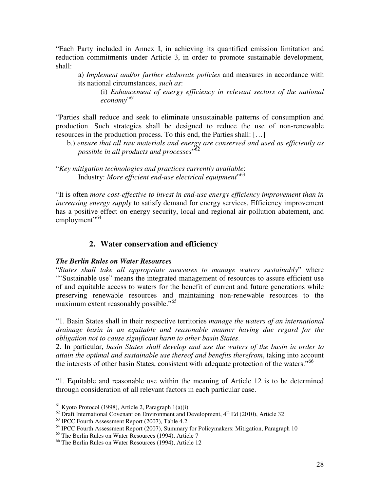"Each Party included in Annex I, in achieving its quantified emission limitation and reduction commitments under Article 3, in order to promote sustainable development, shall:

a) *Implement and/or further elaborate policies* and measures in accordance with its national circumstances, *such as*:

(i) *Enhancement of energy efficiency in relevant sectors of the national*  economy"<sup>61</sup>

"Parties shall reduce and seek to eliminate unsustainable patterns of consumption and production. Such strategies shall be designed to reduce the use of non-renewable resources in the production process. To this end, the Parties shall: […]

b.) *ensure that all raw materials and energy are conserved and used as efficiently as possible in all products and processes*" 62

"*Key mitigation technologies and practices currently available*: Industry: *More efficient end-use electrical equipment*" 63

"It is often *more cost-effective to invest in end-use energy efficiency improvement than in increasing energy supply* to satisfy demand for energy services. Efficiency improvement has a positive effect on energy security, local and regional air pollution abatement, and employment"<sup>64</sup>

# **2. Water conservation and efficiency**

### *The Berlin Rules on Water Resources*

"*States shall take all appropriate measures to manage waters sustainably*" where ""Sustainable use" means the integrated management of resources to assure efficient use of and equitable access to waters for the benefit of current and future generations while preserving renewable resources and maintaining non-renewable resources to the maximum extent reasonably possible."<sup>65</sup>

"1. Basin States shall in their respective territories *manage the waters of an international drainage basin in an equitable and reasonable manner having due regard for the obligation not to cause significant harm to other basin States*.

2. In particular, *basin States shall develop and use the waters of the basin in order to attain the optimal and sustainable use thereof and benefits therefrom*, taking into account the interests of other basin States, consistent with adequate protection of the waters."<sup>66</sup>

"1. Equitable and reasonable use within the meaning of Article 12 is to be determined through consideration of all relevant factors in each particular case.

 $61$  Kyoto Protocol (1998), Article 2, Paragraph  $1(a)(i)$ 

 $^{62}$  Draft International Covenant on Environment and Development,  $4^{\text{th}}$  Ed (2010), Article 32

<sup>63</sup> IPCC Fourth Assessment Report (2007), Table 4.2

<sup>&</sup>lt;sup>64</sup> IPCC Fourth Assessment Report (2007), Summary for Policymakers: Mitigation, Paragraph 10

 $65$  The Berlin Rules on Water Resources (1994), Article 7

<sup>66</sup> The Berlin Rules on Water Resources (1994), Article 12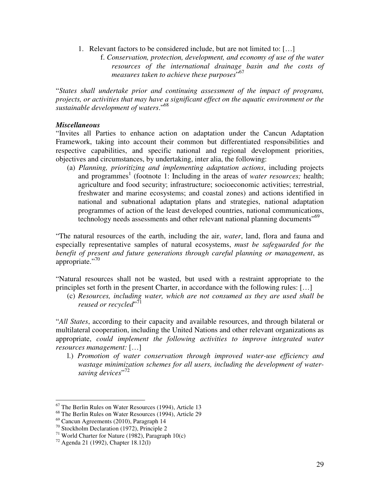- 1. Relevant factors to be considered include, but are not limited to: […]
	- f. *Conservation, protection, development, and economy of use of the water resources of the international drainage basin and the costs of measures taken to achieve these purposes*" 67

"*States shall undertake prior and continuing assessment of the impact of programs, projects, or activities that may have a significant effect on the aquatic environment or the sustainable development of waters*."<sup>68</sup>

#### *Miscellaneous*

"Invites all Parties to enhance action on adaptation under the Cancun Adaptation Framework, taking into account their common but differentiated responsibilities and respective capabilities, and specific national and regional development priorities, objectives and circumstances, by undertaking, inter alia, the following:

(a) *Planning, prioritizing and implementing adaptation actions*, including projects and programmes<sup>1</sup> (footnote 1: Including in the areas of *water resources*; health; agriculture and food security; infrastructure; socioeconomic activities; terrestrial, freshwater and marine ecosystems; and coastal zones) and actions identified in national and subnational adaptation plans and strategies, national adaptation programmes of action of the least developed countries, national communications, technology needs assessments and other relevant national planning documents<sup>"69</sup>

"The natural resources of the earth, including the air, *water*, land, flora and fauna and especially representative samples of natural ecosystems, *must be safeguarded for the benefit of present and future generations through careful planning or management*, as appropriate." $70$ 

"Natural resources shall not be wasted, but used with a restraint appropriate to the principles set forth in the present Charter, in accordance with the following rules: […]

(c) *Resources, including water, which are not consumed as they are used shall be reused or recycled*" 71

"*All States*, according to their capacity and available resources, and through bilateral or multilateral cooperation, including the United Nations and other relevant organizations as appropriate, *could implement the following activities to improve integrated water resources management:* […]

l.) *Promotion of water conservation through improved water-use efficiency and wastage minimization schemes for all users, including the development of water*saving devices"<sup>72</sup>

 $\overline{a}$ <sup>67</sup> The Berlin Rules on Water Resources (1994), Article 13

<sup>68</sup> The Berlin Rules on Water Resources (1994), Article 29

<sup>69</sup> Cancun Agreements (2010), Paragraph 14

<sup>70</sup> Stockholm Declaration (1972), Principle 2

<sup>&</sup>lt;sup>71</sup> World Charter for Nature (1982), Paragraph  $10(c)$ 

 $72$  Agenda 21 (1992), Chapter 18.12(1)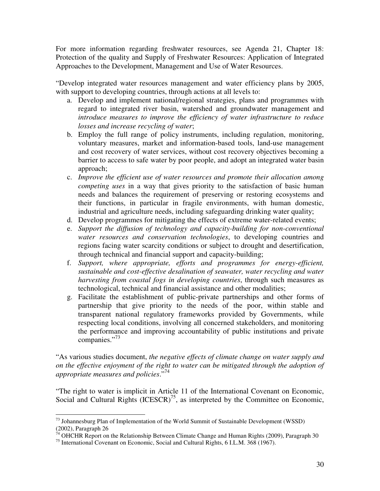For more information regarding freshwater resources, see Agenda 21, Chapter 18: Protection of the quality and Supply of Freshwater Resources: Application of Integrated Approaches to the Development, Management and Use of Water Resources.

"Develop integrated water resources management and water efficiency plans by 2005, with support to developing countries, through actions at all levels to:

- a. Develop and implement national/regional strategies, plans and programmes with regard to integrated river basin, watershed and groundwater management and *introduce measures to improve the efficiency of water infrastructure to reduce losses and increase recycling of water*;
- b. Employ the full range of policy instruments, including regulation, monitoring, voluntary measures, market and information-based tools, land-use management and cost recovery of water services, without cost recovery objectives becoming a barrier to access to safe water by poor people, and adopt an integrated water basin approach;
- c. *Improve the efficient use of water resources and promote their allocation among competing uses* in a way that gives priority to the satisfaction of basic human needs and balances the requirement of preserving or restoring ecosystems and their functions, in particular in fragile environments, with human domestic, industrial and agriculture needs, including safeguarding drinking water quality;
- d. Develop programmes for mitigating the effects of extreme water-related events;
- e. *Support the diffusion of technology and capacity-building for non-conventional water resources and conservation technologies*, to developing countries and regions facing water scarcity conditions or subject to drought and desertification, through technical and financial support and capacity-building;
- f. *Support, where appropriate, efforts and programmes for energy-efficient, sustainable and cost-effective desalination of seawater, water recycling and water harvesting from coastal fogs in developing countries*, through such measures as technological, technical and financial assistance and other modalities;
- g. Facilitate the establishment of public-private partnerships and other forms of partnership that give priority to the needs of the poor, within stable and transparent national regulatory frameworks provided by Governments, while respecting local conditions, involving all concerned stakeholders, and monitoring the performance and improving accountability of public institutions and private companies."<sup>73</sup>

"As various studies document, *the negative effects of climate change on water supply and on the effective enjoyment of the right to water can be mitigated through the adoption of appropriate measures and policies*."<sup>74</sup>

"The right to water is implicit in Article 11 of the International Covenant on Economic, Social and Cultural Rights  $(ICESCR)^{75}$ , as interpreted by the Committee on Economic,

 $73$  Johannesburg Plan of Implementation of the World Summit of Sustainable Development (WSSD) (2002), Paragraph 26

 $74$  OHCHR Report on the Relationship Between Climate Change and Human Rights (2009), Paragraph 30

<sup>&</sup>lt;sup>75</sup> International Covenant on Economic, Social and Cultural Rights, 6 I.L.M. 368 (1967).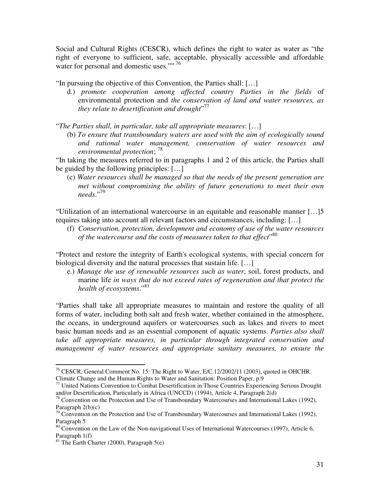Social and Cultural Rights (CESCR), which defines the right to water as water as "the right of everyone to sufficient, safe, acceptable, physically accessible and affordable water for personal and domestic uses.""<sup>76</sup>

"In pursuing the objective of this Convention, the Parties shall: […]

d.) *promote cooperation among affected country Parties in the fields* of environmental protection and *the conservation of land and water resources, as they relate to desertification and drought*" 77

"*The Parties shall, in particular, take all appropriate measures*: […]

(b) *To ensure that transboundary waters are used with the aim of ecologically sound and rational water management, conservation of water resources and environmental protection*; 78

"In taking the measures referred to in paragraphs 1 and 2 of this article, the Parties shall be guided by the following principles: […]

(c) *Water resources shall be managed so that the needs of the present generation are met without compromising the ability of future generations to meet their own needs*."<sup>79</sup>

"Utilization of an international watercourse in an equitable and reasonable manner […]5 requires taking into account all relevant factors and circumstances, including: […]

(f) *Conservation, protection, development and economy of use of the water resources*  of the watercourse and the costs of measures taken to that effect<sup>,80</sup>

"Protect and restore the integrity of Earth's ecological systems, with special concern for biological diversity and the natural processes that sustain life. […]

e.) *Manage the use of renewable resources such as water*, soil, forest products, and marine life *in ways that do not exceed rates of regeneration and that protect the health of ecosystems*."<sup>81</sup>

"Parties shall take all appropriate measures to maintain and restore the quality of all forms of water, including both salt and fresh water, whether contained in the atmosphere, the oceans, in underground aquifers or watercourses such as lakes and rivers to meet basic human needs and as an essential component of aquatic systems. *Parties also shall take all appropriate measures, in particular through integrated conservation and management of water resources and appropriate sanitary measures, to ensure the* 

 $\overline{a}$ <sup>76</sup> CESCR, General Comment No. 15: The Right to Water, E/C.12/2002/11 (2003), quoted in OHCHR Climate Change and the Human Rights to Water and Sanitation: Position Paper, p.9

<sup>&</sup>lt;sup>77</sup> United Nations Convention to Combat Desertification in Those Countries Experiencing Serious Drought and/or Desertification, Particularly in Africa (UNCCD) (1994), Article 4, Paragraph 2(d)

 $^{78}$  Convention on the Protection and Use of Transboundary Watercourses and International Lakes (1992), Paragraph 2(b)(c)

 $79$  Convention on the Protection and Use of Transboundary Watercourses and International Lakes (1992), Paragraph 5

<sup>&</sup>lt;sup>80</sup> Convention on the Law of the Non-navigational Uses of International Watercourses (1997), Article 6, Paragraph 1(f)

<sup>&</sup>lt;sup>81</sup> The Earth Charter (2000), Paragraph  $5(e)$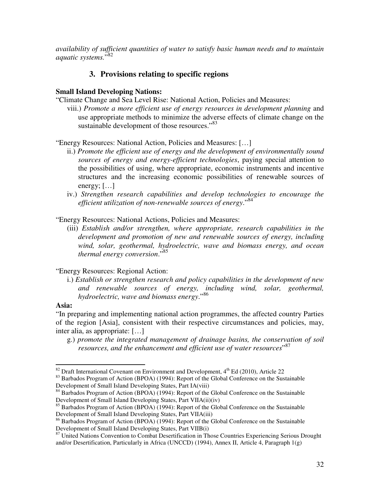*availability of sufficient quantities of water to satisfy basic human needs and to maintain aquatic systems.*" 82

# **3. Provisions relating to specific regions**

### **Small Island Developing Nations:**

"Climate Change and Sea Level Rise: National Action, Policies and Measures:

viii.) *Promote a more efficient use of energy resources in development planning* and use appropriate methods to minimize the adverse effects of climate change on the sustainable development of those resources."<sup>83</sup>

"Energy Resources: National Action, Policies and Measures: […]

- ii.) *Promote the efficient use of energy and the development of environmentally sound sources of energy and energy-efficient technologies*, paying special attention to the possibilities of using, where appropriate, economic instruments and incentive structures and the increasing economic possibilities of renewable sources of energy;  $[\ldots]$
- iv.) *Strengthen research capabilities and develop technologies to encourage the efficient utilization of non-renewable sources of energy*."<sup>84</sup>

"Energy Resources: National Actions, Policies and Measures:

(iii) *Establish and/or strengthen, where appropriate, research capabilities in the development and promotion of new and renewable sources of energy, including wind, solar, geothermal, hydroelectric, wave and biomass energy, and ocean thermal energy conversion*."<sup>85</sup>

### "Energy Resources: Regional Action:

i.) *Establish or strengthen research and policy capabilities in the development of new and renewable sources of energy, including wind, solar, geothermal, hydroelectric, wave and biomass energy*."<sup>86</sup>

### **Asia:**

"In preparing and implementing national action programmes, the affected country Parties of the region [Asia], consistent with their respective circumstances and policies, may, inter alia, as appropriate: […]

g.) *promote the integrated management of drainage basins, the conservation of soil resources, and the enhancement and efficient use of water resources*" 87

 $\overline{a}$  $82$  Draft International Covenant on Environment and Development,  $4<sup>th</sup>$  Ed (2010), Article 22

<sup>&</sup>lt;sup>83</sup> Barbados Program of Action (BPOA) (1994): Report of the Global Conference on the Sustainable Development of Small Island Developing States, Part IA(viii)

 $84$  Barbados Program of Action (BPOA) (1994): Report of the Global Conference on the Sustainable Development of Small Island Developing States, Part VIIA(ii)(iv)

<sup>&</sup>lt;sup>85</sup> Barbados Program of Action (BPOA) (1994): Report of the Global Conference on the Sustainable Development of Small Island Developing States, Part VIIA(iii)

<sup>&</sup>lt;sup>86</sup> Barbados Program of Action (BPOA) (1994): Report of the Global Conference on the Sustainable Development of Small Island Developing States, Part VIIB(i)

<sup>&</sup>lt;sup>87</sup> United Nations Convention to Combat Desertification in Those Countries Experiencing Serious Drought and/or Desertification, Particularly in Africa (UNCCD) (1994), Annex II, Article 4, Paragraph 1(g)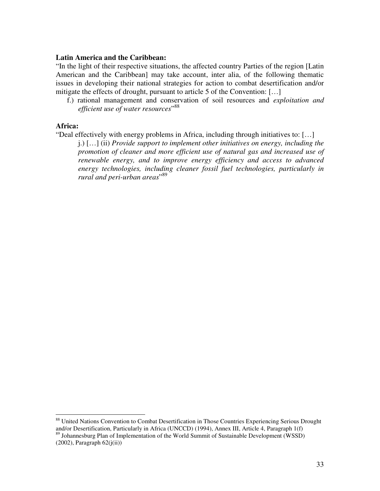#### **Latin America and the Caribbean:**

"In the light of their respective situations, the affected country Parties of the region [Latin American and the Caribbean] may take account, inter alia, of the following thematic issues in developing their national strategies for action to combat desertification and/or mitigate the effects of drought, pursuant to article 5 of the Convention: […]

f.) rational management and conservation of soil resources and *exploitation and efficient use of water resources*" 88

#### **Africa:**

 $\overline{a}$ 

"Deal effectively with energy problems in Africa, including through initiatives to: […]

j.) […] (ii) *Provide support to implement other initiatives on energy, including the promotion of cleaner and more efficient use of natural gas and increased use of renewable energy, and to improve energy efficiency and access to advanced energy technologies, including cleaner fossil fuel technologies, particularly in rural and peri-urban areas*" 89

<sup>88</sup> United Nations Convention to Combat Desertification in Those Countries Experiencing Serious Drought and/or Desertification, Particularly in Africa (UNCCD) (1994), Annex III, Article 4, Paragraph 1(f) <sup>89</sup> Johannesburg Plan of Implementation of the World Summit of Sustainable Development (WSSD)

<sup>(2002),</sup> Paragraph 62(j(ii))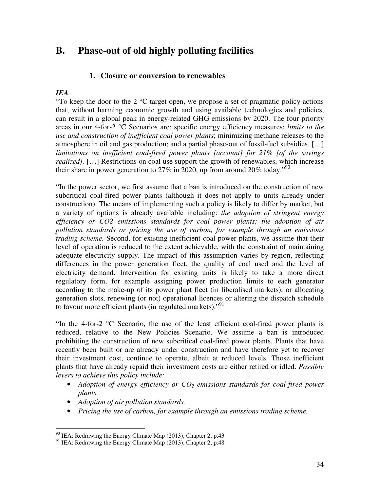# **B. Phase-out of old highly polluting facilities**

# **1. Closure or conversion to renewables**

# *IEA*

 $\overline{1}$ 

"To keep the door to the  $2 \text{ °C}$  target open, we propose a set of pragmatic policy actions that, without harming economic growth and using available technologies and policies, can result in a global peak in energy-related GHG emissions by 2020. The four priority areas in our 4-for-2 °C Scenarios are: specific energy efficiency measures; *limits to the use and construction of inefficient coal power plants*; minimizing methane releases to the atmosphere in oil and gas production; and a partial phase-out of fossil-fuel subsidies. […] *limitations on inefficient coal-fired power plants [account] for 21% [of the savings realized]*. [...] Restrictions on coal use support the growth of renewables, which increase their share in power generation to 27% in 2020, up from around 20% today.<sup>"90</sup>

"In the power sector, we first assume that a ban is introduced on the construction of new subcritical coal-fired power plants (although it does not apply to units already under construction). The means of implementing such a policy is likely to differ by market, but a variety of options is already available including: *the adoption of stringent energy efficiency or CO2 emissions standards for coal power plants; the adoption of air pollution standards or pricing the use of carbon, for example through an emissions trading scheme.* Second, for existing inefficient coal power plants, we assume that their level of operation is reduced to the extent achievable, with the constraint of maintaining adequate electricity supply. The impact of this assumption varies by region, reflecting differences in the power generation fleet, the quality of coal used and the level of electricity demand. Intervention for existing units is likely to take a more direct regulatory form, for example assigning power production limits to each generator according to the make-up of its power plant fleet (in liberalised markets), or allocating generation slots, renewing (or not) operational licences or altering the dispatch schedule to favour more efficient plants (in regulated markets)."<sup>91</sup>

"In the 4-for-2 °C Scenario, the use of the least efficient coal-fired power plants is reduced, relative to the New Policies Scenario. We assume a ban is introduced prohibiting the construction of new subcritical coal-fired power plants. Plants that have recently been built or are already under construction and have therefore yet to recover their investment cost, continue to operate, albeit at reduced levels. Those inefficient plants that have already repaid their investment costs are either retired or idled. *Possible levers to achieve this policy include:* 

- *Adoption of energy efficiency or CO2 emissions standards for coal-fired power plants.*
- *Adoption of air pollution standards.*
- *Pricing the use of carbon, for example through an emissions trading scheme.*

 $90$  IEA: Redrawing the Energy Climate Map (2013), Chapter 2, p.43

<sup>&</sup>lt;sup>91</sup> IEA: Redrawing the Energy Climate Map (2013), Chapter 2, p.48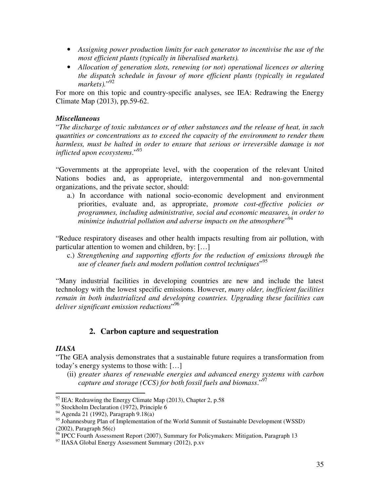- *Assigning power production limits for each generator to incentivise the use of the most efficient plants (typically in liberalised markets).*
- *Allocation of generation slots, renewing (or not) operational licences or altering the dispatch schedule in favour of more efficient plants (typically in regulated*  markets)."<sup>92</sup>

For more on this topic and country-specific analyses, see IEA: Redrawing the Energy Climate Map (2013), pp.59-62.

### *Miscellaneous*

"*The discharge of toxic substances or of other substances and the release of heat, in such quantities or concentrations as to exceed the capacity of the environment to render them harmless, must be halted in order to ensure that serious or irreversible damage is not inflicted upon ecosystems*."<sup>93</sup>

"Governments at the appropriate level, with the cooperation of the relevant United Nations bodies and, as appropriate, intergovernmental and non-governmental organizations, and the private sector, should:

a.) In accordance with national socio-economic development and environment priorities, evaluate and, as appropriate, *promote cost-effective policies or programmes, including administrative, social and economic measures, in order to minimize industrial pollution and adverse impacts on the atmosphere*" 94

"Reduce respiratory diseases and other health impacts resulting from air pollution, with particular attention to women and children, by: […]

c.) *Strengthening and supporting efforts for the reduction of emissions through the use of cleaner fuels and modern pollution control techniques*" 95

"Many industrial facilities in developing countries are new and include the latest technology with the lowest specific emissions. However, *many older, inefficient facilities remain in both industrialized and developing countries. Upgrading these facilities can deliver significant emission reductions*" 96

### **2. Carbon capture and sequestration**

### *IIASA*

 $\overline{a}$ 

"The GEA analysis demonstrates that a sustainable future requires a transformation from today's energy systems to those with: […]

(ii) *greater shares of renewable energies and advanced energy systems with carbon capture and storage (CCS) for both fossil fuels and biomass*."<sup>97</sup>

 $92$  IEA: Redrawing the Energy Climate Map (2013), Chapter 2, p.58

 $93$  Stockholm Declaration (1972), Principle 6

<sup>94</sup> Agenda 21 (1992), Paragraph 9.18(a)

<sup>&</sup>lt;sup>95</sup> Johannesburg Plan of Implementation of the World Summit of Sustainable Development (WSSD) (2002), Paragraph 56(c)

<sup>&</sup>lt;sup>96</sup> IPCC Fourth Assessment Report (2007), Summary for Policymakers: Mitigation, Paragraph 13

 $97$  IIASA Global Energy Assessment Summary (2012), p.xv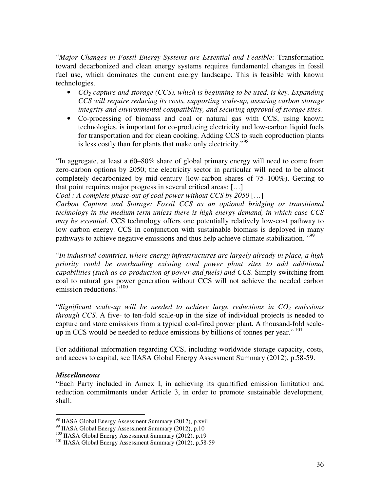"*Major Changes in Fossil Energy Systems are Essential and Feasible:* Transformation toward decarbonized and clean energy systems requires fundamental changes in fossil fuel use, which dominates the current energy landscape. This is feasible with known technologies.

- *CO2 capture and storage (CCS), which is beginning to be used, is key. Expanding CCS will require reducing its costs, supporting scale-up, assuring carbon storage integrity and environmental compatibility, and securing approval of storage sites.*
- Co-processing of biomass and coal or natural gas with CCS, using known technologies, is important for co-producing electricity and low-carbon liquid fuels for transportation and for clean cooking. Adding CCS to such coproduction plants is less costly than for plants that make only electricity."<sup>98</sup>

"In aggregate, at least a 60–80% share of global primary energy will need to come from zero-carbon options by 2050; the electricity sector in particular will need to be almost completely decarbonized by mid-century (low-carbon shares of 75–100%). Getting to that point requires major progress in several critical areas: […]

*Coal : A complete phase-out of coal power without CCS by 2050* […]

*Carbon Capture and Storage: Fossil CCS as an optional bridging or transitional technology in the medium term unless there is high energy demand, in which case CCS may be essential*. CCS technology offers one potentially relatively low-cost pathway to low carbon energy. CCS in conjunction with sustainable biomass is deployed in many pathways to achieve negative emissions and thus help achieve climate stabilization. "<sup>99</sup>

"*In industrial countries, where energy infrastructures are largely already in place, a high priority could be overhauling existing coal power plant sites to add additional capabilities (such as co-production of power and fuels) and CCS*. Simply switching from coal to natural gas power generation without CCS will not achieve the needed carbon emission reductions."<sup>100</sup>

"*Significant scale-up will be needed to achieve large reductions in CO2 emissions through CCS.* A five- to ten-fold scale-up in the size of individual projects is needed to capture and store emissions from a typical coal-fired power plant. A thousand-fold scaleup in CCS would be needed to reduce emissions by billions of tonnes per year."<sup>101</sup>

For additional information regarding CCS, including worldwide storage capacity, costs, and access to capital, see IIASA Global Energy Assessment Summary (2012), p.58-59.

### *Miscellaneous*

 $\overline{a}$ 

"Each Party included in Annex I, in achieving its quantified emission limitation and reduction commitments under Article 3, in order to promote sustainable development, shall:

<sup>&</sup>lt;sup>98</sup> IIASA Global Energy Assessment Summary (2012), p.xvii

<sup>&</sup>lt;sup>99</sup> IIASA Global Energy Assessment Summary (2012), p.10

<sup>&</sup>lt;sup>100</sup> IIASA Global Energy Assessment Summary (2012), p.19

<sup>&</sup>lt;sup>101</sup> IIASA Global Energy Assessment Summary (2012), p.58-59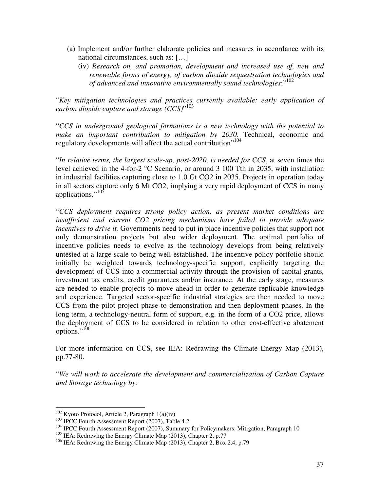- (a) Implement and/or further elaborate policies and measures in accordance with its national circumstances, such as: […]
	- (iv) *Research on, and promotion, development and increased use of, new and renewable forms of energy, of carbon dioxide sequestration technologies and of advanced and innovative environmentally sound technologies*;"<sup>102</sup>

"*Key mitigation technologies and practices currently available: early application of carbon dioxide capture and storage (CCS)*" 103

"*CCS in underground geological formations is a new technology with the potential to make an important contribution to mitigation by 2030*. Technical, economic and regulatory developments will affect the actual contribution"<sup>104</sup>

"*In relative terms, the largest scale-up, post-2020, is needed for CCS*, at seven times the level achieved in the 4-for-2 °C Scenario, or around 3 100 Tth in 2035, with installation in industrial facilities capturing close to 1.0 Gt CO2 in 2035. Projects in operation today in all sectors capture only 6 Mt CO2, implying a very rapid deployment of CCS in many applications."<sup>105</sup>

"*CCS deployment requires strong policy action, as present market conditions are*  insufficient and current CO2 pricing mechanisms have failed to provide adequate *incentives to drive it.* Governments need to put in place incentive policies that support not only demonstration projects but also wider deployment. The optimal portfolio of incentive policies needs to evolve as the technology develops from being relatively untested at a large scale to being well-established. The incentive policy portfolio should initially be weighted towards technology-specific support, explicitly targeting the development of CCS into a commercial activity through the provision of capital grants, investment tax credits, credit guarantees and/or insurance. At the early stage, measures are needed to enable projects to move ahead in order to generate replicable knowledge and experience. Targeted sector-specific industrial strategies are then needed to move CCS from the pilot project phase to demonstration and then deployment phases. In the long term, a technology-neutral form of support, e.g. in the form of a CO2 price, allows the deployment of CCS to be considered in relation to other cost-effective abatement options."<sup>106</sup>

For more information on CCS, see IEA: Redrawing the Climate Energy Map (2013), pp.77-80.

"*We will work to accelerate the development and commercialization of Carbon Capture and Storage technology by:*

 $\overline{a}$  $102$  Kyoto Protocol, Article 2, Paragraph  $1(a)(iv)$ 

<sup>&</sup>lt;sup>103</sup> IPCC Fourth Assessment Report (2007), Table 4.2

<sup>&</sup>lt;sup>104</sup> IPCC Fourth Assessment Report (2007), Summary for Policymakers: Mitigation, Paragraph 10

 $105$  IEA: Redrawing the Energy Climate Map (2013), Chapter 2, p.77

<sup>&</sup>lt;sup>106</sup> IEA: Redrawing the Energy Climate Map (2013), Chapter 2, Box 2.4, p.79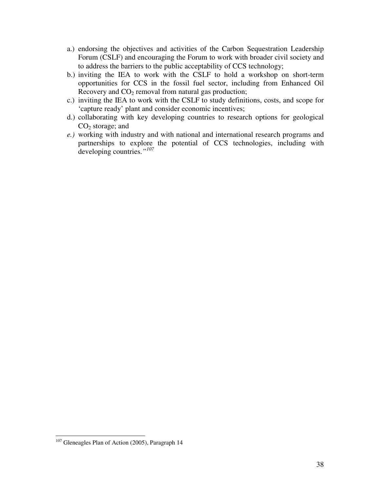- a.) endorsing the objectives and activities of the Carbon Sequestration Leadership Forum (CSLF) and encouraging the Forum to work with broader civil society and to address the barriers to the public acceptability of CCS technology;
- b.) inviting the IEA to work with the CSLF to hold a workshop on short-term opportunities for CCS in the fossil fuel sector, including from Enhanced Oil Recovery and  $CO<sub>2</sub>$  removal from natural gas production;
- c.) inviting the IEA to work with the CSLF to study definitions, costs, and scope for 'capture ready' plant and consider economic incentives;
- d.) collaborating with key developing countries to research options for geological  $CO<sub>2</sub>$  storage; and
- *e.)* working with industry and with national and international research programs and partnerships to explore the potential of CCS technologies, including with developing countries.*" 107*

<sup>&</sup>lt;sup>107</sup> Gleneagles Plan of Action (2005), Paragraph 14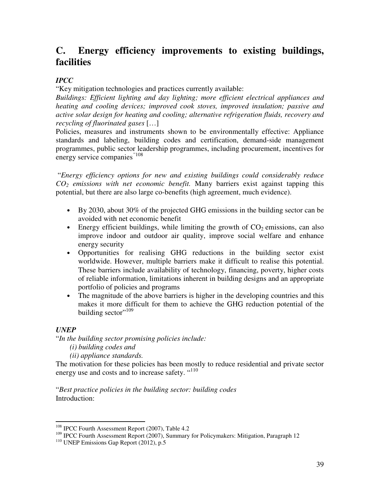# **C. Energy efficiency improvements to existing buildings, facilities**

## *IPCC*

"Key mitigation technologies and practices currently available:

*Buildings: Efficient lighting and day lighting; more efficient electrical appliances and heating and cooling devices; improved cook stoves, improved insulation; passive and active solar design for heating and cooling; alternative refrigeration fluids, recovery and recycling of fluorinated gases* […]

Policies, measures and instruments shown to be environmentally effective: Appliance standards and labeling, building codes and certification, demand-side management programmes, public sector leadership programmes, including procurement, incentives for energy service companies*"*<sup>108</sup>

 "*Energy efficiency options for new and existing buildings could considerably reduce CO2 emissions with net economic benefit.* Many barriers exist against tapping this potential, but there are also large co-benefits (high agreement, much evidence).

- By 2030, about 30% of the projected GHG emissions in the building sector can be avoided with net economic benefit
- Energy efficient buildings, while limiting the growth of  $CO<sub>2</sub>$  emissions, can also improve indoor and outdoor air quality, improve social welfare and enhance energy security
- Opportunities for realising GHG reductions in the building sector exist worldwide. However, multiple barriers make it difficult to realise this potential. These barriers include availability of technology, financing, poverty, higher costs of reliable information, limitations inherent in building designs and an appropriate portfolio of policies and programs
- The magnitude of the above barriers is higher in the developing countries and this makes it more difficult for them to achieve the GHG reduction potential of the building sector"<sup>109</sup>

## *UNEP*

 $\overline{a}$ 

"*In the building sector promising policies include:*

*(i) building codes and* 

*(ii) appliance standards.* 

The motivation for these policies has been mostly to reduce residential and private sector energy use and costs and to increase safety. "<sup>110</sup>

"*Best practice policies in the building sector: building codes* Introduction:

<sup>&</sup>lt;sup>108</sup> IPCC Fourth Assessment Report (2007), Table 4.2

<sup>&</sup>lt;sup>109</sup> IPCC Fourth Assessment Report (2007), Summary for Policymakers: Mitigation, Paragraph 12

 $110$  UNEP Emissions Gap Report (2012), p.5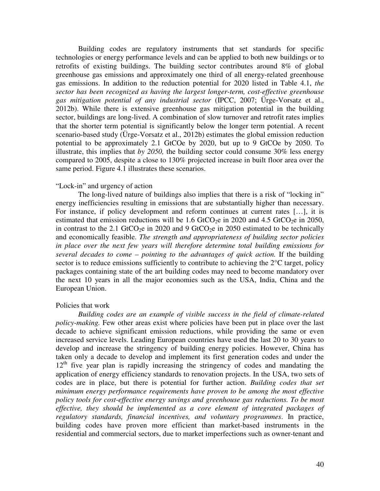Building codes are regulatory instruments that set standards for specific technologies or energy performance levels and can be applied to both new buildings or to retrofits of existing buildings. The building sector contributes around 8% of global greenhouse gas emissions and approximately one third of all energy-related greenhouse gas emissions. In addition to the reduction potential for 2020 listed in Table 4.1, *the sector has been recognized as having the largest longer-term, cost-effective greenhouse gas mitigation potential of any industrial sector* (IPCC, 2007; Ürge-Vorsatz et al., 2012b). While there is extensive greenhouse gas mitigation potential in the building sector, buildings are long-lived. A combination of slow turnover and retrofit rates implies that the shorter term potential is significantly below the longer term potential. A recent scenario-based study (Urge-Vorsatz et al., 2012b) estimates the global emission reduction potential to be approximately 2.1 GtCOe by 2020, but up to 9 GtCOe by 2050. To illustrate, this implies that *by 2050,* the building sector could consume 30% less energy compared to 2005, despite a close to 130% projected increase in built floor area over the same period. Figure 4.1 illustrates these scenarios.

#### "Lock-in" and urgency of action

The long-lived nature of buildings also implies that there is a risk of "locking in" energy inefficiencies resulting in emissions that are substantially higher than necessary. For instance, if policy development and reform continues at current rates […], it is estimated that emission reductions will be 1.6 GtCO<sub>2</sub>e in 2020 and 4.5 GtCO<sub>2</sub>e in 2050, in contrast to the 2.1 GtCO<sub>2</sub>e in 2020 and 9 GtCO<sub>2</sub>e in 2050 estimated to be technically and economically feasible. *The strength and appropriateness of building sector policies in place over the next few years will therefore determine total building emissions for several decades to come – pointing to the advantages of quick action.* If the building sector is to reduce emissions sufficiently to contribute to achieving the 2<sup>o</sup>C target, policy packages containing state of the art building codes may need to become mandatory over the next 10 years in all the major economies such as the USA, India, China and the European Union.

#### Policies that work

*Building codes are an example of visible success in the field of climate-related policy-making.* Few other areas exist where policies have been put in place over the last decade to achieve significant emission reductions, while providing the same or even increased service levels. Leading European countries have used the last 20 to 30 years to develop and increase the stringency of building energy policies. However, China has taken only a decade to develop and implement its first generation codes and under the  $12<sup>th</sup>$  five year plan is rapidly increasing the stringency of codes and mandating the application of energy efficiency standards to renovation projects. In the USA, two sets of codes are in place, but there is potential for further action. *Building codes that set minimum energy performance requirements have proven to be among the most effective policy tools for cost-effective energy savings and greenhouse gas reductions. To be most effective, they should be implemented as a core element of integrated packages of regulatory standards, financial incentives, and voluntary programmes*. In practice, building codes have proven more efficient than market-based instruments in the residential and commercial sectors, due to market imperfections such as owner-tenant and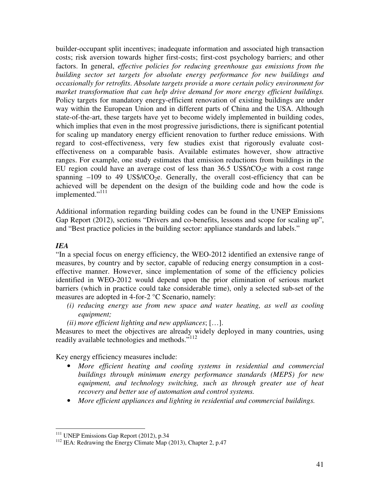builder-occupant split incentives; inadequate information and associated high transaction costs; risk aversion towards higher first-costs; first-cost psychology barriers; and other factors. In general, *effective policies for reducing greenhouse gas emissions from the building sector set targets for absolute energy performance for new buildings and occasionally for retrofits*. *Absolute targets provide a more certain policy environment for market transformation that can help drive demand for more energy efficient buildings.* Policy targets for mandatory energy-efficient renovation of existing buildings are under way within the European Union and in different parts of China and the USA. Although state-of-the-art, these targets have yet to become widely implemented in building codes, which implies that even in the most progressive jurisdictions, there is significant potential for scaling up mandatory energy efficient renovation to further reduce emissions. With regard to cost-effectiveness, very few studies exist that rigorously evaluate costeffectiveness on a comparable basis. Available estimates however, show attractive ranges. For example, one study estimates that emission reductions from buildings in the EU region could have an average cost of less than  $36.5$  US\$/tCO<sub>2</sub>e with a cost range spanning  $-109$  to 49 US\$/tCO<sub>2</sub>e. Generally, the overall cost-efficiency that can be achieved will be dependent on the design of the building code and how the code is implemented."<sup>111</sup>

Additional information regarding building codes can be found in the UNEP Emissions Gap Report (2012), sections "Drivers and co-benefits, lessons and scope for scaling up", and "Best practice policies in the building sector: appliance standards and labels."

### *IEA*

"In a special focus on energy efficiency, the WEO-2012 identified an extensive range of measures, by country and by sector, capable of reducing energy consumption in a costeffective manner. However, since implementation of some of the efficiency policies identified in WEO-2012 would depend upon the prior elimination of serious market barriers (which in practice could take considerable time), only a selected sub-set of the measures are adopted in 4-for-2 °C Scenario, namely:

- *(i) reducing energy use from new space and water heating, as well as cooling equipment;*
- *(ii) more efficient lighting and new appliances*; […].

Measures to meet the objectives are already widely deployed in many countries, using readily available technologies and methods."<sup>112</sup>

Key energy efficiency measures include:

- *More efficient heating and cooling systems in residential and commercial buildings through minimum energy performance standards (MEPS) for new equipment, and technology switching, such as through greater use of heat recovery and better use of automation and control systems.*
- *More efficient appliances and lighting in residential and commercial buildings.*

 $\overline{\phantom{a}}$  $111$  UNEP Emissions Gap Report (2012), p.34

 $112$  IEA: Redrawing the Energy Climate Map (2013), Chapter 2, p.47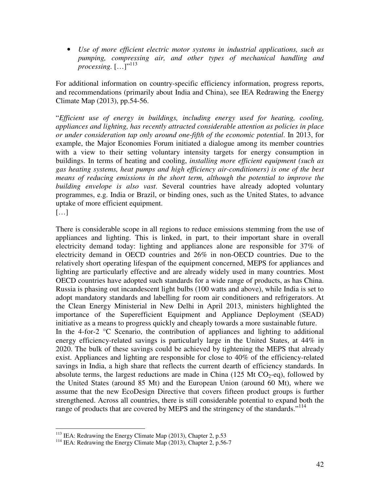• *Use of more efficient electric motor systems in industrial applications, such as pumping, compressing air, and other types of mechanical handling and*   $processing.$   $\lceil ... \rceil$ <sup>,113</sup>

For additional information on country-specific efficiency information, progress reports, and recommendations (primarily about India and China), see IEA Redrawing the Energy Climate Map (2013), pp.54-56.

"*Efficient use of energy in buildings, including energy used for heating, cooling, appliances and lighting, has recently attracted considerable attention as policies in place or under consideration tap only around one-fifth of the economic potential*. In 2013, for example, the Major Economies Forum initiated a dialogue among its member countries with a view to their setting voluntary intensity targets for energy consumption in buildings. In terms of heating and cooling, *installing more efficient equipment (such as gas heating systems, heat pumps and high efficiency air-conditioners) is one of the best means of reducing emissions in the short term, although the potential to improve the building envelope is also vast*. Several countries have already adopted voluntary programmes, e.g. India or Brazil, or binding ones, such as the United States, to advance uptake of more efficient equipment.

[…]

 $\overline{\phantom{a}}$ 

There is considerable scope in all regions to reduce emissions stemming from the use of appliances and lighting. This is linked, in part, to their important share in overall electricity demand today: lighting and appliances alone are responsible for 37% of electricity demand in OECD countries and 26% in non-OECD countries. Due to the relatively short operating lifespan of the equipment concerned, MEPS for appliances and lighting are particularly effective and are already widely used in many countries. Most OECD countries have adopted such standards for a wide range of products, as has China. Russia is phasing out incandescent light bulbs (100 watts and above), while India is set to adopt mandatory standards and labelling for room air conditioners and refrigerators. At the Clean Energy Ministerial in New Delhi in April 2013, ministers highlighted the importance of the Superefficient Equipment and Appliance Deployment (SEAD) initiative as a means to progress quickly and cheaply towards a more sustainable future. In the 4-for-2  $\degree$ C Scenario, the contribution of appliances and lighting to additional energy efficiency-related savings is particularly large in the United States, at 44% in 2020. The bulk of these savings could be achieved by tightening the MEPS that already exist. Appliances and lighting are responsible for close to 40% of the efficiency-related savings in India, a high share that reflects the current dearth of efficiency standards. In absolute terms, the largest reductions are made in China (125 Mt  $CO<sub>2</sub>$ -eq), followed by the United States (around 85 Mt) and the European Union (around 60 Mt), where we assume that the new EcoDesign Directive that covers fifteen product groups is further strengthened. Across all countries, there is still considerable potential to expand both the range of products that are covered by MEPS and the stringency of the standards."<sup>114</sup>

 $113$  IEA: Redrawing the Energy Climate Map (2013), Chapter 2, p.53

<sup>&</sup>lt;sup>114</sup> IEA: Redrawing the Energy Climate Map (2013), Chapter 2, p.56-7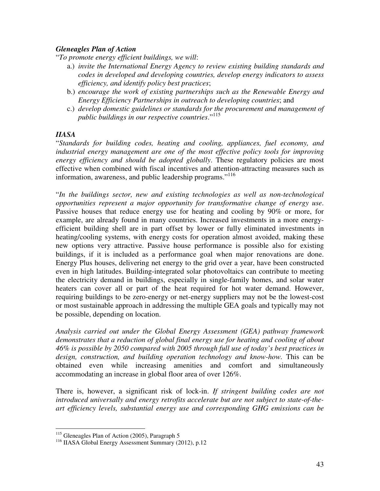## *Gleneagles Plan of Action*

"*To promote energy efficient buildings, we will*:

- a.) *invite the International Energy Agency to review existing building standards and codes in developed and developing countries, develop energy indicators to assess efficiency, and identify policy best practices*;
- b.) *encourage the work of existing partnerships such as the Renewable Energy and Energy Efficiency Partnerships in outreach to developing countries*; and
- c.) *develop domestic guidelines or standards for the procurement and management of public buildings in our respective countries*."<sup>115</sup>

## *IIASA*

"*Standards for building codes, heating and cooling, appliances, fuel economy, and industrial energy management are one of the most effective policy tools for improving energy efficiency and should be adopted globally*. These regulatory policies are most effective when combined with fiscal incentives and attention-attracting measures such as information, awareness, and public leadership programs."<sup>116</sup>

"*In the buildings sector, new and existing technologies as well as non-technological opportunities represent a major opportunity for transformative change of energy use*. Passive houses that reduce energy use for heating and cooling by 90% or more, for example, are already found in many countries. Increased investments in a more energyefficient building shell are in part offset by lower or fully eliminated investments in heating/cooling systems, with energy costs for operation almost avoided, making these new options very attractive. Passive house performance is possible also for existing buildings, if it is included as a performance goal when major renovations are done. Energy Plus houses, delivering net energy to the grid over a year, have been constructed even in high latitudes. Building-integrated solar photovoltaics can contribute to meeting the electricity demand in buildings, especially in single-family homes, and solar water heaters can cover all or part of the heat required for hot water demand. However, requiring buildings to be zero-energy or net-energy suppliers may not be the lowest-cost or most sustainable approach in addressing the multiple GEA goals and typically may not be possible, depending on location.

*Analysis carried out under the Global Energy Assessment (GEA) pathway framework demonstrates that a reduction of global final energy use for heating and cooling of about 46% is possible by 2050 compared with 2005 through full use of today's best practices in design, construction, and building operation technology and know-how.* This can be obtained even while increasing amenities and comfort and simultaneously accommodating an increase in global floor area of over 126%.

There is, however, a significant risk of lock-in. *If stringent building codes are not introduced universally and energy retrofits accelerate but are not subject to state-of-theart efficiency levels, substantial energy use and corresponding GHG emissions can be* 

 $\overline{\phantom{a}}$ <sup>115</sup> Gleneagles Plan of Action (2005), Paragraph 5

<sup>&</sup>lt;sup>116</sup> IIASA Global Energy Assessment Summary (2012), p.12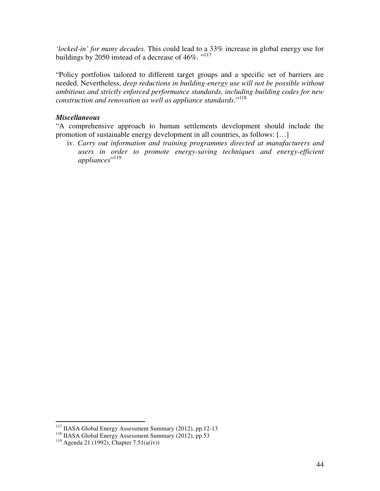*'locked-in' for many decades.* This could lead to a 33% increase in global energy use for buildings by 2050 instead of a decrease of 46%. "<sup>117</sup>

"Policy portfolios tailored to different target groups and a specific set of barriers are needed. Nevertheless, *deep reductions in building-energy use will not be possible without ambitious and strictly enforced performance standards, including building codes for new construction and renovation as well as appliance standards*."<sup>118</sup>

### *Miscellaneous*

"A comprehensive approach to human settlements development should include the promotion of sustainable energy development in all countries, as follows: […]

iv. *Carry out information and training programmes directed at manufacturers and users in order to promote energy-saving techniques and energy-efficient*  appliances"<sup>119</sup>

 $\overline{a}$ <sup>117</sup> IIASA Global Energy Assessment Summary (2012), pp.12-13

<sup>&</sup>lt;sup>118</sup> IIASA Global Energy Assessment Summary (2012), pp.53

 $119$  Agenda 21 (1992), Chapter 7.51(a(iv))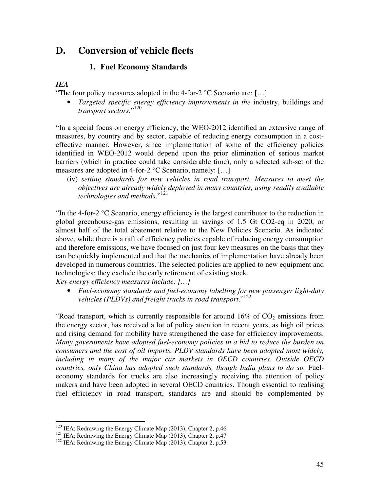# **D. Conversion of vehicle fleets**

## **1. Fuel Economy Standards**

### *IEA*

"The four policy measures adopted in the 4-for-2  $\degree$ C Scenario are: [...]

• *Targeted specific energy efficiency improvements in the industry, buildings and transport sectors*."<sup>120</sup>

"In a special focus on energy efficiency, the WEO-2012 identified an extensive range of measures, by country and by sector, capable of reducing energy consumption in a costeffective manner. However, since implementation of some of the efficiency policies identified in WEO-2012 would depend upon the prior elimination of serious market barriers (which in practice could take considerable time), only a selected sub-set of the measures are adopted in 4-for-2 °C Scenario, namely: [...]

(iv) *setting standards for new vehicles in road transport. Measures to meet the objectives are already widely deployed in many countries, using readily available technologies and methods*."<sup>121</sup>

"In the 4-for-2 °C Scenario, energy efficiency is the largest contributor to the reduction in global greenhouse-gas emissions, resulting in savings of 1.5 Gt CO2-eq in 2020, or almost half of the total abatement relative to the New Policies Scenario. As indicated above, while there is a raft of efficiency policies capable of reducing energy consumption and therefore emissions, we have focused on just four key measures on the basis that they can be quickly implemented and that the mechanics of implementation have already been developed in numerous countries. The selected policies are applied to new equipment and technologies: they exclude the early retirement of existing stock.

*Key energy efficiency measures include: […]* 

• *Fuel-economy standards and fuel-economy labelling for new passenger light-duty vehicles (PLDVs) and freight trucks in road transport*."<sup>122</sup>

"Road transport, which is currently responsible for around  $16\%$  of  $CO<sub>2</sub>$  emissions from the energy sector, has received a lot of policy attention in recent years, as high oil prices and rising demand for mobility have strengthened the case for efficiency improvements. *Many governments have adopted fuel-economy policies in a bid to reduce the burden on consumers and the cost of oil imports. PLDV standards have been adopted most widely, including in many of the major car markets in OECD countries. Outside OECD countries, only China has adopted such standards, though India plans to do so.* Fueleconomy standards for trucks are also increasingly receiving the attention of policy makers and have been adopted in several OECD countries. Though essential to realising fuel efficiency in road transport, standards are and should be complemented by

 $\overline{a}$  $120$  IEA: Redrawing the Energy Climate Map (2013), Chapter 2, p.46

<sup>&</sup>lt;sup>121</sup> IEA: Redrawing the Energy Climate Map (2013), Chapter 2, p.47

 $122$  IEA: Redrawing the Energy Climate Map (2013), Chapter 2, p.53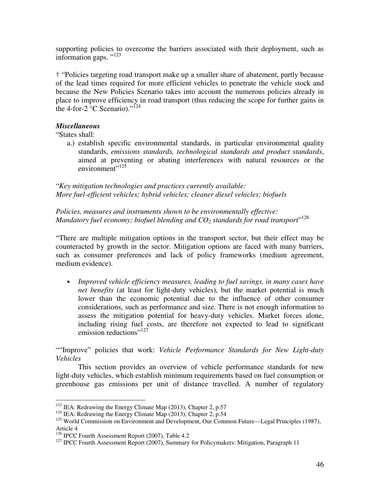supporting policies to overcome the barriers associated with their deployment, such as information gaps. "<sup>123</sup>

† "Policies targeting road transport make up a smaller share of abatement, partly because of the lead times required for more efficient vehicles to penetrate the vehicle stock and because the New Policies Scenario takes into account the numerous policies already in place to improve efficiency in road transport (thus reducing the scope for further gains in the 4-for-2  $\mathrm{^{\circ}C}$  Scenario)."<sup>124</sup>

## *Miscellaneous*

"States shall:

a.) establish specific environmental standards, in particular environmental quality standards, *emissions standards, technological standards and product standards*, aimed at preventing or abating interferences with natural resources or the environment"<sup>125</sup>

"*Key mitigation technologies and practices currently available: More fuel-efficient vehicles; hybrid vehicles; cleaner diesel vehicles; biofuels* 

*Policies, measures and instruments shown to be environmentally effective: Mandatory fuel economy; biofuel blending and CO2 standards for road transport*" 126

"There are multiple mitigation options in the transport sector, but their effect may be counteracted by growth in the sector. Mitigation options are faced with many barriers, such as consumer preferences and lack of policy frameworks (medium agreement, medium evidence).

• *Improved vehicle efficiency measures, leading to fuel savings, in many cases have net benefits* (at least for light-duty vehicles), but the market potential is much lower than the economic potential due to the influence of other consumer considerations, such as performance and size. There is not enough information to assess the mitigation potential for heavy-duty vehicles. Market forces alone, including rising fuel costs, are therefore not expected to lead to significant emission reductions"<sup>127</sup>

""Improve" policies that work: *Vehicle Performance Standards for New Light-duty Vehicles* 

This section provides an overview of vehicle performance standards for new light-duty vehicles, which establish minimum requirements based on fuel consumption or greenhouse gas emissions per unit of distance travelled. A number of regulatory

 $\overline{a}$  $123$  IEA: Redrawing the Energy Climate Map (2013), Chapter 2, p.57

<sup>&</sup>lt;sup>124</sup> IEA: Redrawing the Energy Climate Map (2013), Chapter 2, p.54

<sup>&</sup>lt;sup>125</sup> World Commission on Environment and Development, Our Common Future—Legal Principles (1987), Article 4

<sup>&</sup>lt;sup>126</sup> IPCC Fourth Assessment Report (2007), Table 4.2

<sup>&</sup>lt;sup>127</sup> IPCC Fourth Assessment Report (2007), Summary for Policymakers: Mitigation, Paragraph 11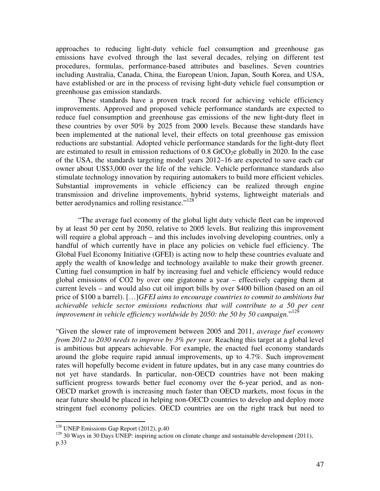approaches to reducing light-duty vehicle fuel consumption and greenhouse gas emissions have evolved through the last several decades, relying on different test procedures, formulas, performance-based attributes and baselines. Seven countries including Australia, Canada, China, the European Union, Japan, South Korea, and USA, have established or are in the process of revising light-duty vehicle fuel consumption or greenhouse gas emission standards.

These standards have a proven track record for achieving vehicle efficiency improvements. Approved and proposed vehicle performance standards are expected to reduce fuel consumption and greenhouse gas emissions of the new light-duty fleet in these countries by over 50% by 2025 from 2000 levels. Because these standards have been implemented at the national level, their effects on total greenhouse gas emission reductions are substantial. Adopted vehicle performance standards for the light-duty fleet are estimated to result in emission reductions of  $0.8$  GtCO<sub>2</sub>e globally in 2020. In the case of the USA, the standards targeting model years 2012–16 are expected to save each car owner about US\$3,000 over the life of the vehicle. Vehicle performance standards also stimulate technology innovation by requiring automakers to build more efficient vehicles. Substantial improvements in vehicle efficiency can be realized through engine transmission and driveline improvements, hybrid systems, lightweight materials and better aerodynamics and rolling resistance."<sup>128</sup>

"The average fuel economy of the global light duty vehicle fleet can be improved by at least 50 per cent by 2050, relative to 2005 levels. But realizing this improvement will require a global approach – and this includes involving developing countries, only a handful of which currently have in place any policies on vehicle fuel efficiency. The Global Fuel Economy Initiative (GFEI) is acting now to help these countries evaluate and apply the wealth of knowledge and technology available to make their growth greener. Cutting fuel consumption in half by increasing fuel and vehicle efficiency would reduce global emissions of CO2 by over one gigatonne a year – effectively capping them at current levels – and would also cut oil import bills by over \$400 billion (based on an oil price of \$100 a barrel). […]*GFEI aims to encourage countries to commit to ambitions but achievable vehicle sector emissions reductions that will contribute to a 50 per cent improvement in vehicle efficiency worldwide by 2050: the 50 by 50 campaign.*" 129

"Given the slower rate of improvement between 2005 and 2011, *average fuel economy from 2012 to 2030 needs to improve by 3% per year.* Reaching this target at a global level is ambitious but appears achievable. For example, the enacted fuel economy standards around the globe require rapid annual improvements, up to 4.7%. Such improvement rates will hopefully become evident in future updates, but in any case many countries do not yet have standards. In particular, non-OECD countries have not been making sufficient progress towards better fuel economy over the 6-year period, and as non-OECD market growth is increasing much faster than OECD markets, most focus in the near future should be placed in helping non-OECD countries to develop and deploy more stringent fuel economy policies. OECD countries are on the right track but need to

<sup>&</sup>lt;sup>128</sup> UNEP Emissions Gap Report (2012), p.40

 $129$  30 Ways in 30 Days UNEP: inspiring action on climate change and sustainable development (2011),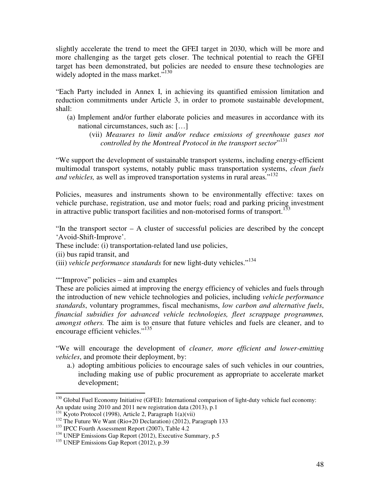slightly accelerate the trend to meet the GFEI target in 2030, which will be more and more challenging as the target gets closer. The technical potential to reach the GFEI target has been demonstrated, but policies are needed to ensure these technologies are widely adopted in the mass market."<sup>130</sup>

"Each Party included in Annex I, in achieving its quantified emission limitation and reduction commitments under Article 3, in order to promote sustainable development, shall:

- (a) Implement and/or further elaborate policies and measures in accordance with its national circumstances, such as: […]
	- (vii) *Measures to limit and/or reduce emissions of greenhouse gases not controlled by the Montreal Protocol in the transport sector*" 131

"We support the development of sustainable transport systems, including energy-efficient multimodal transport systems, notably public mass transportation systems, *clean fuels and vehicles,* as well as improved transportation systems in rural areas*.*" 132

Policies, measures and instruments shown to be environmentally effective: taxes on vehicle purchase, registration, use and motor fuels; road and parking pricing investment in attractive public transport facilities and non-motorised forms of transport.<sup>133</sup>

"In the transport sector – A cluster of successful policies are described by the concept 'Avoid-Shift-Improve'.

These include: (i) transportation-related land use policies,

(ii) bus rapid transit, and

(iii) *vehicle performance standards* for new light-duty vehicles."<sup>134</sup>

""Improve" policies – aim and examples

These are policies aimed at improving the energy efficiency of vehicles and fuels through the introduction of new vehicle technologies and policies, including *vehicle performance standards*, voluntary programmes, fiscal mechanisms, *low carbon and alternative fuels*, *financial subsidies for advanced vehicle technologies, fleet scrappage programmes, amongst others.* The aim is to ensure that future vehicles and fuels are cleaner, and to encourage efficient vehicles."<sup>135</sup>

"We will encourage the development of *cleaner, more efficient and lower-emitting vehicles*, and promote their deployment, by:

a.) adopting ambitious policies to encourage sales of such vehicles in our countries, including making use of public procurement as appropriate to accelerate market development;

 $\overline{a}$ <sup>130</sup> Global Fuel Economy Initiative (GFEI): International comparison of light-duty vehicle fuel economy: An update using 2010 and 2011 new registration data (2013), p.1

<sup>&</sup>lt;sup>131</sup> Kyoto Protocol (1998), Article 2, Paragraph  $1(a)(vi)$ 

<sup>&</sup>lt;sup>132</sup> The Future We Want (Rio+20 Declaration) (2012), Paragraph 133

<sup>&</sup>lt;sup>133</sup> IPCC Fourth Assessment Report (2007), Table 4.2

 $134$  UNEP Emissions Gap Report (2012), Executive Summary, p.5

<sup>&</sup>lt;sup>135</sup> UNEP Emissions Gap Report (2012), p.39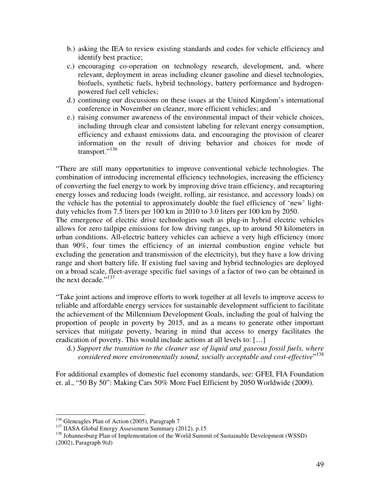- b.) asking the IEA to review existing standards and codes for vehicle efficiency and identify best practice;
- c.) encouraging co-operation on technology research, development, and, where relevant, deployment in areas including cleaner gasoline and diesel technologies, biofuels, synthetic fuels, hybrid technology, battery performance and hydrogenpowered fuel cell vehicles;
- d.) continuing our discussions on these issues at the United Kingdom's international conference in November on cleaner, more efficient vehicles; and
- e.) raising consumer awareness of the environmental impact of their vehicle choices, including through clear and consistent labeling for relevant energy consumption, efficiency and exhaust emissions data, and encouraging the provision of clearer information on the result of driving behavior and choices for mode of transport."<sup>136</sup>

"There are still many opportunities to improve conventional vehicle technologies. The combination of introducing incremental efficiency technologies, increasing the efficiency of converting the fuel energy to work by improving drive train efficiency, and recapturing energy losses and reducing loads (weight, rolling, air resistance, and accessory loads) on the vehicle has the potential to approximately double the fuel efficiency of 'new' lightduty vehicles from 7.5 liters per 100 km in 2010 to 3.0 liters per 100 km by 2050.

The emergence of electric drive technologies such as plug-in hybrid electric vehicles allows for zero tailpipe emissions for low driving ranges, up to around 50 kilometers in urban conditions. All-electric battery vehicles can achieve a very high efficiency (more than 90%, four times the efficiency of an internal combustion engine vehicle but excluding the generation and transmission of the electricity), but they have a low driving range and short battery life. If existing fuel saving and hybrid technologies are deployed on a broad scale, fleet-average specific fuel savings of a factor of two can be obtained in the next decade."<sup>137</sup>

"Take joint actions and improve efforts to work together at all levels to improve access to reliable and affordable energy services for sustainable development sufficient to facilitate the achievement of the Millennium Development Goals, including the goal of halving the proportion of people in poverty by 2015, and as a means to generate other important services that mitigate poverty, bearing in mind that access to energy facilitates the eradication of poverty. This would include actions at all levels to: […]

d.) *Support the transition to the cleaner use of liquid and gaseous fossil fuels, where considered more environmentally sound, socially acceptable and cost-effective*" 138

For additional examples of domestic fuel economy standards, see: GFEI, FIA Foundation et. al., "50 By 50": Making Cars 50% More Fuel Efficient by 2050 Worldwide (2009).

<sup>&</sup>lt;sup>136</sup> Gleneagles Plan of Action (2005), Paragraph 7

<sup>&</sup>lt;sup>137</sup> IIASA Global Energy Assessment Summary (2012), p.15

<sup>&</sup>lt;sup>138</sup> Johannesburg Plan of Implementation of the World Summit of Sustainable Development (WSSD) (2002), Paragraph 9(d)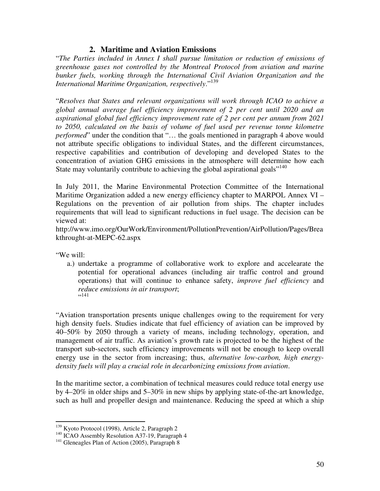## **2. Maritime and Aviation Emissions**

"*The Parties included in Annex I shall pursue limitation or reduction of emissions of greenhouse gases not controlled by the Montreal Protocol from aviation and marine bunker fuels, working through the International Civil Aviation Organization and the International Maritime Organization, respectively*."<sup>139</sup>

"*Resolves that States and relevant organizations will work through ICAO to achieve a global annual average fuel efficiency improvement of 2 per cent until 2020 and an aspirational global fuel efficiency improvement rate of 2 per cent per annum from 2021 to 2050, calculated on the basis of volume of fuel used per revenue tonne kilometre performed*" under the condition that "... the goals mentioned in paragraph 4 above would not attribute specific obligations to individual States, and the different circumstances, respective capabilities and contribution of developing and developed States to the concentration of aviation GHG emissions in the atmosphere will determine how each State may voluntarily contribute to achieving the global aspirational goals"<sup>140</sup>

In July 2011, the Marine Environmental Protection Committee of the International Maritime Organization added a new energy efficiency chapter to MARPOL Annex VI – Regulations on the prevention of air pollution from ships. The chapter includes requirements that will lead to significant reductions in fuel usage. The decision can be viewed at:

http://www.imo.org/OurWork/Environment/PollutionPrevention/AirPollution/Pages/Brea kthrought-at-MEPC-62.aspx

"We will:

 $\overline{a}$ 

a.) undertake a programme of collaborative work to explore and accelearate the potential for operational advances (including air traffic control and ground operations) that will continue to enhance safety, *improve fuel efficiency* and *reduce emissions in air transport*; "141

"Aviation transportation presents unique challenges owing to the requirement for very high density fuels. Studies indicate that fuel efficiency of aviation can be improved by 40–50% by 2050 through a variety of means, including technology, operation, and management of air traffic. As aviation's growth rate is projected to be the highest of the transport sub-sectors, such efficiency improvements will not be enough to keep overall energy use in the sector from increasing; thus, *alternative low-carbon, high energydensity fuels will play a crucial role in decarbonizing emissions from aviation*.

In the maritime sector, a combination of technical measures could reduce total energy use by 4–20% in older ships and 5–30% in new ships by applying state-of-the-art knowledge, such as hull and propeller design and maintenance. Reducing the speed at which a ship

<sup>&</sup>lt;sup>139</sup> Kyoto Protocol (1998), Article 2, Paragraph 2

<sup>&</sup>lt;sup>140</sup> ICAO Assembly Resolution A37-19, Paragraph 4

<sup>&</sup>lt;sup>141</sup> Gleneagles Plan of Action (2005), Paragraph 8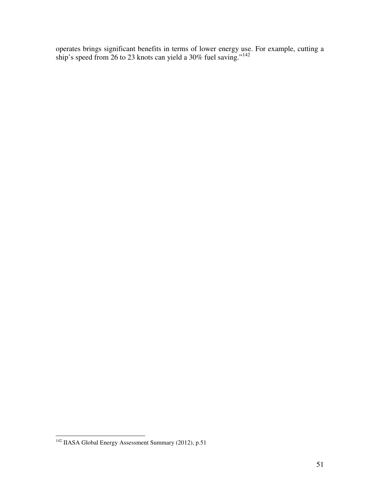operates brings significant benefits in terms of lower energy use. For example, cutting a ship's speed from 26 to 23 knots can yield a 30% fuel saving."<sup>142</sup>

 $\mathbb{R}^n$ 

 $\overline{a}$ <sup>142</sup> IIASA Global Energy Assessment Summary (2012), p.51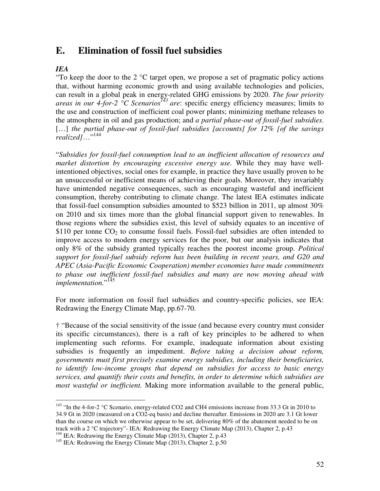# **E. Elimination of fossil fuel subsidies**

#### *IEA*

 $\overline{a}$ 

"To keep the door to the  $2 \text{ °C}$  target open, we propose a set of pragmatic policy actions that, without harming economic growth and using available technologies and policies, can result in a global peak in energy-related GHG emissions by 2020. *The four priority areas in our 4-for-2*  $\rm{^{\circ}C}$  *Scenarios*<sup> $143$ </sup> *are*: specific energy efficiency measures; limits to the use and construction of inefficient coal power plants; minimizing methane releases to the atmosphere in oil and gas production; and *a partial phase-out of fossil-fuel subsidies*. [...] *the partial phase-out of fossil-fuel subsidies [accounts] for 12% [of the savings realized]*…"<sup>144</sup>

"*Subsidies for fossil-fuel consumption lead to an inefficient allocation of resources and market distortion by encouraging excessive energy use.* While they may have wellintentioned objectives, social ones for example, in practice they have usually proven to be an unsuccessful or inefficient means of achieving their goals. Moreover, they invariably have unintended negative consequences, such as encouraging wasteful and inefficient consumption, thereby contributing to climate change. The latest IEA estimates indicate that fossil-fuel consumption subsidies amounted to \$523 billion in 2011, up almost  $30\%$ on 2010 and six times more than the global financial support given to renewables. In those regions where the subsidies exist, this level of subsidy equates to an incentive of \$110 per tonne  $CO<sub>2</sub>$  to consume fossil fuels. Fossil-fuel subsidies are often intended to improve access to modern energy services for the poor, but our analysis indicates that only 8% of the subsidy granted typically reaches the poorest income group. *Political support for fossil-fuel subsidy reform has been building in recent years, and G20 and APEC (Asia-Pacific Economic Cooperation) member economies have made commitments to phase out inefficient fossil-fuel subsidies and many are now moving ahead with implementation.*"<sup>145</sup>

For more information on fossil fuel subsidies and country-specific policies, see IEA: Redrawing the Energy Climate Map, pp.67-70.

† "Because of the social sensitivity of the issue (and because every country must consider its specific circumstances), there is a raft of key principles to be adhered to when implementing such reforms. For example, inadequate information about existing subsidies is frequently an impediment. *Before taking a decision about reform, governments must first precisely examine energy subsidies, including their beneficiaries, to identify low-income groups that depend on subsidies for access to basic energy services, and quantify their costs and benefits, in order to determine which subsidies are most wasteful or inefficient.* Making more information available to the general public,

<sup>&</sup>lt;sup>143</sup> "In the 4-for-2 °C Scenario, energy-related CO2 and CH4 emissions increase from 33.3 Gt in 2010 to 34.9 Gt in 2020 (measured on a CO2-eq basis) and decline thereafter. Emissions in 2020 are 3.1 Gt lower than the course on which we otherwise appear to be set, delivering 80% of the abatement needed to be on track with a 2 °C trajectory"- IEA: Redrawing the Energy Climate Map (2013), Chapter 2, p.43

<sup>&</sup>lt;sup>144</sup> IEA: Redrawing the Energy Climate Map (2013), Chapter 2, p.43

 $145$  IEA: Redrawing the Energy Climate Map (2013), Chapter 2, p.50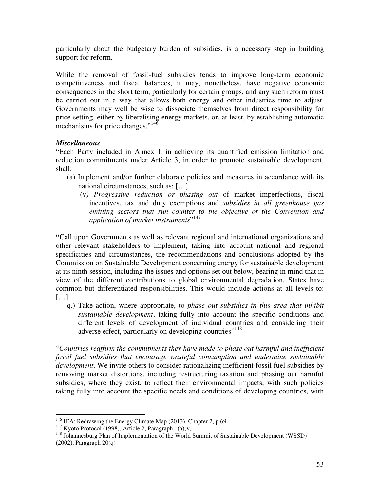particularly about the budgetary burden of subsidies, is a necessary step in building support for reform.

While the removal of fossil-fuel subsidies tends to improve long-term economic competitiveness and fiscal balances, it may, nonetheless, have negative economic consequences in the short term, particularly for certain groups, and any such reform must be carried out in a way that allows both energy and other industries time to adjust. Governments may well be wise to dissociate themselves from direct responsibility for price-setting, either by liberalising energy markets, or, at least, by establishing automatic mechanisms for price changes."<sup>146</sup>

## *Miscellaneous*

"Each Party included in Annex I, in achieving its quantified emission limitation and reduction commitments under Article 3, in order to promote sustainable development, shall:

- (a) Implement and/or further elaborate policies and measures in accordance with its national circumstances, such as: […]
	- (v*) Progressive reduction or phasing out* of market imperfections, fiscal incentives, tax and duty exemptions and *subsidies in all greenhouse gas emitting sectors that run counter to the objective of the Convention and application of market instruments*" 147

**"**Call upon Governments as well as relevant regional and international organizations and other relevant stakeholders to implement, taking into account national and regional specificities and circumstances, the recommendations and conclusions adopted by the Commission on Sustainable Development concerning energy for sustainable development at its ninth session, including the issues and options set out below, bearing in mind that in view of the different contributions to global environmental degradation, States have common but differentiated responsibilities. This would include actions at all levels to:  $[\ldots]$ 

q.) Take action, where appropriate, to *phase out subsidies in this area that inhibit sustainable development*, taking fully into account the specific conditions and different levels of development of individual countries and considering their adverse effect, particularly on developing countries"<sup>148</sup>

"*Countries reaffirm the commitments they have made to phase out harmful and inefficient fossil fuel subsidies that encourage wasteful consumption and undermine sustainable development*. We invite others to consider rationalizing inefficient fossil fuel subsidies by removing market distortions, including restructuring taxation and phasing out harmful subsidies, where they exist, to reflect their environmental impacts, with such policies taking fully into account the specific needs and conditions of developing countries, with

<sup>&</sup>lt;sup>146</sup> IEA: Redrawing the Energy Climate Map (2013), Chapter 2, p.69

<sup>&</sup>lt;sup>147</sup> Kyoto Protocol (1998), Article 2, Paragraph  $1(a)(v)$ 

<sup>&</sup>lt;sup>148</sup> Johannesburg Plan of Implementation of the World Summit of Sustainable Development (WSSD) (2002), Paragraph 20(q)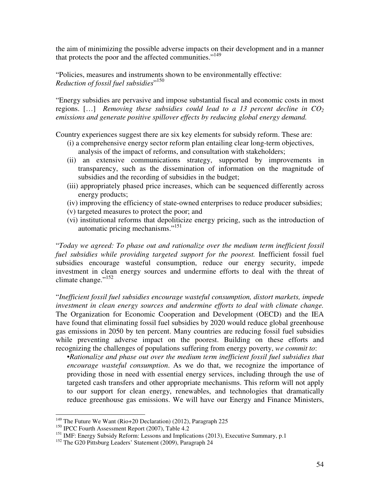the aim of minimizing the possible adverse impacts on their development and in a manner that protects the poor and the affected communities."<sup>149</sup>

"Policies, measures and instruments shown to be environmentally effective: *Reduction of fossil fuel subsidies*" 150

"Energy subsidies are pervasive and impose substantial fiscal and economic costs in most regions. […] *Removing these subsidies could lead to a 13 percent decline in CO<sup>2</sup> emissions and generate positive spillover effects by reducing global energy demand.* 

Country experiences suggest there are six key elements for subsidy reform. These are:

- (i) a comprehensive energy sector reform plan entailing clear long-term objectives, analysis of the impact of reforms, and consultation with stakeholders;
- (ii) an extensive communications strategy, supported by improvements in transparency, such as the dissemination of information on the magnitude of subsidies and the recording of subsidies in the budget;
- (iii) appropriately phased price increases, which can be sequenced differently across energy products;
- (iv) improving the efficiency of state-owned enterprises to reduce producer subsidies;
- (v) targeted measures to protect the poor; and
- (vi) institutional reforms that depoliticize energy pricing, such as the introduction of automatic pricing mechanisms."<sup>151</sup>

"*Today we agreed: To phase out and rationalize over the medium term inefficient fossil fuel subsidies while providing targeted support for the poorest.* Inefficient fossil fuel subsidies encourage wasteful consumption, reduce our energy security, impede investment in clean energy sources and undermine efforts to deal with the threat of climate change." $152$ 

"*Inefficient fossil fuel subsidies encourage wasteful consumption, distort markets, impede investment in clean energy sources and undermine efforts to deal with climate change.* The Organization for Economic Cooperation and Development (OECD) and the IEA have found that eliminating fossil fuel subsidies by 2020 would reduce global greenhouse gas emissions in 2050 by ten percent. Many countries are reducing fossil fuel subsidies while preventing adverse impact on the poorest. Building on these efforts and recognizing the challenges of populations suffering from energy poverty, *we commit to*:

•*Rationalize and phase out over the medium term inefficient fossil fuel subsidies that encourage wasteful consumption*. As we do that, we recognize the importance of providing those in need with essential energy services, including through the use of targeted cash transfers and other appropriate mechanisms. This reform will not apply to our support for clean energy, renewables, and technologies that dramatically reduce greenhouse gas emissions. We will have our Energy and Finance Ministers,

<sup>&</sup>lt;sup>149</sup> The Future We Want (Rio+20 Declaration) (2012), Paragraph 225

<sup>&</sup>lt;sup>150</sup> IPCC Fourth Assessment Report (2007), Table 4.2

<sup>&</sup>lt;sup>151</sup> IMF: Energy Subsidy Reform: Lessons and Implications (2013), Executive Summary, p.1

<sup>&</sup>lt;sup>152</sup> The G20 Pittsburg Leaders' Statement (2009), Paragraph 24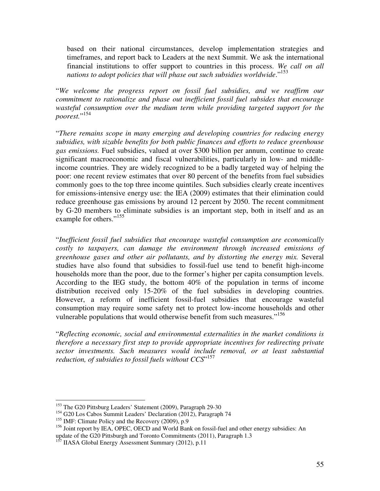based on their national circumstances, develop implementation strategies and timeframes, and report back to Leaders at the next Summit. We ask the international financial institutions to offer support to countries in this process. *We call on all nations to adopt policies that will phase out such subsidies worldwide*."<sup>153</sup>

"*We welcome the progress report on fossil fuel subsidies, and we reaffirm our commitment to rationalize and phase out inefficient fossil fuel subsides that encourage wasteful consumption over the medium term while providing targeted support for the poorest.*" 154

"*There remains scope in many emerging and developing countries for reducing energy subsidies, with sizable benefits for both public finances and efforts to reduce greenhouse gas emissions.* Fuel subsidies, valued at over \$300 billion per annum, continue to create significant macroeconomic and fiscal vulnerabilities, particularly in low- and middleincome countries. They are widely recognized to be a badly targeted way of helping the poor: one recent review estimates that over 80 percent of the benefits from fuel subsidies commonly goes to the top three income quintiles. Such subsidies clearly create incentives for emissions-intensive energy use: the IEA (2009) estimates that their elimination could reduce greenhouse gas emissions by around 12 percent by 2050. The recent commitment by G-20 members to eliminate subsidies is an important step, both in itself and as an example for others."<sup>155</sup>

"*Inefficient fossil fuel subsidies that encourage wasteful consumption are economically costly to taxpayers, can damage the environment through increased emissions of greenhouse gases and other air pollutants, and by distorting the energy mix.* Several studies have also found that subsidies to fossil-fuel use tend to benefit high-income households more than the poor, due to the former's higher per capita consumption levels. According to the IEG study, the bottom 40% of the population in terms of income distribution received only 15-20% of the fuel subsidies in developing countries. However, a reform of inefficient fossil-fuel subsidies that encourage wasteful consumption may require some safety net to protect low-income households and other vulnerable populations that would otherwise benefit from such measures."<sup>156</sup>

"*Reflecting economic, social and environmental externalities in the market conditions is therefore a necessary first step to provide appropriate incentives for redirecting private sector investments. Such measures would include removal, or at least substantial reduction, of subsidies to fossil fuels without CCS*" 157

<sup>&</sup>lt;sup>153</sup> The G20 Pittsburg Leaders' Statement (2009), Paragraph 29-30

<sup>154</sup> G20 Los Cabos Summit Leaders' Declaration (2012), Paragraph 74

<sup>&</sup>lt;sup>155</sup> IMF: Climate Policy and the Recovery (2009), p.9

<sup>&</sup>lt;sup>156</sup> Joint report by IEA, OPEC, OECD and World Bank on fossil-fuel and other energy subsidies: An update of the G20 Pittsburgh and Toronto Commitments (2011), Paragraph 1.3

 $157$  IIASA Global Energy Assessment Summary (2012), p.11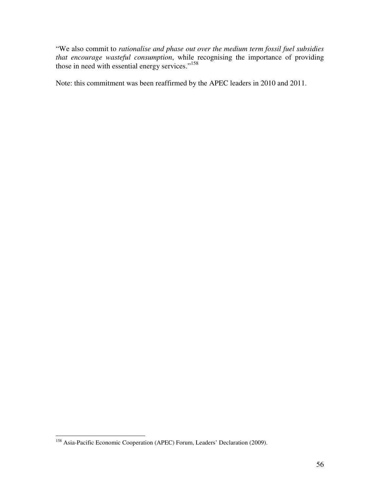"We also commit to *rationalise and phase out over the medium term fossil fuel subsidies that encourage wasteful consumption*, while recognising the importance of providing those in need with essential energy services."<sup>158</sup>

Note: this commitment was been reaffirmed by the APEC leaders in 2010 and 2011.

 $\overline{a}$ <sup>158</sup> Asia-Pacific Economic Cooperation (APEC) Forum, Leaders' Declaration (2009).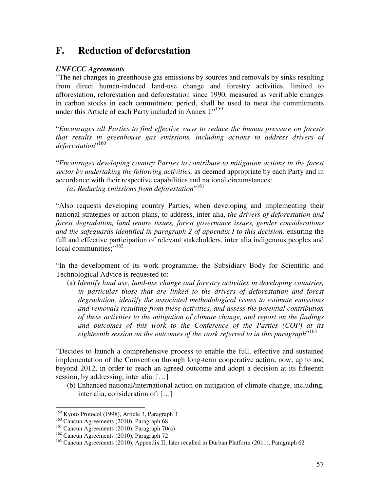# **F. Reduction of deforestation**

#### *UNFCCC Agreements*

"The net changes in greenhouse gas emissions by sources and removals by sinks resulting from direct human-induced land-use change and forestry activities, limited to afforestation, reforestation and deforestation since 1990, measured as verifiable changes in carbon stocks in each commitment period, shall be used to meet the commitments under this Article of each Party included in Annex I."<sup>159</sup>

"*Encourages all Parties to find effective ways to reduce the human pressure on forests that results in greenhouse gas emissions, including actions to address drivers of deforestation*" 160

"*Encourages developing country Parties to contribute to mitigation actions in the forest sector by undertaking the following activities,* as deemed appropriate by each Party and in accordance with their respective capabilities and national circumstances:

*(a) Reducing emissions from deforestation*" 161

"Also requests developing country Parties, when developing and implementing their national strategies or action plans, to address, inter alia, *the drivers of deforestation and forest degradation, land tenure issues, forest governance issues, gender considerations and the safeguards identified in paragraph 2 of appendix I to this decision, ensuring the* full and effective participation of relevant stakeholders, inter alia indigenous peoples and local communities; $"162"$ 

"In the development of its work programme, the Subsidiary Body for Scientific and Technological Advice is requested to:

(a) *Identify land use, land-use change and forestry activities in developing countries, in particular those that are linked to the drivers of deforestation and forest degradation, identify the associated methodological issues to estimate emissions and removals resulting from these activities, and assess the potential contribution of these activities to the mitigation of climate change, and report on the findings and outcomes of this work to the Conference of the Parties (COP) at its eighteenth session on the outcomes of the work referred to in this paragraph*" 163

"Decides to launch a comprehensive process to enable the full, effective and sustained implementation of the Convention through long-term cooperative action, now, up to and beyond 2012, in order to reach an agreed outcome and adopt a decision at its fifteenth session, by addressing, inter alia: […]

(b) Enhanced national/international action on mitigation of climate change, including, inter alia, consideration of: […]

<sup>&</sup>lt;sup>159</sup> Kyoto Protocol (1998), Article 3, Paragraph 3

<sup>&</sup>lt;sup>160</sup> Cancun Agreements (2010), Paragraph 68

<sup>&</sup>lt;sup>161</sup> Cancun Agreements (2010), Paragraph 70(a)

 $162$  Cancun Agreements (2010), Paragraph 72

<sup>&</sup>lt;sup>163</sup> Cancun Agreements (2010), Appendix II; later recalled in Durban Platform (2011), Paragraph 62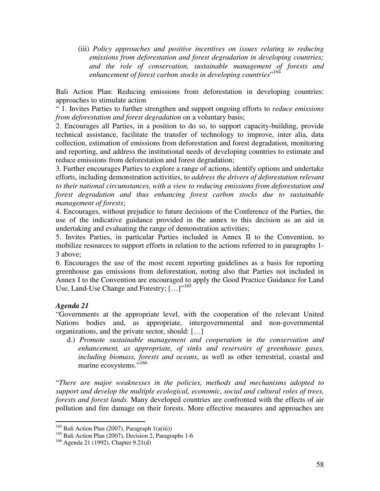(iii) *Policy approaches and positive incentives on issues relating to reducing emissions from deforestation and forest degradation in developing countries; and the role of conservation, sustainable management of forests and enhancement of forest carbon stocks in developing countries*" 164

Bali Action Plan: Reducing emissions from deforestation in developing countries: approaches to stimulate action

" 1. Invites Parties to further strengthen and support ongoing efforts to *reduce emissions from deforestation and forest degradation* on a voluntary basis;

2. Encourages all Parties, in a position to do so, to support capacity-building, provide technical assistance, facilitate the transfer of technology to improve, inter alia, data collection, estimation of emissions from deforestation and forest degradation, monitoring and reporting, and address the institutional needs of developing countries to estimate and reduce emissions from deforestation and forest degradation;

3. Further encourages Parties to explore a range of actions, identify options and undertake efforts, including demonstration activities, to *address the drivers of deforestation relevant to their national circumstances, with a view to reducing emissions from deforestation and forest degradation and thus enhancing forest carbon stocks due to sustainable management of forests*;

4. Encourages, without prejudice to future decisions of the Conference of the Parties, the use of the indicative guidance provided in the annex to this decision as an aid in undertaking and evaluating the range of demonstration activities;

5. Invites Parties, in particular Parties included in Annex II to the Convention, to mobilize resources to support efforts in relation to the actions referred to in paragraphs 1- 3 above;

6. Encourages the use of the most recent reporting guidelines as a basis for reporting greenhouse gas emissions from deforestation, noting also that Parties not included in Annex I to the Convention are encouraged to apply the Good Practice Guidance for Land Use, Land-Use Change and Forestry; [...]"<sup>165</sup>

## *Agenda 21*

 $\overline{a}$ 

"Governments at the appropriate level, with the cooperation of the relevant United Nations bodies and, as appropriate, intergovernmental and non-governmental organizations, and the private sector, should: […]

d.) *Promote sustainable management and cooperation in the conservation and enhancement, as appropriate, of sinks and reservoirs of greenhouse gases, including biomass, forests and oceans*, as well as other terrestrial, coastal and marine ecosystems."<sup>166</sup>

"*There are major weaknesses in the policies, methods and mechanisms adopted to support and develop the multiple ecological, economic, social and cultural roles of trees, forests and forest lands*. Many developed countries are confronted with the effects of air pollution and fire damage on their forests. More effective measures and approaches are

 $164$  Bali Action Plan (2007), Paragraph  $1(a(iii))$ 

 $165$  Bali Action Plan (2007), Decision 2, Paragraphs 1-6

<sup>166</sup> Agenda 21 (1992), Chapter 9.21(d)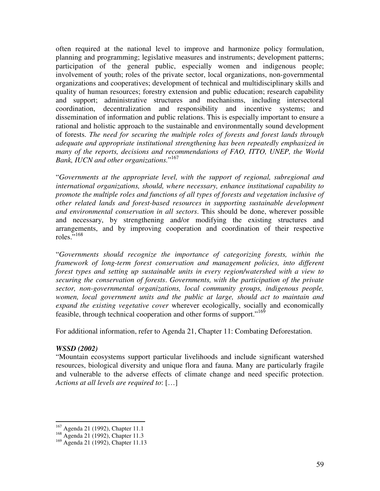often required at the national level to improve and harmonize policy formulation, planning and programming; legislative measures and instruments; development patterns; participation of the general public, especially women and indigenous people; involvement of youth; roles of the private sector, local organizations, non-governmental organizations and cooperatives; development of technical and multidisciplinary skills and quality of human resources; forestry extension and public education; research capability and support; administrative structures and mechanisms, including intersectoral coordination, decentralization and responsibility and incentive systems; and dissemination of information and public relations. This is especially important to ensure a rational and holistic approach to the sustainable and environmentally sound development of forests. *The need for securing the multiple roles of forests and forest lands through adequate and appropriate institutional strengthening has been repeatedly emphasized in many of the reports, decisions and recommendations of FAO, ITTO, UNEP, the World Bank, IUCN and other organizations.*" 167

"*Governments at the appropriate level, with the support of regional, subregional and international organizations, should, where necessary, enhance institutional capability to promote the multiple roles and functions of all types of forests and vegetation inclusive of other related lands and forest-based resources in supporting sustainable development and environmental conservation in all sectors*. This should be done, wherever possible and necessary, by strengthening and/or modifying the existing structures and arrangements, and by improving cooperation and coordination of their respective roles. $\frac{1}{2}$ <sup>168</sup>

"*Governments should recognize the importance of categorizing forests, within the framework of long-term forest conservation and management policies, into different forest types and setting up sustainable units in every region/watershed with a view to securing the conservation of forests*. *Governments, with the participation of the private sector, non-governmental organizations, local community groups, indigenous people, women, local government units and the public at large, should act to maintain and expand the existing vegetative cover* wherever ecologically, socially and economically feasible, through technical cooperation and other forms of support."<sup>169</sup>

For additional information, refer to Agenda 21, Chapter 11: Combating Deforestation.

### *WSSD (2002)*

 $\overline{a}$ 

"Mountain ecosystems support particular livelihoods and include significant watershed resources, biological diversity and unique flora and fauna. Many are particularly fragile and vulnerable to the adverse effects of climate change and need specific protection. *Actions at all levels are required to*: […]

<sup>&</sup>lt;sup>167</sup> Agenda 21 (1992), Chapter 11.1

<sup>&</sup>lt;sup>168</sup> Agenda 21 (1992), Chapter 11.3

<sup>&</sup>lt;sup>169</sup> Agenda 21 (1992), Chapter 11.13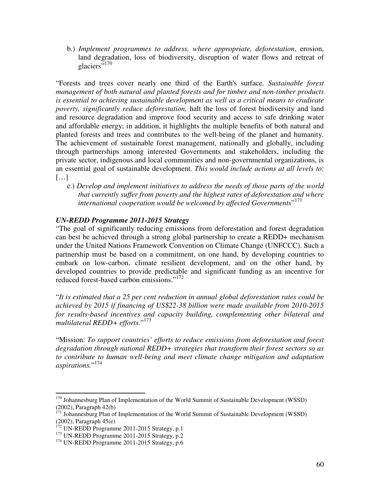b.) *Implement programmes to address, where appropriate, deforestation*, erosion, land degradation, loss of biodiversity, disruption of water flows and retreat of glaciers"<sup>170</sup>

"Forests and trees cover nearly one third of the Earth's surface. *Sustainable forest management of both natural and planted forests and for timber and non-timber products is essential to achieving sustainable development as well as a critical means to eradicate poverty, significantly reduce deforestation,* halt the loss of forest biodiversity and land and resource degradation and improve food security and access to safe drinking water and affordable energy; in addition, it highlights the multiple benefits of both natural and planted forests and trees and contributes to the well-being of the planet and humanity. The achievement of sustainable forest management, nationally and globally, including through partnerships among interested Governments and stakeholders, including the private sector, indigenous and local communities and non-governmental organizations, is an essential goal of sustainable development. *This would include actions at all levels to*: […]

e.) *Develop and implement initiatives to address the needs of those parts of the world that currently suffer from poverty and the highest rates of deforestation and where international cooperation would be welcomed by affected Governments*" 171

### *UN-REDD Programme 2011-2015 Strategy*

"The goal of significantly reducing emissions from deforestation and forest degradation can best be achieved through a strong global partnership to create a REDD+ mechanism under the United Nations Framework Convention on Climate Change (UNFCCC). Such a partnership must be based on a commitment, on one hand, by developing countries to embark on low-carbon, climate resilient development, and on the other hand, by developed countries to provide predictable and significant funding as an incentive for reduced forest-based carbon emissions."<sup>172</sup>

"*It is estimated that a 25 per cent reduction in annual global deforestation rates could be achieved by 2015 if financing of US\$22-38 billion were made available from 2010-2015 for results-based incentives and capacity building, complementing other bilateral and multilateral REDD+ efforts*."<sup>173</sup>

"Mission: *To support countries' efforts to reduce emissions from deforestation and forest degradation through national REDD+ strategies that transform their forest sectors so as to contribute to human well-being and meet climate change mitigation and adaptation aspirations.*" 174

 $170$  Johannesburg Plan of Implementation of the World Summit of Sustainable Development (WSSD) (2002), Paragraph 42(b)

<sup>&</sup>lt;sup>171</sup> Johannesburg Plan of Implementation of the World Summit of Sustainable Development (WSSD) (2002), Paragraph 45(e)

<sup>&</sup>lt;sup>172</sup> UN-REDD Programme 2011-2015 Strategy, p.1

 $173$  UN-REDD Programme 2011-2015 Strategy, p.2

<sup>&</sup>lt;sup>174</sup> UN-REDD Programme 2011-2015 Strategy, p.6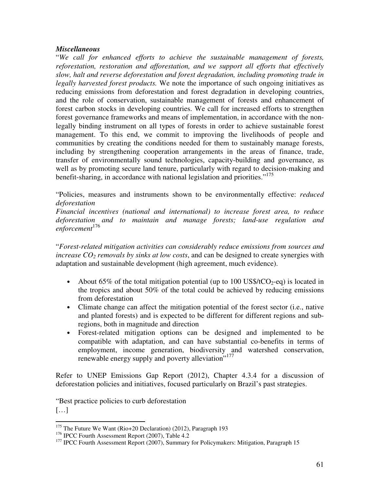#### *Miscellaneous*

"*We call for enhanced efforts to achieve the sustainable management of forests, reforestation, restoration and afforestation, and we support all efforts that effectively slow, halt and reverse deforestation and forest degradation, including promoting trade in legally harvested forest products.* We note the importance of such ongoing initiatives as reducing emissions from deforestation and forest degradation in developing countries, and the role of conservation, sustainable management of forests and enhancement of forest carbon stocks in developing countries. We call for increased efforts to strengthen forest governance frameworks and means of implementation, in accordance with the nonlegally binding instrument on all types of forests in order to achieve sustainable forest management. To this end, we commit to improving the livelihoods of people and communities by creating the conditions needed for them to sustainably manage forests, including by strengthening cooperation arrangements in the areas of finance, trade, transfer of environmentally sound technologies, capacity-building and governance, as well as by promoting secure land tenure, particularly with regard to decision-making and benefit-sharing, in accordance with national legislation and priorities."<sup>175</sup>

"Policies, measures and instruments shown to be environmentally effective: *reduced deforestation* 

*Financial incentives (national and international) to increase forest area, to reduce deforestation and to maintain and manage forests; land-use regulation and enforcement*<sup>176</sup>

"*Forest-related mitigation activities can considerably reduce emissions from sources and increase CO2 removals by sinks at low costs*, and can be designed to create synergies with adaptation and sustainable development (high agreement, much evidence).

- About 65% of the total mitigation potential (up to 100 US\$/tCO<sub>2</sub>-eq) is located in the tropics and about 50% of the total could be achieved by reducing emissions from deforestation
- Climate change can affect the mitigation potential of the forest sector (i.e., native and planted forests) and is expected to be different for different regions and subregions, both in magnitude and direction
- Forest-related mitigation options can be designed and implemented to be compatible with adaptation, and can have substantial co-benefits in terms of employment, income generation, biodiversity and watershed conservation, renewable energy supply and poverty alleviation"<sup>177</sup>

Refer to UNEP Emissions Gap Report (2012), Chapter 4.3.4 for a discussion of deforestation policies and initiatives, focused particularly on Brazil's past strategies.

"Best practice policies to curb deforestation […]

 $\overline{a}$ <sup>175</sup> The Future We Want (Rio+20 Declaration) (2012), Paragraph 193

<sup>&</sup>lt;sup>176</sup> IPCC Fourth Assessment Report (2007), Table 4.2

<sup>&</sup>lt;sup>177</sup> IPCC Fourth Assessment Report (2007), Summary for Policymakers: Mitigation, Paragraph 15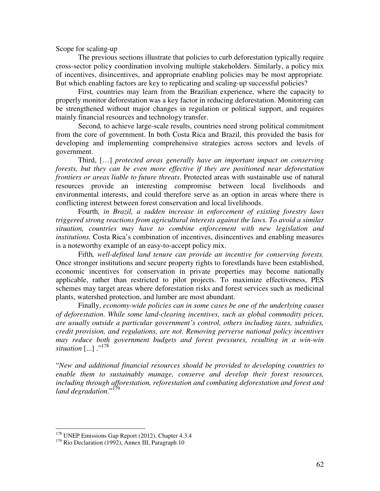Scope for scaling-up

The previous sections illustrate that policies to curb deforestation typically require cross-sector policy coordination involving multiple stakeholders. Similarly, a policy mix of incentives, disincentives, and appropriate enabling policies may be most appropriate. But which enabling factors are key to replicating and scaling-up successful policies?

First*,* countries may learn from the Brazilian experience, where the capacity to properly monitor deforestation was a key factor in reducing deforestation. Monitoring can be strengthened without major changes in regulation or political support, and requires mainly financial resources and technology transfer.

Second*,* to achieve large-scale results, countries need strong political commitment from the core of government. In both Costa Rica and Brazil, this provided the basis for developing and implementing comprehensive strategies across sectors and levels of government.

Third, […] *protected areas generally have an important impact on conserving forests, but they can be even more effective if they are positioned near deforestation frontiers or areas liable to future threats*. Protected areas with sustainable use of natural resources provide an interesting compromise between local livelihoods and environmental interests, and could therefore serve as an option in areas where there is conflicting interest between forest conservation and local livelihoods.

Fourth*, in Brazil, a sudden increase in enforcement of existing forestry laws triggered strong reactions from agricultural interests against the laws. To avoid a similar situation, countries may have to combine enforcement with new legislation and institutions.* Costa Rica's combination of incentives, disincentives and enabling measures is a noteworthy example of an easy-to-accept policy mix.

Fifth*, well-defined land tenure can provide an incentive for conserving forests.* Once stronger institutions and secure property rights to forestlands have been established, economic incentives for conservation in private properties may become nationally applicable, rather than restricted to pilot projects. To maximize effectiveness, PES schemes may target areas where deforestation risks and forest services such as medicinal plants, watershed protection, and lumber are most abundant.

Finally, *economy-wide policies can in some cases be one of the underlying causes of deforestation*. *While some land-clearing incentives, such as global commodity prices, are usually outside a particular government's control, others including taxes, subsidies, credit provision, and regulations, are not. Removing perverse national policy incentives may reduce both government budgets and forest pressures, resulting in a win-win situation* [...] .<sup>,178</sup>

"*New and additional financial resources should be provided to developing countries to enable them to sustainably manage, conserve and develop their forest resources, including through afforestation, reforestation and combating deforestation and forest and land degradation*."<sup>179</sup>

 $\overline{\phantom{a}}$ <sup>178</sup> UNEP Emissions Gap Report (2012), Chapter 4.3.4

<sup>&</sup>lt;sup>179</sup> Rio Declaration (1992), Annex III, Paragraph 10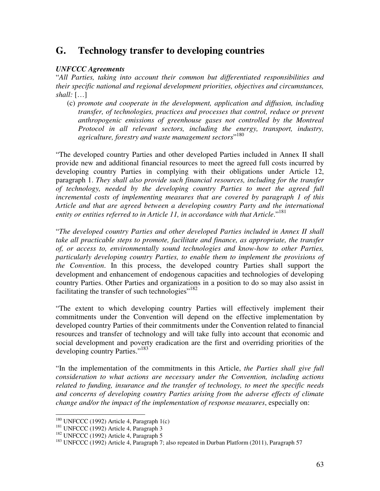# **G. Technology transfer to developing countries**

## *UNFCCC Agreements*

"*All Parties, taking into account their common but differentiated responsibilities and their specific national and regional development priorities, objectives and circumstances, shall:* […]

(c) *promote and cooperate in the development, application and diffusion, including transfer, of technologies, practices and processes that control, reduce or prevent anthropogenic emissions of greenhouse gases not controlled by the Montreal Protocol in all relevant sectors, including the energy, transport, industry, agriculture, forestry and waste management sectors*" 180

"The developed country Parties and other developed Parties included in Annex II shall provide new and additional financial resources to meet the agreed full costs incurred by developing country Parties in complying with their obligations under Article 12, paragraph 1. *They shall also provide such financial resources, including for the transfer of technology, needed by the developing country Parties to meet the agreed full incremental costs of implementing measures that are covered by paragraph 1 of this Article and that are agreed between a developing country Party and the international entity or entities referred to in Article 11, in accordance with that Article*."<sup>181</sup>

"*The developed country Parties and other developed Parties included in Annex II shall take all practicable steps to promote, facilitate and finance, as appropriate, the transfer of, or access to, environmentally sound technologies and know-how to other Parties, particularly developing country Parties, to enable them to implement the provisions of the Convention*. In this process, the developed country Parties shall support the development and enhancement of endogenous capacities and technologies of developing country Parties. Other Parties and organizations in a position to do so may also assist in facilitating the transfer of such technologies $"^{182}$ 

"The extent to which developing country Parties will effectively implement their commitments under the Convention will depend on the effective implementation by developed country Parties of their commitments under the Convention related to financial resources and transfer of technology and will take fully into account that economic and social development and poverty eradication are the first and overriding priorities of the developing country Parties."<sup>183</sup>

"In the implementation of the commitments in this Article, *the Parties shall give full consideration to what actions are necessary under the Convention, including actions related to funding, insurance and the transfer of technology, to meet the specific needs and concerns of developing country Parties arising from the adverse effects of climate change and/or the impact of the implementation of response measures*, especially on:

<sup>&</sup>lt;sup>180</sup> UNFCCC (1992) Article 4, Paragraph 1(c)

<sup>&</sup>lt;sup>181</sup> UNFCCC (1992) Article 4, Paragraph 3

 $182$  UNFCCC (1992) Article 4, Paragraph 5

<sup>&</sup>lt;sup>183</sup> UNFCCC (1992) Article 4, Paragraph 7; also repeated in Durban Platform (2011), Paragraph 57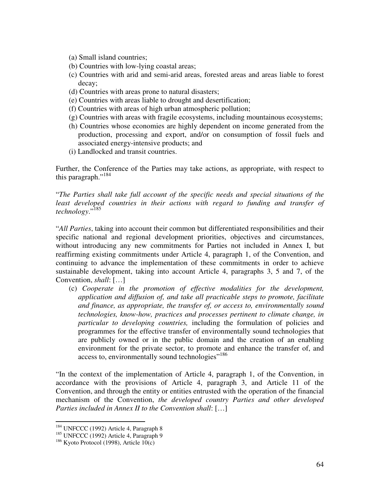- (a) Small island countries;
- (b) Countries with low-lying coastal areas;
- (c) Countries with arid and semi-arid areas, forested areas and areas liable to forest decay;
- (d) Countries with areas prone to natural disasters;
- (e) Countries with areas liable to drought and desertification;
- (f) Countries with areas of high urban atmospheric pollution;
- (g) Countries with areas with fragile ecosystems, including mountainous ecosystems;
- (h) Countries whose economies are highly dependent on income generated from the production, processing and export, and/or on consumption of fossil fuels and associated energy-intensive products; and
- (i) Landlocked and transit countries.

Further, the Conference of the Parties may take actions, as appropriate, with respect to this paragraph."<sup>184</sup>

"*The Parties shall take full account of the specific needs and special situations of the*  least developed countries in their actions with regard to funding and transfer of *technology*."<sup>185</sup>

"*All Parties*, taking into account their common but differentiated responsibilities and their specific national and regional development priorities, objectives and circumstances, without introducing any new commitments for Parties not included in Annex I, but reaffirming existing commitments under Article 4, paragraph 1, of the Convention, and continuing to advance the implementation of these commitments in order to achieve sustainable development, taking into account Article 4, paragraphs 3, 5 and 7, of the Convention, *shall*: […]

 (c) *Cooperate in the promotion of effective modalities for the development, application and diffusion of, and take all practicable steps to promote, facilitate and finance, as appropriate, the transfer of, or access to, environmentally sound technologies, know-how, practices and processes pertinent to climate change, in particular to developing countries,* including the formulation of policies and programmes for the effective transfer of environmentally sound technologies that are publicly owned or in the public domain and the creation of an enabling environment for the private sector, to promote and enhance the transfer of, and access to, environmentally sound technologies"<sup>186</sup>

"In the context of the implementation of Article 4, paragraph 1, of the Convention, in accordance with the provisions of Article 4, paragraph 3, and Article 11 of the Convention, and through the entity or entities entrusted with the operation of the financial mechanism of the Convention, *the developed country Parties and other developed Parties included in Annex II to the Convention shall*: […]

<sup>&</sup>lt;sup>184</sup> UNFCCC (1992) Article 4, Paragraph 8

 $185$  UNFCCC (1992) Article 4, Paragraph 9

 $186$  Kyoto Protocol (1998), Article  $10(c)$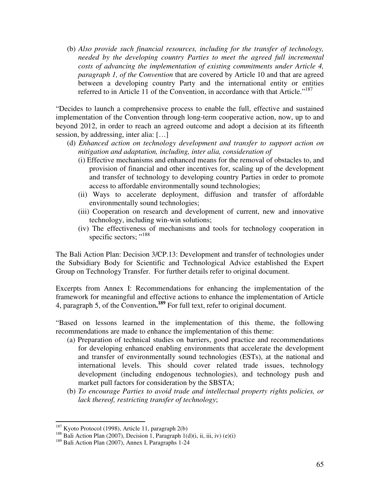(b) *Also provide such financial resources, including for the transfer of technology, needed by the developing country Parties to meet the agreed full incremental costs of advancing the implementation of existing commitments under Article 4, paragraph 1, of the Convention* that are covered by Article 10 and that are agreed between a developing country Party and the international entity or entities referred to in Article 11 of the Convention, in accordance with that Article."<sup>187</sup>

"Decides to launch a comprehensive process to enable the full, effective and sustained implementation of the Convention through long-term cooperative action, now, up to and beyond 2012, in order to reach an agreed outcome and adopt a decision at its fifteenth session, by addressing, inter alia: […]

- (d) *Enhanced action on technology development and transfer to support action on mitigation and adaptation, including, inter alia, consideration of* 
	- (i) Effective mechanisms and enhanced means for the removal of obstacles to, and provision of financial and other incentives for, scaling up of the development and transfer of technology to developing country Parties in order to promote access to affordable environmentally sound technologies;
	- (ii) Ways to accelerate deployment, diffusion and transfer of affordable environmentally sound technologies;
	- (iii) Cooperation on research and development of current, new and innovative technology, including win-win solutions;
	- (iv) The effectiveness of mechanisms and tools for technology cooperation in specific sectors; "<sup>188</sup>

The Bali Action Plan: Decision 3/CP.13: Development and transfer of technologies under the Subsidiary Body for Scientific and Technological Advice established the Expert Group on Technology Transfer. For further details refer to original document.

Excerpts from Annex I: Recommendations for enhancing the implementation of the framework for meaningful and effective actions to enhance the implementation of Article 4, paragraph 5, of the Convention**. <sup>189</sup>** For full text, refer to original document.

"Based on lessons learned in the implementation of this theme, the following recommendations are made to enhance the implementation of this theme:

- (a) Preparation of technical studies on barriers, good practice and recommendations for developing enhanced enabling environments that accelerate the development and transfer of environmentally sound technologies (ESTs), at the national and international levels. This should cover related trade issues, technology development (including endogenous technologies), and technology push and market pull factors for consideration by the SBSTA;
- (b) *To encourage Parties to avoid trade and intellectual property rights policies, or lack thereof, restricting transfer of technology*;

 $\overline{a}$  $187$  Kyoto Protocol (1998), Article 11, paragraph 2(b)

<sup>&</sup>lt;sup>188</sup> Bali Action Plan (2007), Decision 1, Paragraph 1(d)(i, ii, iii, iv) (e)(i)

<sup>189</sup> Bali Action Plan (2007), Annex I, Paragraphs 1-24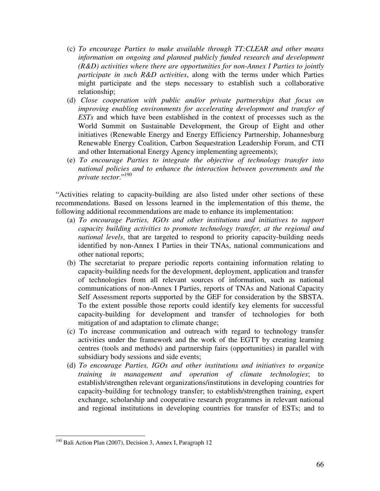- (c) *To encourage Parties to make available through TT:CLEAR and other means information on ongoing and planned publicly funded research and development (R&D) activities where there are opportunities for non-Annex I Parties to jointly participate in such R&D activities*, along with the terms under which Parties might participate and the steps necessary to establish such a collaborative relationship;
- (d) *Close cooperation with public and/or private partnerships that focus on improving enabling environments for accelerating development and transfer of ESTs* and which have been established in the context of processes such as the World Summit on Sustainable Development, the Group of Eight and other initiatives (Renewable Energy and Energy Efficiency Partnership, Johannesburg Renewable Energy Coalition, Carbon Sequestration Leadership Forum, and CTI and other International Energy Agency implementing agreements);
- (e) *To encourage Parties to integrate the objective of technology transfer into national policies and to enhance the interaction between governments and the private sector*."<sup>190</sup>

"Activities relating to capacity-building are also listed under other sections of these recommendations. Based on lessons learned in the implementation of this theme, the following additional recommendations are made to enhance its implementation:

- (a) *To encourage Parties, IGOs and other institutions and initiatives to support capacity building activities to promote technology transfer, at the regional and national levels*, that are targeted to respond to priority capacity-building needs identified by non-Annex I Parties in their TNAs, national communications and other national reports;
- (b) The secretariat to prepare periodic reports containing information relating to capacity-building needs for the development, deployment, application and transfer of technologies from all relevant sources of information, such as national communications of non-Annex I Parties, reports of TNAs and National Capacity Self Assessment reports supported by the GEF for consideration by the SBSTA. To the extent possible those reports could identify key elements for successful capacity-building for development and transfer of technologies for both mitigation of and adaptation to climate change;
- (c) To increase communication and outreach with regard to technology transfer activities under the framework and the work of the EGTT by creating learning centres (tools and methods) and partnership fairs (opportunities) in parallel with subsidiary body sessions and side events;
- (d) *To encourage Parties, IGOs and other institutions and initiatives to organize training in management and operation of climate technologies*; to establish/strengthen relevant organizations/institutions in developing countries for capacity-building for technology transfer; to establish/strengthen training, expert exchange, scholarship and cooperative research programmes in relevant national and regional institutions in developing countries for transfer of ESTs; and to

<sup>&</sup>lt;sup>190</sup> Bali Action Plan (2007), Decision 3, Annex I, Paragraph 12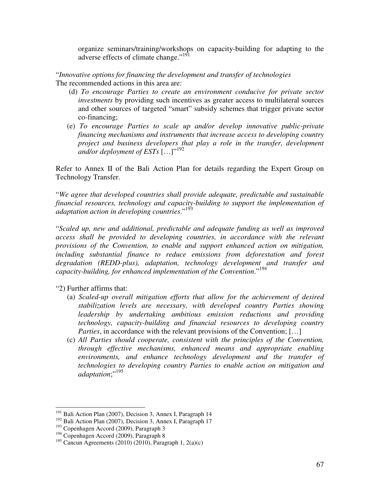organize seminars/training/workshops on capacity-building for adapting to the adverse effects of climate change."<sup>191</sup>

"*Innovative options for financing the development and transfer of technologies*  The recommended actions in this area are:

- (d) *To encourage Parties to create an environment conducive for private sector investments* by providing such incentives as greater access to multilateral sources and other sources of targeted "smart" subsidy schemes that trigger private sector co-financing;
- (e) *To encourage Parties to scale up and/or develop innovative public-private financing mechanisms and instruments that increase access to developing country project and business developers that play a role in the transfer, development and/or deployment of ESTs* [...]"<sup>192</sup>

Refer to Annex II of the Bali Action Plan for details regarding the Expert Group on Technology Transfer.

"*We agree that developed countries shall provide adequate, predictable and sustainable financial resources, technology and capacity-building to support the implementation of adaptation action in developing countries*."<sup>193</sup>

"*Scaled up, new and additional, predictable and adequate funding as well as improved access shall be provided to developing countries, in accordance with the relevant provisions of the Convention, to enable and support enhanced action on mitigation, including substantial finance to reduce emissions from deforestation and forest degradation (REDD-plus), adaptation, technology development and transfer and capacity-building, for enhanced implementation of the Convention*."<sup>194</sup>

"2) Further affirms that:

- (a) *Scaled-up overall mitigation efforts that allow for the achievement of desired stabilization levels are necessary, with developed country Parties showing leadership by undertaking ambitious emission reductions and providing technology, capacity-building and financial resources to developing country Parties*, in accordance with the relevant provisions of the Convention; [...]
- (c) *All Parties should cooperate, consistent with the principles of the Convention, through effective mechanisms, enhanced means and appropriate enabling environments, and enhance technology development and the transfer of technologies to developing country Parties to enable action on mitigation and adaptation*;"<sup>195</sup>

 $\overline{a}$ <sup>191</sup> Bali Action Plan (2007), Decision 3, Annex I, Paragraph 14

<sup>&</sup>lt;sup>192</sup> Bali Action Plan (2007), Decision 3, Annex I, Paragraph 17

<sup>193</sup> Copenhagen Accord (2009), Paragraph 3

 $194$  Copenhagen Accord (2009), Paragraph 8

<sup>&</sup>lt;sup>195</sup> Cancun Agreements (2010) (2010), Paragraph 1, 2(a)(c)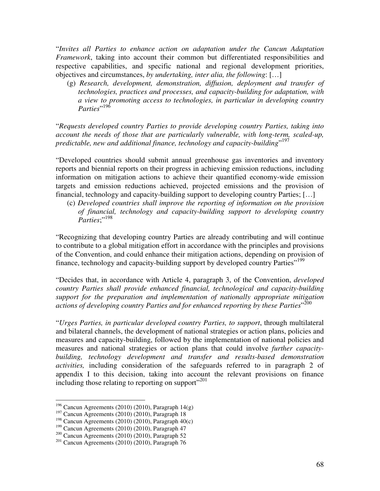"*Invites all Parties to enhance action on adaptation under the Cancun Adaptation Framework*, taking into account their common but differentiated responsibilities and respective capabilities, and specific national and regional development priorities, objectives and circumstances, *by undertaking, inter alia, the following*: […]

(g) *Research, development, demonstration, diffusion, deployment and transfer of technologies, practices and processes, and capacity-building for adaptation, with a view to promoting access to technologies, in particular in developing country Parties*" 196

"*Requests developed country Parties to provide developing country Parties, taking into account the needs of those that are particularly vulnerable, with long-term, scaled-up, predictable, new and additional finance, technology and capacity-building*" 197

"Developed countries should submit annual greenhouse gas inventories and inventory reports and biennial reports on their progress in achieving emission reductions, including information on mitigation actions to achieve their quantified economy-wide emission targets and emission reductions achieved, projected emissions and the provision of financial, technology and capacity-building support to developing country Parties; […]

(c) *Developed countries shall improve the reporting of information on the provision of financial, technology and capacity-building support to developing country Parties*;"<sup>198</sup>

"Recognizing that developing country Parties are already contributing and will continue to contribute to a global mitigation effort in accordance with the principles and provisions of the Convention, and could enhance their mitigation actions, depending on provision of finance, technology and capacity-building support by developed country Parties"<sup>199</sup>

"Decides that, in accordance with Article 4, paragraph 3, of the Convention, *developed country Parties shall provide enhanced financial, technological and capacity-building support for the preparation and implementation of nationally appropriate mitigation actions of developing country Parties and for enhanced reporting by these Parties*" 200

"*Urges Parties, in particular developed country Parties, to support*, through multilateral and bilateral channels, the development of national strategies or action plans, policies and measures and capacity-building, followed by the implementation of national policies and measures and national strategies or action plans that could involve *further capacitybuilding, technology development and transfer and results-based demonstration activities,* including consideration of the safeguards referred to in paragraph 2 of appendix I to this decision, taking into account the relevant provisions on finance including those relating to reporting on support<sup> $201$ </sup>

<sup>&</sup>lt;sup>196</sup> Cancun Agreements (2010) (2010), Paragraph  $14(g)$ 

 $197$  Cancun Agreements (2010) (2010), Paragraph 18

<sup>&</sup>lt;sup>198</sup> Cancun Agreements (2010) (2010), Paragraph  $40(c)$ 

<sup>199</sup> Cancun Agreements (2010) (2010), Paragraph 47

 $200$  Cancun Agreements (2010) (2010), Paragraph 52

 $201$  Cancun Agreements (2010) (2010), Paragraph 76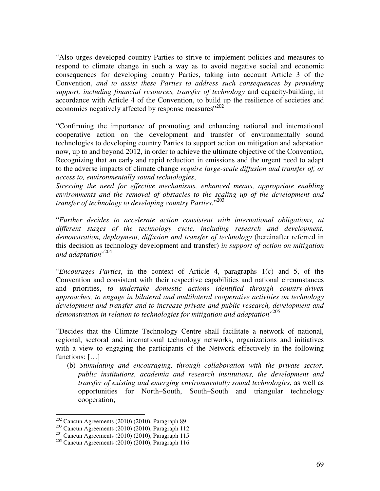"Also urges developed country Parties to strive to implement policies and measures to respond to climate change in such a way as to avoid negative social and economic consequences for developing country Parties, taking into account Article 3 of the Convention, *and to assist these Parties to address such consequences by providing support, including financial resources, transfer of technology* and capacity-building, in accordance with Article 4 of the Convention, to build up the resilience of societies and economies negatively affected by response measures"<sup>202</sup>

"Confirming the importance of promoting and enhancing national and international cooperative action on the development and transfer of environmentally sound technologies to developing country Parties to support action on mitigation and adaptation now, up to and beyond 2012, in order to achieve the ultimate objective of the Convention, Recognizing that an early and rapid reduction in emissions and the urgent need to adapt to the adverse impacts of climate change *require large-scale diffusion and transfer of, or access to, environmentally sound technologies*,

*Stressing the need for effective mechanisms, enhanced means, appropriate enabling environments and the removal of obstacles to the scaling up of the development and transfer of technology to developing country Parties*,"<sup>203</sup>

"*Further decides to accelerate action consistent with international obligations, at different stages of the technology cycle, including research and development, demonstration, deployment, diffusion and transfer of technology* (hereinafter referred in this decision as technology development and transfer) *in support of action on mitigation and adaptation*" 204

"*Encourages Parties*, in the context of Article 4, paragraphs 1(c) and 5, of the Convention and consistent with their respective capabilities and national circumstances and priorities, *to undertake domestic actions identified through country-driven approaches, to engage in bilateral and multilateral cooperative activities on technology development and transfer and to increase private and public research, development and demonstration in relation to technologies for mitigation and adaptation*" 205

"Decides that the Climate Technology Centre shall facilitate a network of national, regional, sectoral and international technology networks, organizations and initiatives with a view to engaging the participants of the Network effectively in the following functions: […]

(b) *Stimulating and encouraging, through collaboration with the private sector, public institutions, academia and research institutions, the development and transfer of existing and emerging environmentally sound technologies*, as well as opportunities for North–South, South–South and triangular technology cooperation;

 $202$  Cancun Agreements (2010) (2010), Paragraph 89

 $203$  Cancun Agreements (2010) (2010), Paragraph 112

 $204$  Cancun Agreements (2010) (2010), Paragraph 115

<sup>205</sup> Cancun Agreements (2010) (2010), Paragraph 116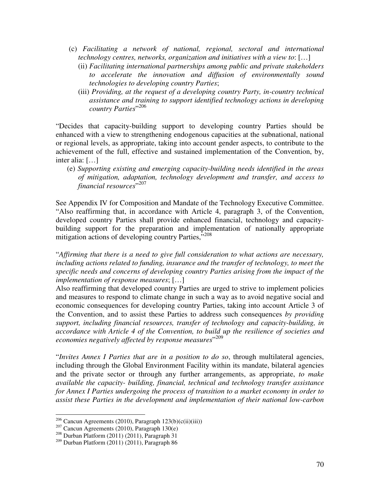- (c) *Facilitating a network of national, regional, sectoral and international technology centres, networks, organization and initiatives with a view to*: […]
	- (ii) *Facilitating international partnerships among public and private stakeholders to accelerate the innovation and diffusion of environmentally sound technologies to developing country Parties*;
	- (iii) *Providing, at the request of a developing country Party, in-country technical assistance and training to support identified technology actions in developing country Parties*" 206

"Decides that capacity-building support to developing country Parties should be enhanced with a view to strengthening endogenous capacities at the subnational, national or regional levels, as appropriate, taking into account gender aspects, to contribute to the achievement of the full, effective and sustained implementation of the Convention, by, inter alia: […]

(e) *Supporting existing and emerging capacity-building needs identified in the areas of mitigation, adaptation, technology development and transfer, and access to financial resources*" 207

See Appendix IV for Composition and Mandate of the Technology Executive Committee. "Also reaffirming that, in accordance with Article 4, paragraph 3, of the Convention, developed country Parties shall provide enhanced financial, technology and capacitybuilding support for the preparation and implementation of nationally appropriate mitigation actions of developing country Parties,<sup>7208</sup>

"*Affirming that there is a need to give full consideration to what actions are necessary, including actions related to funding, insurance and the transfer of technology, to meet the specific needs and concerns of developing country Parties arising from the impact of the implementation of response measures*; […]

Also reaffirming that developed country Parties are urged to strive to implement policies and measures to respond to climate change in such a way as to avoid negative social and economic consequences for developing country Parties, taking into account Article 3 of the Convention, and to assist these Parties to address such consequences *by providing support, including financial resources, transfer of technology and capacity-building, in accordance with Article 4 of the Convention, to build up the resilience of societies and economies negatively affected by response measures*" 209

"*Invites Annex I Parties that are in a position to do so*, through multilateral agencies, including through the Global Environment Facility within its mandate, bilateral agencies and the private sector or through any further arrangements, as appropriate, *to make available the capacity- building, financial, technical and technology transfer assistance for Annex I Parties undergoing the process of transition to a market economy in order to assist these Parties in the development and implementation of their national low-carbon* 

<sup>&</sup>lt;sup>206</sup> Cancun Agreements (2010), Paragraph  $123(b)(c(ii)(iii))$ 

 $207$  Cancun Agreements (2010), Paragraph 130(e)

<sup>&</sup>lt;sup>208</sup> Durban Platform (2011) (2011), Paragraph 31

 $209$  Durban Platform (2011) (2011), Paragraph 86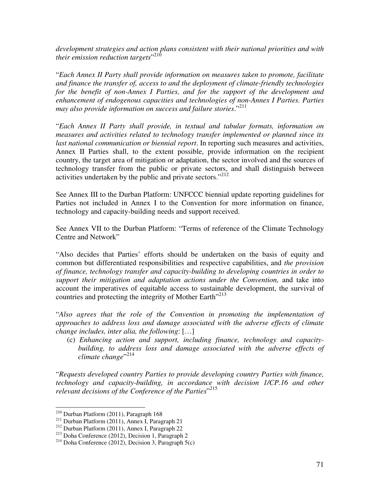*development strategies and action plans consistent with their national priorities and with their emission reduction targets*" 210

"*Each Annex II Party shall provide information on measures taken to promote, facilitate and finance the transfer of, access to and the deployment of climate-friendly technologies for the benefit of non-Annex I Parties, and for the support of the development and enhancement of endogenous capacities and technologies of non-Annex I Parties. Parties may also provide information on success and failure stories*."<sup>211</sup>

"*Each Annex II Party shall provide, in textual and tabular formats, information on measures and activities related to technology transfer implemented or planned since its last national communication or biennial report*. In reporting such measures and activities, Annex II Parties shall, to the extent possible, provide information on the recipient country, the target area of mitigation or adaptation, the sector involved and the sources of technology transfer from the public or private sectors, and shall distinguish between activities undertaken by the public and private sectors."<sup>212</sup>

See Annex III to the Durban Platform: UNFCCC biennial update reporting guidelines for Parties not included in Annex I to the Convention for more information on finance, technology and capacity-building needs and support received.

See Annex VII to the Durban Platform: "Terms of reference of the Climate Technology Centre and Network"

"Also decides that Parties' efforts should be undertaken on the basis of equity and common but differentiated responsibilities and respective capabilities, and *the provision of finance, technology transfer and capacity-building to developing countries in order to support their mitigation and adaptation actions under the Convention,* and take into account the imperatives of equitable access to sustainable development, the survival of countries and protecting the integrity of Mother Earth<sup>"213</sup>

"*Also agrees that the role of the Convention in promoting the implementation of approaches to address loss and damage associated with the adverse effects of climate change includes, inter alia, the following*: […]

(c) *Enhancing action and support, including finance, technology and capacitybuilding, to address loss and damage associated with the adverse effects of climate change*" 214

"*Requests developed country Parties to provide developing country Parties with finance, technology and capacity-building, in accordance with decision 1/CP.16 and other relevant decisions of the Conference of the Parties*" 215

<sup>210</sup> Durban Platform (2011), Paragraph 168

<sup>&</sup>lt;sup>211</sup> Durban Platform (2011), Annex I, Paragraph 21

<sup>212</sup> Durban Platform (2011), Annex I, Paragraph 22

 $2^{13}$  Doha Conference (2012), Decision 1, Paragraph 2

<sup>&</sup>lt;sup>214</sup> Doha Conference (2012), Decision 3, Paragraph  $5(c)$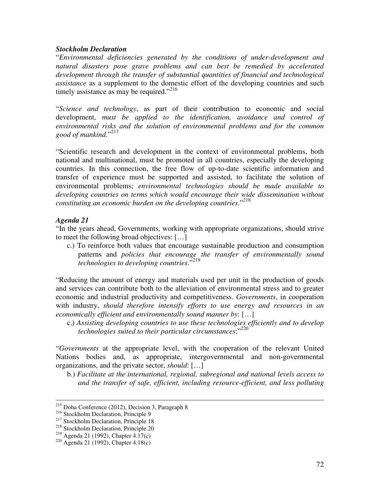#### *Stockholm Declaration*

"*Environmental deficiencies generated by the conditions of under-development and natural disasters pose grave problems and can best be remedied by accelerated development through the transfer of substantial quantities of financial and technological assistance* as a supplement to the domestic effort of the developing countries and such timely assistance as may be required."<sup>216</sup>

"*Science and technology*, as part of their contribution to economic and social development, *must be applied to the identification, avoidance and control of environmental risks and the solution of environmental problems and for the common good of mankind*."<sup>217</sup>

"Scientific research and development in the context of environmental problems, both national and multinational, must be promoted in all countries, especially the developing countries. In this connection, the free flow of up-to-date scientific information and transfer of experience must be supported and assisted, to facilitate the solution of environmental problems; *environmental technologies should be made available to*  developing countries on terms which would encourage their wide dissemination without *constituting an economic burden on the developing countries*."<sup>218</sup>

### *Agenda 21*

"In the years ahead, Governments, working with appropriate organizations, should strive to meet the following broad objectives: […]

c.) To reinforce both values that encourage sustainable production and consumption patterns and *policies that encourage the transfer of environmentally sound technologies to developing countries*."<sup>219</sup>

"Reducing the amount of energy and materials used per unit in the production of goods and services can contribute both to the alleviation of environmental stress and to greater economic and industrial productivity and competitiveness. *Governments*, in cooperation with industry, *should therefore intensify efforts to use energy and resources in an economically efficient and environmentally sound manner by*: […]

c.) *Assisting developing countries to use these technologies efficiently and to develop technologies suited to their particular circumstances*;"<sup>220</sup>

"*Governments* at the appropriate level, with the cooperation of the relevant United Nations bodies and, as appropriate, intergovernmental and non-governmental organizations, and the private sector, *should*: […]

b.) *Facilitate at the international, regional, subregional and national levels access to and the transfer of safe, efficient, including resource-efficient, and less polluting* 

<sup>215</sup> Doha Conference (2012), Decision 3, Paragraph 8

<sup>216</sup> Stockholm Declaration, Principle 9

<sup>&</sup>lt;sup>217</sup> Stockholm Declaration, Principle 18

<sup>218</sup> Stockholm Declaration, Principle 20

<sup>&</sup>lt;sup>219</sup> Agenda 21 (1992), Chapter  $4.17(c)$ 

 $220$  Agenda 21 (1992), Chapter 4.18(c)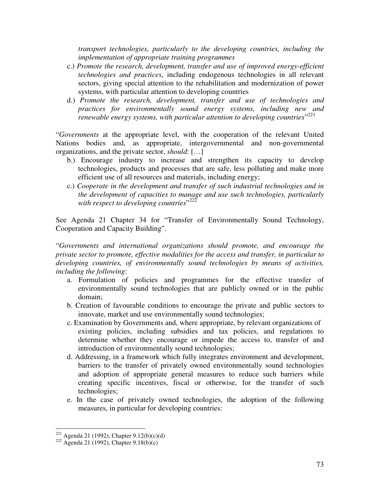*transport technologies, particularly to the developing countries, including the implementation of appropriate training programmes*

- c.) *Promote the research, development, transfer and use of improved energy-efficient technologies and practices*, including endogenous technologies in all relevant sectors, giving special attention to the rehabilitation and modernization of power systems, with particular attention to developing countries
- d.) *Promote the research, development, transfer and use of technologies and practices for environmentally sound energy systems, including new and renewable energy systems, with particular attention to developing countries*" 221

"*Governments* at the appropriate level, with the cooperation of the relevant United Nations bodies and, as appropriate, intergovernmental and non-governmental organizations, and the private sector, *should*: […]

- b.) Encourage industry to increase and strengthen its capacity to develop technologies, products and processes that are safe, less polluting and make more efficient use of all resources and materials, including energy;
- c.) *Cooperate in the development and transfer of such industrial technologies and in the development of capacities to manage and use such technologies, particularly with respect to developing countries*" 222

See Agenda 21 Chapter 34 for "Transfer of Environmentally Sound Technology, Cooperation and Capacity Building".

"*Governments and international organizations should promote, and encourage the private sector to promote, effective modalities for the access and transfer, in particular to developing countries, of environmentally sound technologies by means of activities, including the following*:

- a. Formulation of policies and programmes for the effective transfer of environmentally sound technologies that are publicly owned or in the public domain;
- b. Creation of favourable conditions to encourage the private and public sectors to innovate, market and use environmentally sound technologies;
- c. Examination by Governments and, where appropriate, by relevant organizations of existing policies, including subsidies and tax policies, and regulations to determine whether they encourage or impede the access to, transfer of and introduction of environmentally sound technologies;
- d. Addressing, in a framework which fully integrates environment and development, barriers to the transfer of privately owned environmentally sound technologies and adoption of appropriate general measures to reduce such barriers while creating specific incentives, fiscal or otherwise, for the transfer of such technologies;
- e. In the case of privately owned technologies, the adoption of the following measures, in particular for developing countries:

<sup>&</sup>lt;sup>221</sup> Agenda 21 (1992), Chapter  $9.12(b)(c)(d)$ 

<sup>222</sup> Agenda 21 (1992), Chapter 9.18(b)(c)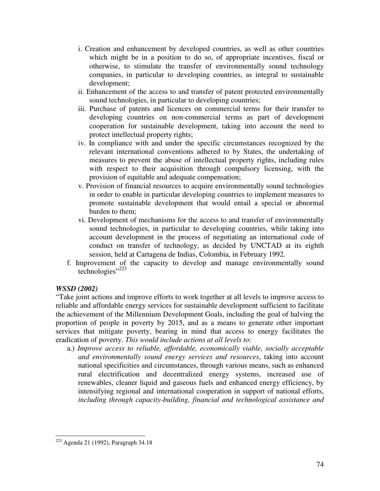- i. Creation and enhancement by developed countries, as well as other countries which might be in a position to do so, of appropriate incentives, fiscal or otherwise, to stimulate the transfer of environmentally sound technology companies, in particular to developing countries, as integral to sustainable development;
- ii. Enhancement of the access to and transfer of patent protected environmentally sound technologies, in particular to developing countries;
- iii. Purchase of patents and licences on commercial terms for their transfer to developing countries on non-commercial terms as part of development cooperation for sustainable development, taking into account the need to protect intellectual property rights;
- iv. In compliance with and under the specific circumstances recognized by the relevant international conventions adhered to by States, the undertaking of measures to prevent the abuse of intellectual property rights, including rules with respect to their acquisition through compulsory licensing, with the provision of equitable and adequate compensation;
- v. Provision of financial resources to acquire environmentally sound technologies in order to enable in particular developing countries to implement measures to promote sustainable development that would entail a special or abnormal burden to them;
- vi. Development of mechanisms for the access to and transfer of environmentally sound technologies, in particular to developing countries, while taking into account development in the process of negotiating an international code of conduct on transfer of technology, as decided by UNCTAD at its eighth session, held at Cartagena de Indias, Colombia, in February 1992.
- f. Improvement of the capacity to develop and manage environmentally sound technologies", 223

# *WSSD (2002)*

"Take joint actions and improve efforts to work together at all levels to improve access to reliable and affordable energy services for sustainable development sufficient to facilitate the achievement of the Millennium Development Goals, including the goal of halving the proportion of people in poverty by 2015, and as a means to generate other important services that mitigate poverty, bearing in mind that access to energy facilitates the eradication of poverty. *This would include actions at all levels to*:

a.) *Improve access to reliable, affordable, economically viable, socially acceptable and environmentally sound energy services and resources*, taking into account national specificities and circumstances, through various means, such as enhanced rural electrification and decentralized energy systems, increased use of renewables, cleaner liquid and gaseous fuels and enhanced energy efficiency, by intensifying regional and international cooperation in support of national efforts, *including through capacity-building, financial and technological assistance and* 

 $\overline{a}$ <sup>223</sup> Agenda 21 (1992), Paragraph 34.18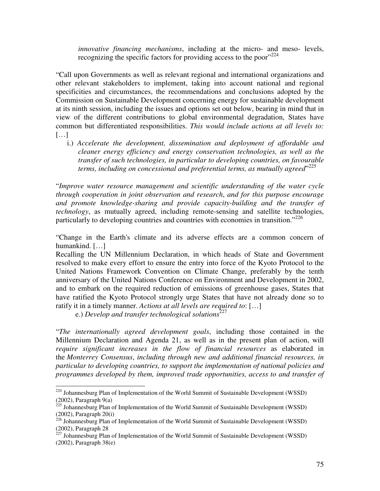*innovative financing mechanisms*, including at the micro- and meso- levels, recognizing the specific factors for providing access to the poor"<sup>224</sup>

"Call upon Governments as well as relevant regional and international organizations and other relevant stakeholders to implement, taking into account national and regional specificities and circumstances, the recommendations and conclusions adopted by the Commission on Sustainable Development concerning energy for sustainable development at its ninth session, including the issues and options set out below, bearing in mind that in view of the different contributions to global environmental degradation, States have common but differentiated responsibilities. *This would include actions at all levels to:* […]

i.) *Accelerate the development, dissemination and deployment of affordable and cleaner energy efficiency and energy conservation technologies, as well as the transfer of such technologies, in particular to developing countries, on favourable terms, including on concessional and preferential terms, as mutually agreed*" 225

"*Improve water resource management and scientific understanding of the water cycle through cooperation in joint observation and research*, *and for this purpose encourage and promote knowledge-sharing and provide capacity-building and the transfer of technology*, as mutually agreed, including remote-sensing and satellite technologies, particularly to developing countries and countries with economies in transition."<sup>226</sup>

"Change in the Earth's climate and its adverse effects are a common concern of humankind. […]

Recalling the UN Millennium Declaration, in which heads of State and Government resolved to make every effort to ensure the entry into force of the Kyoto Protocol to the United Nations Framework Convention on Climate Change, preferably by the tenth anniversary of the United Nations Conference on Environment and Development in 2002, and to embark on the required reduction of emissions of greenhouse gases, States that have ratified the Kyoto Protocol strongly urge States that have not already done so to ratify it in a timely manner. *Actions at all levels are required to*: […]

e.) *Develop and transfer technological solutions*<sup>227</sup>

"*The internationally agreed development goals*, including those contained in the Millennium Declaration and Agenda 21, as well as in the present plan of action, will *require significant increases in the flow of financial resources* as elaborated in the *Monterrey Consensus*, *including through new and additional financial resources, in particular to developing countries, to support the implementation of national policies and programmes developed by them, improved trade opportunities, access to and transfer of* 

 $\overline{1}$  $224$  Johannesburg Plan of Implementation of the World Summit of Sustainable Development (WSSD) (2002), Paragraph 9(a)

 $225$  Johannesburg Plan of Implementation of the World Summit of Sustainable Development (WSSD) (2002), Paragraph 20(i)

<sup>&</sup>lt;sup>226</sup> Johannesburg Plan of Implementation of the World Summit of Sustainable Development (WSSD) (2002), Paragraph 28

 $^{227}$  Johannesburg Plan of Implementation of the World Summit of Sustainable Development (WSSD) (2002), Paragraph 38(e)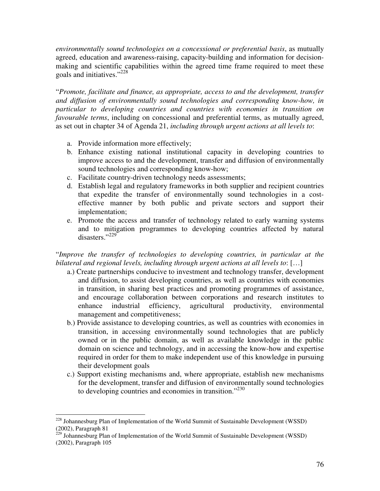*environmentally sound technologies on a concessional or preferential basis*, as mutually agreed, education and awareness-raising, capacity-building and information for decisionmaking and scientific capabilities within the agreed time frame required to meet these goals and initiatives."<sup>228</sup>

"*Promote, facilitate and finance, as appropriate, access to and the development, transfer and diffusion of environmentally sound technologies and corresponding know-how, in particular to developing countries and countries with economies in transition on favourable terms*, including on concessional and preferential terms, as mutually agreed, as set out in chapter 34 of Agenda 21, *including through urgent actions at all levels to*:

a. Provide information more effectively;

 $\overline{a}$ 

- b. Enhance existing national institutional capacity in developing countries to improve access to and the development, transfer and diffusion of environmentally sound technologies and corresponding know-how;
- c. Facilitate country-driven technology needs assessments;
- d. Establish legal and regulatory frameworks in both supplier and recipient countries that expedite the transfer of environmentally sound technologies in a costeffective manner by both public and private sectors and support their implementation;
- e. Promote the access and transfer of technology related to early warning systems and to mitigation programmes to developing countries affected by natural disasters."<sup>229</sup>

"*Improve the transfer of technologies to developing countries, in particular at the bilateral and regional levels, including through urgent actions at all levels to*: […]

- a.) Create partnerships conducive to investment and technology transfer, development and diffusion, to assist developing countries, as well as countries with economies in transition, in sharing best practices and promoting programmes of assistance, and encourage collaboration between corporations and research institutes to enhance industrial efficiency, agricultural productivity, environmental management and competitiveness;
- b.) Provide assistance to developing countries, as well as countries with economies in transition, in accessing environmentally sound technologies that are publicly owned or in the public domain, as well as available knowledge in the public domain on science and technology, and in accessing the know-how and expertise required in order for them to make independent use of this knowledge in pursuing their development goals
- c.) Support existing mechanisms and, where appropriate, establish new mechanisms for the development, transfer and diffusion of environmentally sound technologies to developing countries and economies in transition."<sup>230</sup>

 $228$  Johannesburg Plan of Implementation of the World Summit of Sustainable Development (WSSD) (2002), Paragraph 81

 $^{229}$  Johannesburg Plan of Implementation of the World Summit of Sustainable Development (WSSD) (2002), Paragraph 105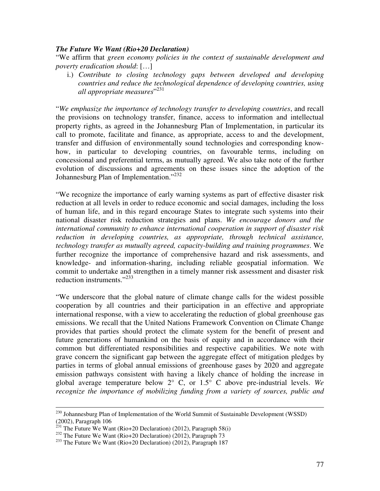#### *The Future We Want (Rio+20 Declaration)*

"We affirm that *green economy policies in the context of sustainable development and poverty eradication should*: […]

i.) *Contribute to closing technology gaps between developed and developing countries and reduce the technological dependence of developing countries, using all appropriate measures*" 231

"*We emphasize the importance of technology transfer to developing countries*, and recall the provisions on technology transfer, finance, access to information and intellectual property rights, as agreed in the Johannesburg Plan of Implementation, in particular its call to promote, facilitate and finance, as appropriate, access to and the development, transfer and diffusion of environmentally sound technologies and corresponding knowhow, in particular to developing countries, on favourable terms, including on concessional and preferential terms, as mutually agreed. We also take note of the further evolution of discussions and agreements on these issues since the adoption of the Johannesburg Plan of Implementation."<sup>232</sup>

"We recognize the importance of early warning systems as part of effective disaster risk reduction at all levels in order to reduce economic and social damages, including the loss of human life, and in this regard encourage States to integrate such systems into their national disaster risk reduction strategies and plans. *We encourage donors and the international community to enhance international cooperation in support of disaster risk reduction in developing countries, as appropriate, through technical assistance, technology transfer as mutually agreed, capacity-building and training programmes*. We further recognize the importance of comprehensive hazard and risk assessments, and knowledge- and information-sharing, including reliable geospatial information. We commit to undertake and strengthen in a timely manner risk assessment and disaster risk reduction instruments."<sup>233</sup>

"We underscore that the global nature of climate change calls for the widest possible cooperation by all countries and their participation in an effective and appropriate international response, with a view to accelerating the reduction of global greenhouse gas emissions. We recall that the United Nations Framework Convention on Climate Change provides that parties should protect the climate system for the benefit of present and future generations of humankind on the basis of equity and in accordance with their common but differentiated responsibilities and respective capabilities. We note with grave concern the significant gap between the aggregate effect of mitigation pledges by parties in terms of global annual emissions of greenhouse gases by 2020 and aggregate emission pathways consistent with having a likely chance of holding the increase in global average temperature below 2° C, or 1.5° C above pre-industrial levels. *We recognize the importance of mobilizing funding from a variety of sources, public and* 

<sup>&</sup>lt;sup>230</sup> Johannesburg Plan of Implementation of the World Summit of Sustainable Development (WSSD) (2002), Paragraph 106

<sup>&</sup>lt;sup>231</sup> The Future We Want (Rio+20 Declaration) (2012), Paragraph 58(i)

<sup>&</sup>lt;sup>232</sup> The Future We Want (Rio+20 Declaration) (2012), Paragraph 73

<sup>&</sup>lt;sup>233</sup> The Future We Want (Rio+20 Declaration) (2012), Paragraph 187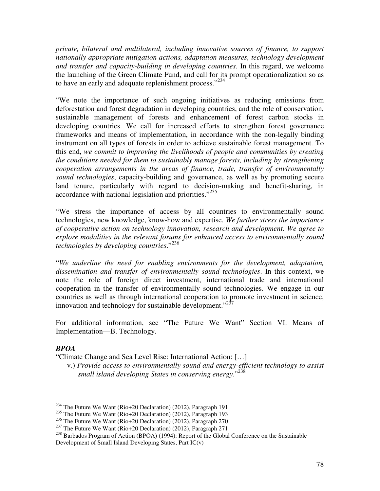*private, bilateral and multilateral, including innovative sources of finance, to support nationally appropriate mitigation actions, adaptation measures, technology development and transfer and capacity-building in developing countries.* In this regard, we welcome the launching of the Green Climate Fund, and call for its prompt operationalization so as to have an early and adequate replenishment process."<sup>234</sup>

"We note the importance of such ongoing initiatives as reducing emissions from deforestation and forest degradation in developing countries, and the role of conservation, sustainable management of forests and enhancement of forest carbon stocks in developing countries. We call for increased efforts to strengthen forest governance frameworks and means of implementation, in accordance with the non-legally binding instrument on all types of forests in order to achieve sustainable forest management. To this end, *we commit to improving the livelihoods of people and communities by creating the conditions needed for them to sustainably manage forests, including by strengthening cooperation arrangements in the areas of finance, trade, transfer of environmentally sound technologies*, capacity-building and governance, as well as by promoting secure land tenure, particularly with regard to decision-making and benefit-sharing, in accordance with national legislation and priorities."<sup>235</sup>

"We stress the importance of access by all countries to environmentally sound technologies, new knowledge, know-how and expertise. *We further stress the importance of cooperative action on technology innovation, research and development. We agree to explore modalities in the relevant forums for enhanced access to environmentally sound technologies by developing countries*."<sup>236</sup>

"*We underline the need for enabling environments for the development, adaptation, dissemination and transfer of environmentally sound technologies*. In this context, we note the role of foreign direct investment, international trade and international cooperation in the transfer of environmentally sound technologies. We engage in our countries as well as through international cooperation to promote investment in science, innovation and technology for sustainable development."<sup>237</sup>

For additional information, see "The Future We Want" Section VI. Means of Implementation—B. Technology.

# *BPOA*

"Climate Change and Sea Level Rise: International Action: […]

v.) *Provide access to environmentally sound and energy-efficient technology to assist small island developing States in conserving energy*."<sup>238</sup>

 $\overline{a}$ <sup>234</sup> The Future We Want (Rio+20 Declaration) (2012), Paragraph 191

<sup>235</sup> The Future We Want (Rio+20 Declaration) (2012), Paragraph 193

<sup>236</sup> The Future We Want (Rio+20 Declaration) (2012), Paragraph 270

<sup>&</sup>lt;sup>237</sup> The Future We Want (Rio+20 Declaration) (2012), Paragraph 271

<sup>&</sup>lt;sup>238</sup> Barbados Program of Action (BPOA) (1994): Report of the Global Conference on the Sustainable Development of Small Island Developing States, Part IC(v)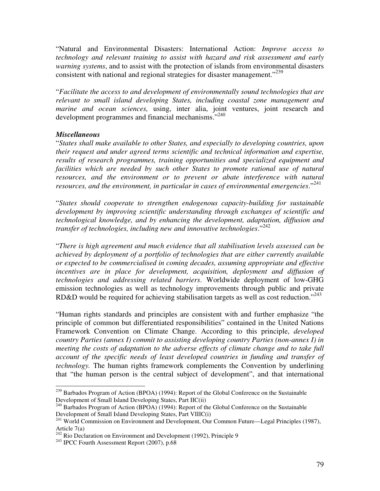"Natural and Environmental Disasters: International Action: *Improve access to technology and relevant training to assist with hazard and risk assessment and early warning systems*, and to assist with the protection of islands from environmental disasters consistent with national and regional strategies for disaster management."<sup>239</sup>

"*Facilitate the access to and development of environmentally sound technologies that are relevant to small island developing States, including coastal zone management and marine and ocean sciences,* using, inter alia, joint ventures, joint research and development programmes and financial mechanisms."<sup>240</sup>

#### *Miscellaneous*

"*States shall make available to other States, and especially to developing countries, upon their request and under agreed terms scientific and technical information and expertise, results of research programmes, training opportunities and specialized equipment and facilities which are needed by such other States to promote rational use of natural*  resources, and the environment or to prevent or abate interference with natural *resources, and the environment, in particular in cases of environmental emergencies*."<sup>241</sup>

"*States should cooperate to strengthen endogenous capacity-building for sustainable development by improving scientific understanding through exchanges of scientific and technological knowledge, and by enhancing the development, adaptation, diffusion and transfer of technologies, including new and innovative technologies*."<sup>242</sup>

"*There is high agreement and much evidence that all stabilisation levels assessed can be achieved by deployment of a portfolio of technologies that are either currently available or expected to be commercialised in coming decades, assuming appropriate and effective incentives are in place for development, acquisition, deployment and diffusion of technologies and addressing related barriers*. Worldwide deployment of low-GHG emission technologies as well as technology improvements through public and private RD&D would be required for achieving stabilisation targets as well as cost reduction."<sup>243</sup>

"Human rights standards and principles are consistent with and further emphasize "the principle of common but differentiated responsibilities" contained in the United Nations Framework Convention on Climate Change. According to this principle, *developed country Parties (annex I) commit to assisting developing country Parties (non-annex I) in meeting the costs of adaptation to the adverse effects of climate change and to take full account of the specific needs of least developed countries in funding and transfer of technology.* The human rights framework complements the Convention by underlining that "the human person is the central subject of development", and that international

<sup>&</sup>lt;sup>239</sup> Barbados Program of Action (BPOA) (1994): Report of the Global Conference on the Sustainable Development of Small Island Developing States, Part IIC(ii)

<sup>&</sup>lt;sup>240</sup> Barbados Program of Action (BPOA) (1994): Report of the Global Conference on the Sustainable Development of Small Island Developing States, Part VIIIC(i)

<sup>&</sup>lt;sup>241</sup> World Commission on Environment and Development, Our Common Future—Legal Principles (1987), Article 7(a)

 $^{242}$  Rio Declaration on Environment and Development (1992), Principle 9

<sup>243</sup> IPCC Fourth Assessment Report (2007), p.68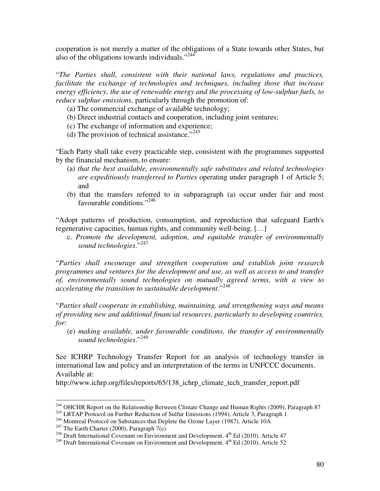cooperation is not merely a matter of the obligations of a State towards other States, but also of the obligations towards individuals."<sup>244</sup>

"*The Parties shall, consistent with their national laws, regulations and practices, facilitate the exchange of technologies and techniques, including those that increase energy efficiency, the use of renewable energy and the processing of low-sulphur fuels, to reduce sulphur emissions,* particularly through the promotion of:

- (a) The commercial exchange of available technology;
- (b) Direct industrial contacts and cooperation, including joint ventures;
- (c) The exchange of information and experience;
- (d) The provision of technical assistance." $245$

"Each Party shall take every practicable step, consistent with the programmes supported by the financial mechanism, to ensure:

- (a) *that the best available, environmentally safe substitutes and related technologies are expeditiously transferred to Parties* operating under paragraph 1 of Article 5; and
- (b) that the transfers referred to in subparagraph (a) occur under fair and most favourable conditions."<sup>246</sup>

"Adopt patterns of production, consumption, and reproduction that safeguard Earth's regenerative capacities, human rights, and community well-being. […]

c. *Promote the development, adoption, and equitable transfer of environmentally sound technologies*."<sup>247</sup>

"*Parties shall encourage and strengthen cooperation and establish joint research programmes and ventures for the development and use, as well as access to and transfer of, environmentally sound technologies on mutually agreed terms, with a view to accelerating the transition to sustainable development*."<sup>248</sup>

"*Parties shall cooperate in establishing, maintaining, and strengthening ways and means of providing new and additional financial resources, particularly to developing countries, for*:

(e) *making available, under favourable conditions, the transfer of environmentally sound technologies*."<sup>249</sup>

See ICHRP Technology Transfer Report for an analysis of technology transfer in international law and policy and an interpretation of the terms in UNFCCC documents. Available at:

http://www.ichrp.org/files/reports/65/138 ichrp\_climate\_tech\_transfer\_report.pdf

<sup>&</sup>lt;sup>244</sup> OHCHR Report on the Relationship Between Climate Change and Human Rights (2009), Paragraph 87 <sup>245</sup> LRTAP Protocol on Further Reduction of Sulfur Emissions (1994), Article 3, Paragraph 1

<sup>&</sup>lt;sup>246</sup> Montreal Protocol on Substances that Deplete the Ozone Layer (1987), Article 10A

<sup>&</sup>lt;sup>247</sup> The Earth Charter (2000), Paragraph  $7(c)$ 

 $248$  Draft International Covenant on Environment and Development,  $4<sup>th</sup>$  Ed (2010), Article 47

<sup>&</sup>lt;sup>249</sup> Draft International Covenant on Environment and Development,  $4<sup>th</sup>$  Ed (2010), Article 52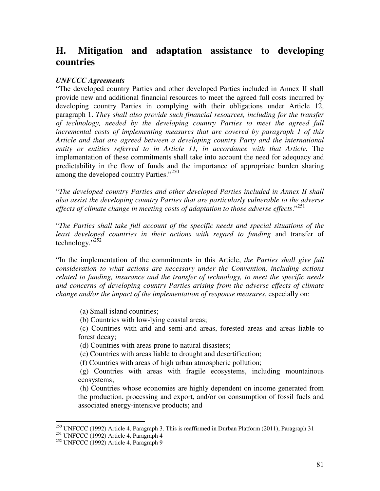# **H. Mitigation and adaptation assistance to developing countries**

### *UNFCCC Agreements*

"The developed country Parties and other developed Parties included in Annex II shall provide new and additional financial resources to meet the agreed full costs incurred by developing country Parties in complying with their obligations under Article 12, paragraph 1. *They shall also provide such financial resources, including for the transfer of technology, needed by the developing country Parties to meet the agreed full incremental costs of implementing measures that are covered by paragraph 1 of this Article and that are agreed between a developing country Party and the international entity or entities referred to in Article 11, in accordance with that Article.* The implementation of these commitments shall take into account the need for adequacy and predictability in the flow of funds and the importance of appropriate burden sharing among the developed country Parties."<sup>250</sup>

"*The developed country Parties and other developed Parties included in Annex II shall also assist the developing country Parties that are particularly vulnerable to the adverse effects of climate change in meeting costs of adaptation to those adverse effects*."<sup>251</sup>

"*The Parties shall take full account of the specific needs and special situations of the least developed countries in their actions with regard to funding* and transfer of technology."<sup>252</sup>

"In the implementation of the commitments in this Article, *the Parties shall give full consideration to what actions are necessary under the Convention, including actions related to funding, insurance and the transfer of technology, to meet the specific needs and concerns of developing country Parties arising from the adverse effects of climate change and/or the impact of the implementation of response measures*, especially on:

(a) Small island countries;

(b) Countries with low-lying coastal areas;

 (c) Countries with arid and semi-arid areas, forested areas and areas liable to forest decay;

(d) Countries with areas prone to natural disasters;

(e) Countries with areas liable to drought and desertification;

(f) Countries with areas of high urban atmospheric pollution;

 (g) Countries with areas with fragile ecosystems, including mountainous ecosystems;

 (h) Countries whose economies are highly dependent on income generated from the production, processing and export, and/or on consumption of fossil fuels and associated energy-intensive products; and

<sup>&</sup>lt;sup>250</sup> UNFCCC (1992) Article 4, Paragraph 3. This is reaffirmed in Durban Platform (2011), Paragraph 31

<sup>&</sup>lt;sup>251</sup> UNFCCC (1992) Article 4, Paragraph 4

<sup>&</sup>lt;sup>252</sup> UNFCCC (1992) Article 4, Paragraph 9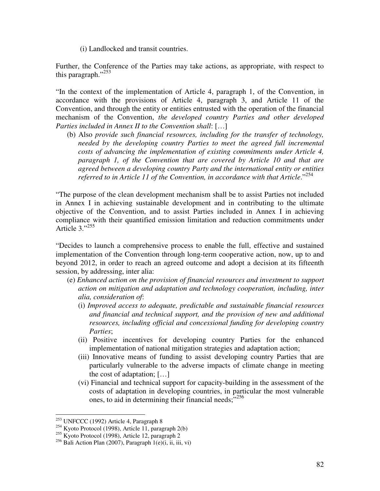(i) Landlocked and transit countries.

Further, the Conference of the Parties may take actions, as appropriate, with respect to this paragraph." $^{253}$ 

"In the context of the implementation of Article 4, paragraph 1, of the Convention, in accordance with the provisions of Article 4, paragraph 3, and Article 11 of the Convention, and through the entity or entities entrusted with the operation of the financial mechanism of the Convention, *the developed country Parties and other developed Parties included in Annex II to the Convention shall*: […]

(b) Also *provide such financial resources, including for the transfer of technology, needed by the developing country Parties to meet the agreed full incremental costs of advancing the implementation of existing commitments under Article 4, paragraph 1, of the Convention that are covered by Article 10 and that are agreed between a developing country Party and the international entity or entities referred to in Article 11 of the Convention, in accordance with that Article.*"<sup>254</sup>

"The purpose of the clean development mechanism shall be to assist Parties not included in Annex I in achieving sustainable development and in contributing to the ultimate objective of the Convention, and to assist Parties included in Annex I in achieving compliance with their quantified emission limitation and reduction commitments under Article  $3^{1,255}$ 

"Decides to launch a comprehensive process to enable the full, effective and sustained implementation of the Convention through long-term cooperative action, now, up to and beyond 2012, in order to reach an agreed outcome and adopt a decision at its fifteenth session, by addressing, inter alia:

- (e) *Enhanced action on the provision of financial resources and investment to support action on mitigation and adaptation and technology cooperation, including, inter alia, consideration of*:
	- (i) *Improved access to adequate, predictable and sustainable financial resources and financial and technical support, and the provision of new and additional resources, including official and concessional funding for developing country Parties*;
	- (ii) Positive incentives for developing country Parties for the enhanced implementation of national mitigation strategies and adaptation action;
	- (iii) Innovative means of funding to assist developing country Parties that are particularly vulnerable to the adverse impacts of climate change in meeting the cost of adaptation; […]
	- (vi) Financial and technical support for capacity-building in the assessment of the costs of adaptation in developing countries, in particular the most vulnerable ones, to aid in determining their financial needs;<sup>"256</sup>

<sup>&</sup>lt;sup>253</sup> UNFCCC (1992) Article 4, Paragraph 8

<sup>254</sup> Kyoto Protocol (1998), Article 11, paragraph 2(b)

 $^{255}$  Kyoto Protocol (1998), Article 12, paragraph 2

 $^{256}$  Bali Action Plan (2007), Paragraph 1(e)(i, ii, iii, vi)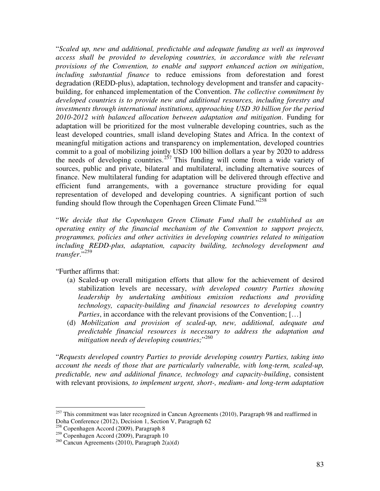"*Scaled up, new and additional, predictable and adequate funding as well as improved access shall be provided to developing countries, in accordance with the relevant provisions of the Convention, to enable and support enhanced action on mitigation*, *including substantial finance* to reduce emissions from deforestation and forest degradation (REDD-plus), adaptation, technology development and transfer and capacitybuilding, for enhanced implementation of the Convention. *The collective commitment by developed countries is to provide new and additional resources, including forestry and investments through international institutions, approaching USD 30 billion for the period 2010-2012 with balanced allocation between adaptation and mitigation*. Funding for adaptation will be prioritized for the most vulnerable developing countries, such as the least developed countries, small island developing States and Africa. In the context of meaningful mitigation actions and transparency on implementation, developed countries commit to a goal of mobilizing jointly USD 100 billion dollars a year by 2020 to address the needs of developing countries.<sup>257</sup> This funding will come from a wide variety of sources, public and private, bilateral and multilateral, including alternative sources of finance. New multilateral funding for adaptation will be delivered through effective and efficient fund arrangements, with a governance structure providing for equal representation of developed and developing countries. A significant portion of such funding should flow through the Copenhagen Green Climate Fund."<sup>258</sup>

"*We decide that the Copenhagen Green Climate Fund shall be established as an operating entity of the financial mechanism of the Convention to support projects, programmes, policies and other activities in developing countries related to mitigation including REDD-plus, adaptation, capacity building, technology development and transfer*."<sup>259</sup>

"Further affirms that:

 $\overline{a}$ 

- (a) Scaled-up overall mitigation efforts that allow for the achievement of desired stabilization levels are necessary, *with developed country Parties showing leadership by undertaking ambitious emission reductions and providing technology, capacity-building and financial resources to developing country Parties*, in accordance with the relevant provisions of the Convention; [...]
- (d) *Mobilization and provision of scaled-up, new, additional, adequate and predictable financial resources is necessary to address the adaptation and mitigation needs of developing countries;*" 260

"*Requests developed country Parties to provide developing country Parties, taking into account the needs of those that are particularly vulnerable, with long-term, scaled-up, predictable, new and additional finance, technology and capacity-building*, consistent with relevant provisions*, to implement urgent, short-, medium- and long-term adaptation* 

 $257$  This commitment was later recognized in Cancun Agreements (2010), Paragraph 98 and reaffirmed in Doha Conference (2012), Decision 1, Section V, Paragraph 62

<sup>258</sup> Copenhagen Accord (2009), Paragraph 8

<sup>259</sup> Copenhagen Accord (2009), Paragraph 10

 $^{260}$  Cancun Agreements (2010), Paragraph 2(a)(d)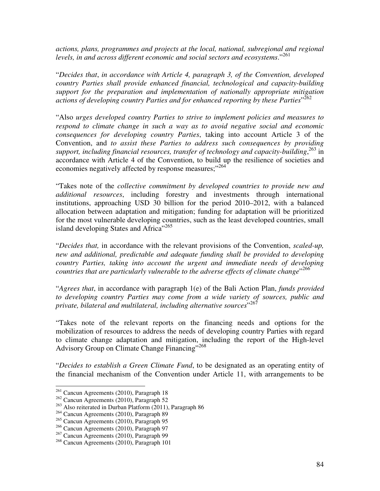*actions, plans, programmes and projects at the local, national, subregional and regional levels, in and across different economic and social sectors and ecosystems*."<sup>261</sup>

"*Decides that*, *in accordance with Article 4, paragraph 3, of the Convention, developed country Parties shall provide enhanced financial, technological and capacity-building support for the preparation and implementation of nationally appropriate mitigation actions of developing country Parties and for enhanced reporting by these Parties*" 262

"Also *urges developed country Parties to strive to implement policies and measures to respond to climate change in such a way as to avoid negative social and economic consequences for developing country Parties*, taking into account Article 3 of the Convention, and *to assist these Parties to address such consequences by providing*  support, including financial resources, transfer of technology and capacity-building,<sup>263</sup> in accordance with Article 4 of the Convention, to build up the resilience of societies and economies negatively affected by response measures;"<sup>264</sup>

"Takes note of the *collective commitment by developed countries to provide new and additional resources*, including forestry and investments through international institutions, approaching USD 30 billion for the period 2010–2012, with a balanced allocation between adaptation and mitigation; funding for adaptation will be prioritized for the most vulnerable developing countries, such as the least developed countries, small island developing States and Africa<sup> $1265$ </sup>

"*Decides that,* in accordance with the relevant provisions of the Convention, *scaled-up, new and additional, predictable and adequate funding shall be provided to developing country Parties, taking into account the urgent and immediate needs of developing countries that are particularly vulnerable to the adverse effects of climate change*" 266

"*Agrees that*, in accordance with paragraph 1(e) of the Bali Action Plan, *funds provided to developing country Parties may come from a wide variety of sources, public and private, bilateral and multilateral, including alternative sources*" 267

"Takes note of the relevant reports on the financing needs and options for the mobilization of resources to address the needs of developing country Parties with regard to climate change adaptation and mitigation, including the report of the High-level Advisory Group on Climate Change Financing"<sup>268</sup>

"*Decides to establish a Green Climate Fund*, to be designated as an operating entity of the financial mechanism of the Convention under Article 11, with arrangements to be

 $261$  Cancun Agreements (2010), Paragraph 18

<sup>262</sup> Cancun Agreements (2010), Paragraph 52

<sup>263</sup> Also reiterated in Durban Platform (2011), Paragraph 86

<sup>264</sup> Cancun Agreements (2010), Paragraph 89

<sup>265</sup> Cancun Agreements (2010), Paragraph 95

<sup>266</sup> Cancun Agreements (2010), Paragraph 97

 $267$  Cancun Agreements (2010), Paragraph 99

<sup>&</sup>lt;sup>268</sup> Cancun Agreements (2010), Paragraph 101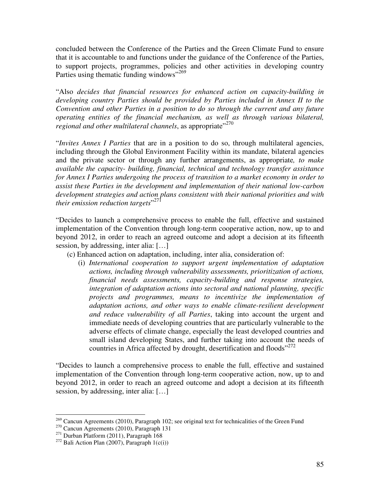concluded between the Conference of the Parties and the Green Climate Fund to ensure that it is accountable to and functions under the guidance of the Conference of the Parties, to support projects, programmes, policies and other activities in developing country Parties using thematic funding windows"<sup>269</sup>

"Also *decides that financial resources for enhanced action on capacity-building in developing country Parties should be provided by Parties included in Annex II to the Convention and other Parties in a position to do so through the current and any future operating entities of the financial mechanism, as well as through various bilateral, regional and other multilateral channels, as appropriate*<sup>270</sup>

"*Invites Annex I Parties* that are in a position to do so, through multilateral agencies, including through the Global Environment Facility within its mandate, bilateral agencies and the private sector or through any further arrangements, as appropriate*, to make available the capacity- building, financial, technical and technology transfer assistance for Annex I Parties undergoing the process of transition to a market economy in order to assist these Parties in the development and implementation of their national low-carbon development strategies and action plans consistent with their national priorities and with their emission reduction targets*" 271

"Decides to launch a comprehensive process to enable the full, effective and sustained implementation of the Convention through long-term cooperative action, now, up to and beyond 2012, in order to reach an agreed outcome and adopt a decision at its fifteenth session, by addressing, inter alia: […]

(c) Enhanced action on adaptation, including, inter alia, consideration of:

(i) *International cooperation to support urgent implementation of adaptation actions, including through vulnerability assessments, prioritization of actions, financial needs assessments, capacity-building and response strategies, integration of adaptation actions into sectoral and national planning, specific projects and programmes, means to incentivize the implementation of adaptation actions, and other ways to enable climate-resilient development and reduce vulnerability of all Parties*, taking into account the urgent and immediate needs of developing countries that are particularly vulnerable to the adverse effects of climate change, especially the least developed countries and small island developing States, and further taking into account the needs of countries in Africa affected by drought, desertification and floods"<sup>272</sup>

"Decides to launch a comprehensive process to enable the full, effective and sustained implementation of the Convention through long-term cooperative action, now, up to and beyond 2012, in order to reach an agreed outcome and adopt a decision at its fifteenth session, by addressing, inter alia: […]

<sup>270</sup> Cancun Agreements (2010), Paragraph 131

<sup>&</sup>lt;sup>269</sup> Cancun Agreements (2010), Paragraph 102; see original text for technicalities of the Green Fund

 $^{271}$  Durban Platform (2011), Paragraph 168

<sup>&</sup>lt;sup>272</sup> Bali Action Plan (2007), Paragraph  $1(c(i))$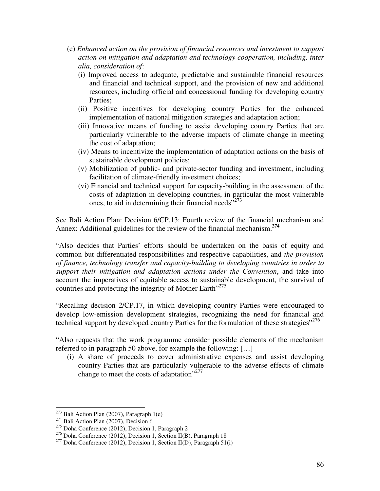- (e) *Enhanced action on the provision of financial resources and investment to support action on mitigation and adaptation and technology cooperation, including, inter alia, consideration of*:
	- (i) Improved access to adequate, predictable and sustainable financial resources and financial and technical support, and the provision of new and additional resources, including official and concessional funding for developing country Parties;
	- (ii) Positive incentives for developing country Parties for the enhanced implementation of national mitigation strategies and adaptation action;
	- (iii) Innovative means of funding to assist developing country Parties that are particularly vulnerable to the adverse impacts of climate change in meeting the cost of adaptation;
	- (iv) Means to incentivize the implementation of adaptation actions on the basis of sustainable development policies;
	- (v) Mobilization of public- and private-sector funding and investment, including facilitation of climate-friendly investment choices;
	- (vi) Financial and technical support for capacity-building in the assessment of the costs of adaptation in developing countries, in particular the most vulnerable ones, to aid in determining their financial needs"<sup>273</sup>

See Bali Action Plan: Decision 6/CP.13: Fourth review of the financial mechanism and Annex: Additional guidelines for the review of the financial mechanism.**<sup>274</sup>**

"Also decides that Parties' efforts should be undertaken on the basis of equity and common but differentiated responsibilities and respective capabilities, and *the provision of finance, technology transfer and capacity-building to developing countries in order to support their mitigation and adaptation actions under the Convention*, and take into account the imperatives of equitable access to sustainable development, the survival of countries and protecting the integrity of Mother Earth"<sup>275</sup>

"Recalling decision 2/CP.17, in which developing country Parties were encouraged to develop low-emission development strategies, recognizing the need for financial and technical support by developed country Parties for the formulation of these strategies"<sup>276</sup>

"Also requests that the work programme consider possible elements of the mechanism referred to in paragraph 50 above, for example the following: […]

(i) A share of proceeds to cover administrative expenses and assist developing country Parties that are particularly vulnerable to the adverse effects of climate change to meet the costs of adaptation".<sup>277</sup>

 $\overline{a}$  $2^{73}$  Bali Action Plan (2007), Paragraph 1(e)

<sup>274</sup> Bali Action Plan (2007), Decision 6

<sup>275</sup> Doha Conference (2012), Decision 1, Paragraph 2

<sup>&</sup>lt;sup>276</sup> Doha Conference (2012), Decision 1, Section II(B), Paragraph 18

<sup>&</sup>lt;sup>277</sup> Doha Conference (2012), Decision 1, Section II(D), Paragraph 51(i)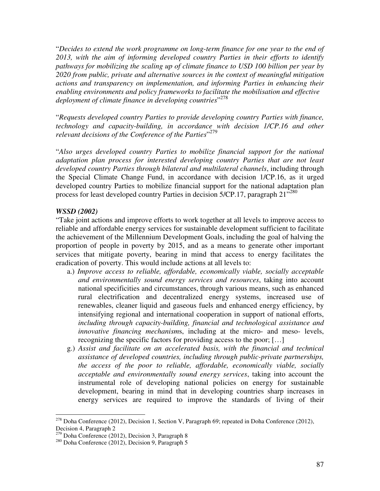"*Decides to extend the work programme on long-term finance for one year to the end of 2013, with the aim of informing developed country Parties in their efforts to identify pathways for mobilizing the scaling up of climate finance to USD 100 billion per year by 2020 from public, private and alternative sources in the context of meaningful mitigation actions and transparency on implementation, and informing Parties in enhancing their enabling environments and policy frameworks to facilitate the mobilisation and effective deployment of climate finance in developing countries*" 278

"*Requests developed country Parties to provide developing country Parties with finance, technology and capacity-building, in accordance with decision 1/CP.16 and other relevant decisions of the Conference of the Parties*" 279

"*Also urges developed country Parties to mobilize financial support for the national adaptation plan process for interested developing country Parties that are not least developed country Parties through bilateral and multilateral channels*, including through the Special Climate Change Fund, in accordance with decision 1/CP.16, as it urged developed country Parties to mobilize financial support for the national adaptation plan process for least developed country Parties in decision 5/CP.17, paragraph 21<sup>"280</sup>

### *WSSD (2002)*

 $\overline{a}$ 

"Take joint actions and improve efforts to work together at all levels to improve access to reliable and affordable energy services for sustainable development sufficient to facilitate the achievement of the Millennium Development Goals, including the goal of halving the proportion of people in poverty by 2015, and as a means to generate other important services that mitigate poverty, bearing in mind that access to energy facilitates the eradication of poverty. This would include actions at all levels to:

- a.) *Improve access to reliable, affordable, economically viable, socially acceptable and environmentally sound energy services and resources*, taking into account national specificities and circumstances, through various means, such as enhanced rural electrification and decentralized energy systems, increased use of renewables, cleaner liquid and gaseous fuels and enhanced energy efficiency, by intensifying regional and international cooperation in support of national efforts, *including through capacity-building, financial and technological assistance and innovative financing mechanism*s, including at the micro- and meso- levels, recognizing the specific factors for providing access to the poor; […]
- g.) *Assist and facilitate on an accelerated basis, with the financial and technical assistance of developed countries, including through public-private partnerships, the access of the poor to reliable, affordable, economically viable, socially acceptable and environmentally sound energy services*, taking into account the instrumental role of developing national policies on energy for sustainable development, bearing in mind that in developing countries sharp increases in energy services are required to improve the standards of living of their

<sup>&</sup>lt;sup>278</sup> Doha Conference (2012), Decision 1, Section V, Paragraph 69; repeated in Doha Conference (2012), Decision 4, Paragraph 2

 $279$  Doha Conference (2012), Decision 3, Paragraph 8

 $280$  Doha Conference (2012), Decision 9, Paragraph 5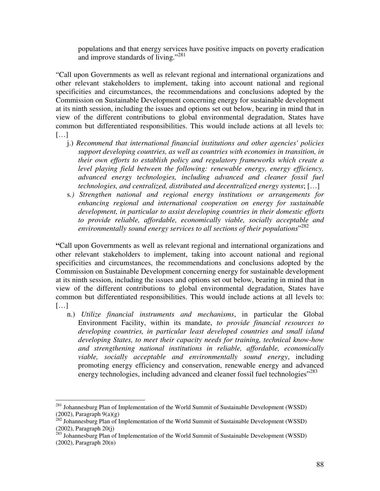populations and that energy services have positive impacts on poverty eradication and improve standards of living."<sup>281</sup>

"Call upon Governments as well as relevant regional and international organizations and other relevant stakeholders to implement, taking into account national and regional specificities and circumstances, the recommendations and conclusions adopted by the Commission on Sustainable Development concerning energy for sustainable development at its ninth session, including the issues and options set out below, bearing in mind that in view of the different contributions to global environmental degradation, States have common but differentiated responsibilities. This would include actions at all levels to: […]

- j.) *Recommend that international financial institutions and other agencies' policies support developing countries, as well as countries with economies in transition, in their own efforts to establish policy and regulatory frameworks which create a level playing field between the following: renewable energy, energy efficiency, advanced energy technologies, including advanced and cleaner fossil fuel technologies, and centralized, distributed and decentralized energy systems*; […]
- s*.) Strengthen national and regional energy institutions or arrangements for enhancing regional and international cooperation on energy for sustainable development, in particular to assist developing countries in their domestic efforts to provide reliable, affordable, economically viable, socially acceptable and environmentally sound energy services to all sections of their populations*" 282

**"**Call upon Governments as well as relevant regional and international organizations and other relevant stakeholders to implement, taking into account national and regional specificities and circumstances, the recommendations and conclusions adopted by the Commission on Sustainable Development concerning energy for sustainable development at its ninth session, including the issues and options set out below, bearing in mind that in view of the different contributions to global environmental degradation, States have common but differentiated responsibilities. This would include actions at all levels to: […]

n.) *Utilize financial instruments and mechanisms*, in particular the Global Environment Facility, within its mandate, *to provide financial resources to developing countries, in particular least developed countries and small island developing States, to meet their capacity needs for training, technical know-how and strengthening national institutions in reliable, affordable, economically viable, socially acceptable and environmentally sound energy*, including promoting energy efficiency and conservation, renewable energy and advanced energy technologies, including advanced and cleaner fossil fuel technologies"<sup>283</sup>

<sup>&</sup>lt;sup>281</sup> Johannesburg Plan of Implementation of the World Summit of Sustainable Development (WSSD)  $(2002)$ , Paragraph  $9(a)(g)$ 

<sup>282</sup> Johannesburg Plan of Implementation of the World Summit of Sustainable Development (WSSD) (2002), Paragraph 20(j)

<sup>&</sup>lt;sup>283</sup> Johannesburg Plan of Implementation of the World Summit of Sustainable Development (WSSD) (2002), Paragraph 20(n)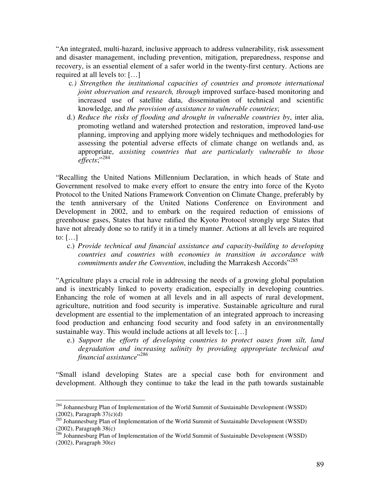"An integrated, multi-hazard, inclusive approach to address vulnerability, risk assessment and disaster management, including prevention, mitigation, preparedness, response and recovery, is an essential element of a safer world in the twenty-first century. Actions are required at all levels to: […]

- c*.) Strengthen the institutional capacities of countries and promote international joint observation and research, through* improved surface-based monitoring and increased use of satellite data, dissemination of technical and scientific knowledge*,* and *the provision of assistance to vulnerable countries*;
- d.) *Reduce the risks of flooding and drought in vulnerable countries by*, inter alia, promoting wetland and watershed protection and restoration, improved land-use planning, improving and applying more widely techniques and methodologies for assessing the potential adverse effects of climate change on wetlands and, as appropriate, *assisting countries that are particularly vulnerable to those*   $effects$ ;"<sup>284</sup>

"Recalling the United Nations Millennium Declaration, in which heads of State and Government resolved to make every effort to ensure the entry into force of the Kyoto Protocol to the United Nations Framework Convention on Climate Change, preferably by the tenth anniversary of the United Nations Conference on Environment and Development in 2002, and to embark on the required reduction of emissions of greenhouse gases, States that have ratified the Kyoto Protocol strongly urge States that have not already done so to ratify it in a timely manner. Actions at all levels are required to:  $[\ldots]$ 

c.) *Provide technical and financial assistance and capacity-building to developing countries and countries with economies in transition in accordance with commitments under the Convention*, including the Marrakesh Accords"<sup>285</sup>

"Agriculture plays a crucial role in addressing the needs of a growing global population and is inextricably linked to poverty eradication, especially in developing countries. Enhancing the role of women at all levels and in all aspects of rural development, agriculture, nutrition and food security is imperative. Sustainable agriculture and rural development are essential to the implementation of an integrated approach to increasing food production and enhancing food security and food safety in an environmentally sustainable way. This would include actions at all levels to: […]

e.) *Support the efforts of developing countries to protect oases from silt, land degradation and increasing salinity by providing appropriate technical and financial assistance*" 286

"Small island developing States are a special case both for environment and development. Although they continue to take the lead in the path towards sustainable

 $\overline{a}$ <sup>284</sup> Johannesburg Plan of Implementation of the World Summit of Sustainable Development (WSSD)  $(2002)$ , Paragraph  $37(c)(d)$ 

 $285$  Johannesburg Plan of Implementation of the World Summit of Sustainable Development (WSSD) (2002), Paragraph 38(c)

<sup>&</sup>lt;sup>286</sup> Johannesburg Plan of Implementation of the World Summit of Sustainable Development (WSSD) (2002), Paragraph 30(e)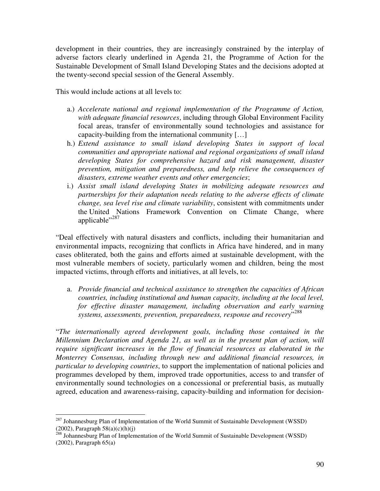development in their countries, they are increasingly constrained by the interplay of adverse factors clearly underlined in Agenda 21, the Programme of Action for the Sustainable Development of Small Island Developing States and the decisions adopted at the twenty-second special session of the General Assembly.

This would include actions at all levels to:

 $\overline{a}$ 

- a.) *Accelerate national and regional implementation of the Programme of Action, with adequate financial resources*, including through Global Environment Facility focal areas, transfer of environmentally sound technologies and assistance for capacity-building from the international community […]
- h.) *Extend assistance to small island developing States in support of local communities and appropriate national and regional organizations of small island developing States for comprehensive hazard and risk management, disaster prevention, mitigation and preparedness, and help relieve the consequences of disasters, extreme weather events and other emergencies*;
- i.) *Assist small island developing States in mobilizing adequate resources and partnerships for their adaptation needs relating to the adverse effects of climate change, sea level rise and climate variability*, consistent with commitments under the United Nations Framework Convention on Climate Change, where applicable" $287$

"Deal effectively with natural disasters and conflicts, including their humanitarian and environmental impacts, recognizing that conflicts in Africa have hindered, and in many cases obliterated, both the gains and efforts aimed at sustainable development, with the most vulnerable members of society, particularly women and children, being the most impacted victims, through efforts and initiatives, at all levels, to:

a. *Provide financial and technical assistance to strengthen the capacities of African countries, including institutional and human capacity, including at the local level, for effective disaster management, including observation and early warning systems, assessments, prevention, preparedness, response and recovery*" 288

"*The internationally agreed development goals, including those contained in the Millennium Declaration and Agenda 21, as well as in the present plan of action, will require significant increases in the flow of financial resources as elaborated in the Monterrey Consensus, including through new and additional financial resources, in particular to developing countries*, to support the implementation of national policies and programmes developed by them, improved trade opportunities, access to and transfer of environmentally sound technologies on a concessional or preferential basis, as mutually agreed, education and awareness-raising, capacity-building and information for decision-

 $^{287}$  Johannesburg Plan of Implementation of the World Summit of Sustainable Development (WSSD)  $(2002)$ , Paragraph  $58(a)(c)(h)(j)$ 

<sup>&</sup>lt;sup>288</sup> Johannesburg Plan of Implementation of the World Summit of Sustainable Development (WSSD)  $(2002)$ , Paragraph  $65(a)$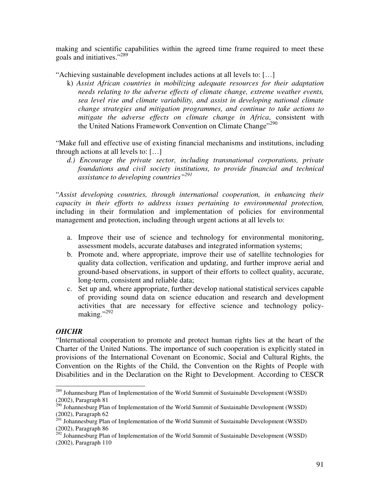making and scientific capabilities within the agreed time frame required to meet these goals and initiatives."<sup>289</sup>

"Achieving sustainable development includes actions at all levels to: […]

k) *Assist African countries in mobilizing adequate resources for their adaptation needs relating to the adverse effects of climate change, extreme weather events, sea level rise and climate variability, and assist in developing national climate change strategies and mitigation programmes, and continue to take actions to mitigate the adverse effects on climate change in Africa*, consistent with the United Nations Framework Convention on Climate Change"<sup>290</sup>

"Make full and effective use of existing financial mechanisms and institutions, including through actions at all levels to: […]

*d.) Encourage the private sector, including transnational corporations, private foundations and civil society institutions, to provide financial and technical assistance to developing countries"<sup>291</sup>*

"*Assist developing countries, through international cooperation, in enhancing their capacity in their efforts to address issues pertaining to environmental protection,*  including in their formulation and implementation of policies for environmental management and protection, including through urgent actions at all levels to:

- a. Improve their use of science and technology for environmental monitoring, assessment models, accurate databases and integrated information systems;
- b. Promote and, where appropriate, improve their use of satellite technologies for quality data collection, verification and updating, and further improve aerial and ground-based observations, in support of their efforts to collect quality, accurate, long-term, consistent and reliable data;
- c. Set up and, where appropriate, further develop national statistical services capable of providing sound data on science education and research and development activities that are necessary for effective science and technology policymaking." $^{292}$

# *OHCHR*

"International cooperation to promote and protect human rights lies at the heart of the Charter of the United Nations. The importance of such cooperation is explicitly stated in provisions of the International Covenant on Economic, Social and Cultural Rights, the Convention on the Rights of the Child, the Convention on the Rights of People with Disabilities and in the Declaration on the Right to Development. According to CESCR

 $\overline{1}$ <sup>289</sup> Johannesburg Plan of Implementation of the World Summit of Sustainable Development (WSSD) (2002), Paragraph 81

<sup>&</sup>lt;sup>290</sup> Johannesburg Plan of Implementation of the World Summit of Sustainable Development (WSSD) (2002), Paragraph 62

<sup>&</sup>lt;sup>290</sup><sub>291</sub> Johannesburg Plan of Implementation of the World Summit of Sustainable Development (WSSD) (2002), Paragraph 86

 $^{292}$  Johannesburg Plan of Implementation of the World Summit of Sustainable Development (WSSD) (2002), Paragraph 110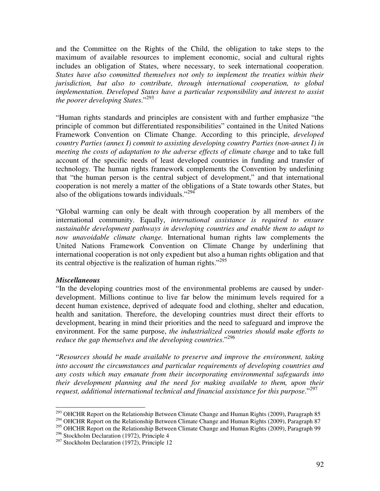and the Committee on the Rights of the Child, the obligation to take steps to the maximum of available resources to implement economic, social and cultural rights includes an obligation of States, where necessary, to seek international cooperation. *States have also committed themselves not only to implement the treaties within their jurisdiction, but also to contribute, through international cooperation, to global implementation. Developed States have a particular responsibility and interest to assist the poorer developing States*."<sup>293</sup>

"Human rights standards and principles are consistent with and further emphasize "the principle of common but differentiated responsibilities" contained in the United Nations Framework Convention on Climate Change. According to this principle, *developed country Parties (annex I) commit to assisting developing country Parties (non-annex I) in meeting the costs of adaptation to the adverse effects of climate change* and to take full account of the specific needs of least developed countries in funding and transfer of technology. The human rights framework complements the Convention by underlining that "the human person is the central subject of development," and that international cooperation is not merely a matter of the obligations of a State towards other States, but also of the obligations towards individuals." $294$ 

"Global warming can only be dealt with through cooperation by all members of the international community. Equally, *international assistance is required to ensure sustainable development pathways in developing countries and enable them to adapt to now unavoidable climate change.* International human rights law complements the United Nations Framework Convention on Climate Change by underlining that international cooperation is not only expedient but also a human rights obligation and that its central objective is the realization of human rights."<sup>295</sup>

### *Miscellaneous*

"In the developing countries most of the environmental problems are caused by underdevelopment. Millions continue to live far below the minimum levels required for a decent human existence, deprived of adequate food and clothing, shelter and education, health and sanitation. Therefore, the developing countries must direct their efforts to development, bearing in mind their priorities and the need to safeguard and improve the environment. For the same purpose, *the industrialized countries should make efforts to reduce the gap themselves and the developing countries*."<sup>296</sup>

"*Resources should be made available to preserve and improve the environment, taking into account the circumstances and particular requirements of developing countries and any costs which may emanate from their incorporating environmental safeguards into their development planning and the need for making available to them, upon their request, additional international technical and financial assistance for this purpose*."<sup>297</sup>

 $\overline{a}$ <sup>293</sup> OHCHR Report on the Relationship Between Climate Change and Human Rights (2009), Paragraph 85

<sup>&</sup>lt;sup>294</sup> OHCHR Report on the Relationship Between Climate Change and Human Rights (2009), Paragraph 87

<sup>&</sup>lt;sup>295</sup> OHCHR Report on the Relationship Between Climate Change and Human Rights (2009), Paragraph 99

<sup>&</sup>lt;sup>296</sup> Stockholm Declaration (1972), Principle 4

 $297$  Stockholm Declaration (1972), Principle 12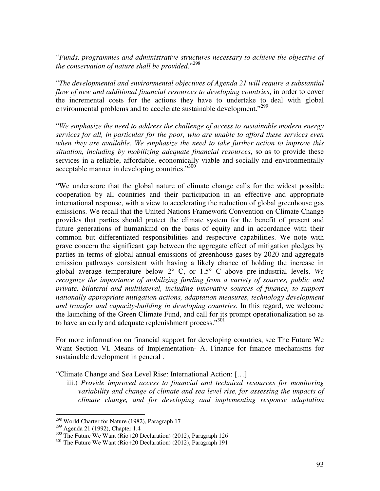"*Funds, programmes and administrative structures necessary to achieve the objective of the conservation of nature shall be provided*."<sup>298</sup>

"*The developmental and environmental objectives of Agenda 21 will require a substantial flow of new and additional financial resources to developing countries*, in order to cover the incremental costs for the actions they have to undertake to deal with global environmental problems and to accelerate sustainable development."<sup>299</sup>

"*We emphasize the need to address the challenge of access to sustainable modern energy services for all, in particular for the poor, who are unable to afford these services even when they are available*. *We emphasize the need to take further action to improve this situation, including by mobilizing adequate financial resources*, so as to provide these services in a reliable, affordable, economically viable and socially and environmentally acceptable manner in developing countries."<sup>300</sup>

"We underscore that the global nature of climate change calls for the widest possible cooperation by all countries and their participation in an effective and appropriate international response, with a view to accelerating the reduction of global greenhouse gas emissions. We recall that the United Nations Framework Convention on Climate Change provides that parties should protect the climate system for the benefit of present and future generations of humankind on the basis of equity and in accordance with their common but differentiated responsibilities and respective capabilities. We note with grave concern the significant gap between the aggregate effect of mitigation pledges by parties in terms of global annual emissions of greenhouse gases by 2020 and aggregate emission pathways consistent with having a likely chance of holding the increase in global average temperature below 2° C, or 1.5° C above pre-industrial levels. *We recognize the importance of mobilizing funding from a variety of sources, public and private, bilateral and multilateral, including innovative sources of finance, to support nationally appropriate mitigation actions, adaptation measures, technology development and transfer and capacity-building in developing countries*. In this regard, we welcome the launching of the Green Climate Fund, and call for its prompt operationalization so as to have an early and adequate replenishment process."<sup>301</sup>

For more information on financial support for developing countries, see The Future We Want Section VI. Means of Implementation- A. Finance for finance mechanisms for sustainable development in general .

"Climate Change and Sea Level Rise: International Action: […]

iii.) *Provide improved access to financial and technical resources for monitoring variability and change of climate and sea level rise, for assessing the impacts of climate change, and for developing and implementing response adaptation* 

<sup>&</sup>lt;sup>298</sup> World Charter for Nature (1982), Paragraph 17

<sup>299</sup> Agenda 21 (1992), Chapter 1.4

 $300$  The Future We Want (Rio+20 Declaration) (2012), Paragraph 126

 $301$  The Future We Want (Rio+20 Declaration) (2012), Paragraph 191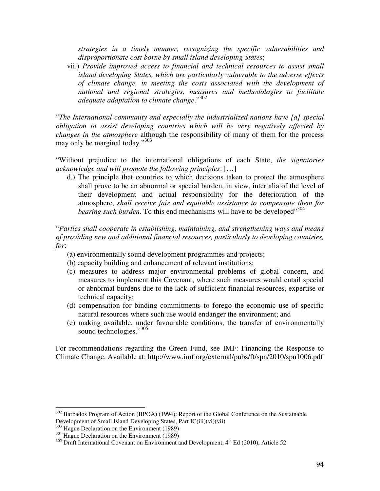*strategies in a timely manner, recognizing the specific vulnerabilities and disproportionate cost borne by small island developing States*;

vii.) *Provide improved access to financial and technical resources to assist small island developing States, which are particularly vulnerable to the adverse effects of climate change, in meeting the costs associated with the development of national and regional strategies, measures and methodologies to facilitate adequate adaptation to climate change*."<sup>302</sup>

"*The International community and especially the industrialized nations have [a] special obligation to assist developing countries which will be very negatively affected by changes in the atmosphere* although the responsibility of many of them for the process may only be marginal today."<sup>303</sup>

"Without prejudice to the international obligations of each State, *the signatories acknowledge and will promote the following principles*: […]

d.) The principle that countries to which decisions taken to protect the atmosphere shall prove to be an abnormal or special burden, in view, inter alia of the level of their development and actual responsibility for the deterioration of the atmosphere, *shall receive fair and equitable assistance to compensate them for bearing such burden*. To this end mechanisms will have to be developed<sup>"304</sup>

"*Parties shall cooperate in establishing, maintaining, and strengthening ways and means of providing new and additional financial resources, particularly to developing countries, for*:

- (a) environmentally sound development programmes and projects;
- (b) capacity building and enhancement of relevant institutions;
- (c) measures to address major environmental problems of global concern, and measures to implement this Covenant, where such measures would entail special or abnormal burdens due to the lack of sufficient financial resources, expertise or technical capacity;
- (d) compensation for binding commitments to forego the economic use of specific natural resources where such use would endanger the environment; and
- (e) making available, under favourable conditions, the transfer of environmentally sound technologies."<sup>305</sup>

For recommendations regarding the Green Fund, see IMF: Financing the Response to Climate Change. Available at: http://www.imf.org/external/pubs/ft/spn/2010/spn1006.pdf

<sup>&</sup>lt;sup>302</sup> Barbados Program of Action (BPOA) (1994): Report of the Global Conference on the Sustainable Development of Small Island Developing States, Part IC(iii)(vi)(vii)

<sup>&</sup>lt;sup>303</sup> Hague Declaration on the Environment (1989)

 $304$  Hague Declaration on the Environment (1989)

 $305$  Draft International Covenant on Environment and Development,  $4<sup>th</sup>$  Ed (2010), Article 52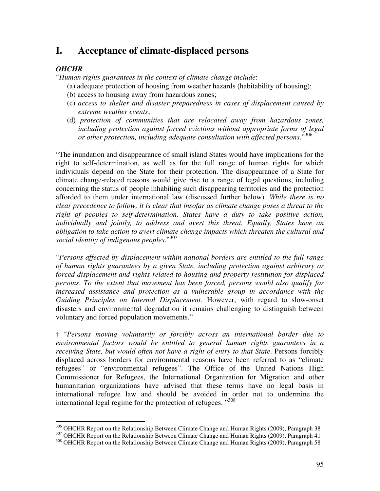# **I. Acceptance of climate-displaced persons**

# *OHCHR*

 $\overline{a}$ 

"*Human rights guarantees in the context of climate change include*:

- (a) adequate protection of housing from weather hazards (habitability of housing);
- (b) access to housing away from hazardous zones;
- (c) *access to shelter and disaster preparedness in cases of displacement caused by extreme weather events*;
- (d) *protection of communities that are relocated away from hazardous zones, including protection against forced evictions without appropriate forms of legal or other protection, including adequate consultation with affected persons*."<sup>306</sup>

"The inundation and disappearance of small island States would have implications for the right to self-determination, as well as for the full range of human rights for which individuals depend on the State for their protection. The disappearance of a State for climate change-related reasons would give rise to a range of legal questions, including concerning the status of people inhabiting such disappearing territories and the protection afforded to them under international law (discussed further below). *While there is no clear precedence to follow, it is clear that insofar as climate change poses a threat to the right of peoples to self-determination, States have a duty to take positive action, individually and jointly, to address and avert this threat. Equally, States have an obligation to take action to avert climate change impacts which threaten the cultural and social identity of indigenous peoples*."<sup>307</sup>

"*Persons affected by displacement within national borders are entitled to the full range of human rights guarantees by a given State, including protection against arbitrary or forced displacement and rights related to housing and property restitution for displaced persons*. *To the extent that movement has been forced, persons would also qualify for increased assistance and protection as a vulnerable group in accordance with the Guiding Principles on Internal Displacement.* However, with regard to slow-onset disasters and environmental degradation it remains challenging to distinguish between voluntary and forced population movements."

† "*Persons moving voluntarily or forcibly across an international border due to environmental factors would be entitled to general human rights guarantees in a receiving State, but would often not have a right of entry to that State*. Persons forcibly displaced across borders for environmental reasons have been referred to as "climate refugees" or "environmental refugees". The Office of the United Nations High Commissioner for Refugees, the International Organization for Migration and other humanitarian organizations have advised that these terms have no legal basis in international refugee law and should be avoided in order not to undermine the international legal regime for the protection of refugees. "<sup>308</sup>

<sup>&</sup>lt;sup>306</sup> OHCHR Report on the Relationship Between Climate Change and Human Rights (2009), Paragraph 38 <sup>307</sup> OHCHR Report on the Relationship Between Climate Change and Human Rights (2009), Paragraph 41

<sup>&</sup>lt;sup>308</sup> OHCHR Report on the Relationship Between Climate Change and Human Rights (2009), Paragraph 58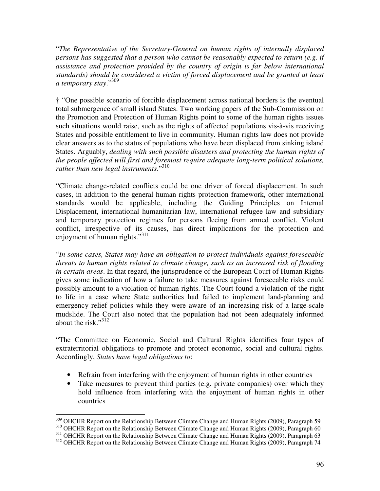"*The Representative of the Secretary-General on human rights of internally displaced persons has suggested that a person who cannot be reasonably expected to return (e.g. if assistance and protection provided by the country of origin is far below international standards) should be considered a victim of forced displacement and be granted at least a temporary stay*."<sup>309</sup>

† "One possible scenario of forcible displacement across national borders is the eventual total submergence of small island States. Two working papers of the Sub-Commission on the Promotion and Protection of Human Rights point to some of the human rights issues such situations would raise, such as the rights of affected populations vis-à-vis receiving States and possible entitlement to live in community. Human rights law does not provide clear answers as to the status of populations who have been displaced from sinking island States. Arguably, *dealing with such possible disasters and protecting the human rights of the people affected will first and foremost require adequate long-term political solutions, rather than new legal instruments*."<sup>310</sup>

"Climate change-related conflicts could be one driver of forced displacement. In such cases, in addition to the general human rights protection framework, other international standards would be applicable, including the Guiding Principles on Internal Displacement, international humanitarian law, international refugee law and subsidiary and temporary protection regimes for persons fleeing from armed conflict. Violent conflict, irrespective of its causes, has direct implications for the protection and enjoyment of human rights."<sup>311</sup>

"*In some cases, States may have an obligation to protect individuals against foreseeable threats to human rights related to climate change, such as an increased risk of flooding in certain areas*. In that regard, the jurisprudence of the European Court of Human Rights gives some indication of how a failure to take measures against foreseeable risks could possibly amount to a violation of human rights. The Court found a violation of the right to life in a case where State authorities had failed to implement land-planning and emergency relief policies while they were aware of an increasing risk of a large-scale mudslide. The Court also noted that the population had not been adequately informed about the risk." $312$ 

"The Committee on Economic, Social and Cultural Rights identifies four types of extraterritorial obligations to promote and protect economic, social and cultural rights. Accordingly, *States have legal obligations to*:

- Refrain from interfering with the enjoyment of human rights in other countries
- Take measures to prevent third parties (e.g. private companies) over which they hold influence from interfering with the enjoyment of human rights in other countries

 $\overline{a}$ <sup>309</sup> OHCHR Report on the Relationship Between Climate Change and Human Rights (2009), Paragraph 59 <sup>310</sup> OHCHR Report on the Relationship Between Climate Change and Human Rights (2009), Paragraph 60 <sup>311</sup> OHCHR Report on the Relationship Between Climate Change and Human Rights (2009), Paragraph 63

<sup>&</sup>lt;sup>312</sup> OHCHR Report on the Relationship Between Climate Change and Human Rights (2009), Paragraph 74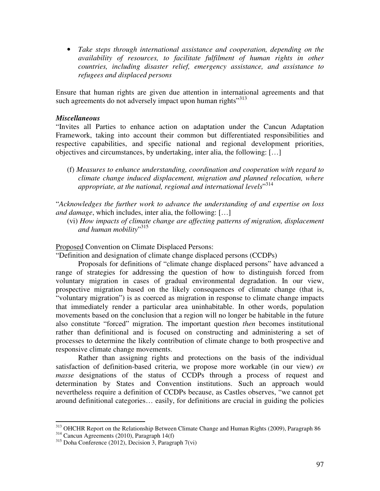• *Take steps through international assistance and cooperation, depending on the availability of resources, to facilitate fulfilment of human rights in other countries, including disaster relief, emergency assistance, and assistance to refugees and displaced persons* 

Ensure that human rights are given due attention in international agreements and that such agreements do not adversely impact upon human rights<sup>313</sup>

### *Miscellaneous*

"Invites all Parties to enhance action on adaptation under the Cancun Adaptation Framework, taking into account their common but differentiated responsibilities and respective capabilities, and specific national and regional development priorities, objectives and circumstances, by undertaking, inter alia, the following: […]

(f) *Measures to enhance understanding, coordination and cooperation with regard to climate change induced displacement, migration and planned relocation, where appropriate, at the national, regional and international levels*" 314

"*Acknowledges the further work to advance the understanding of and expertise on loss and damage*, which includes, inter alia, the following: […]

(vi) *How impacts of climate change are affecting patterns of migration, displacement and human mobility*" 315

Proposed Convention on Climate Displaced Persons:

"Definition and designation of climate change displaced persons (CCDPs)

Proposals for definitions of "climate change displaced persons" have advanced a range of strategies for addressing the question of how to distinguish forced from voluntary migration in cases of gradual environmental degradation. In our view, prospective migration based on the likely consequences of climate change (that is, "voluntary migration") is as coerced as migration in response to climate change impacts that immediately render a particular area uninhabitable. In other words, population movements based on the conclusion that a region will no longer be habitable in the future also constitute "forced" migration. The important question *then* becomes institutional rather than definitional and is focused on constructing and administering a set of processes to determine the likely contribution of climate change to both prospective and responsive climate change movements.

Rather than assigning rights and protections on the basis of the individual satisfaction of definition-based criteria, we propose more workable (in our view) *en masse* designations of the status of CCDPs through a process of request and determination by States and Convention institutions. Such an approach would nevertheless require a definition of CCDPs because, as Castles observes, "we cannot get around definitional categories… easily, for definitions are crucial in guiding the policies

 $\overline{a}$ <sup>313</sup> OHCHR Report on the Relationship Between Climate Change and Human Rights (2009), Paragraph 86  $314$  Cancun Agreements (2010), Paragraph 14(f)

 $315$  Doha Conference (2012), Decision 3, Paragraph 7(vi)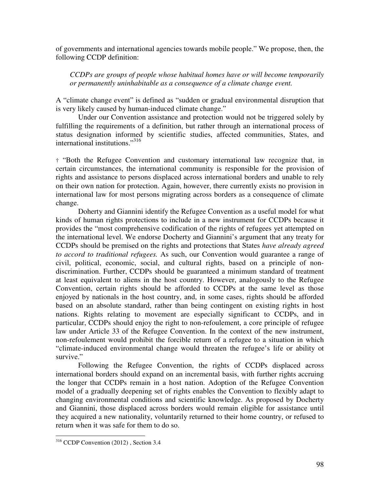of governments and international agencies towards mobile people." We propose, then, the following CCDP definition:

*CCDPs are groups of people whose habitual homes have or will become temporarily or permanently uninhabitable as a consequence of a climate change event.* 

A "climate change event" is defined as "sudden or gradual environmental disruption that is very likely caused by human-induced climate change."

Under our Convention assistance and protection would not be triggered solely by fulfilling the requirements of a definition, but rather through an international process of status designation informed by scientific studies, affected communities, States, and international institutions."<sup>316</sup>

† "Both the Refugee Convention and customary international law recognize that, in certain circumstances, the international community is responsible for the provision of rights and assistance to persons displaced across international borders and unable to rely on their own nation for protection. Again, however, there currently exists no provision in international law for most persons migrating across borders as a consequence of climate change.

Doherty and Giannini identify the Refugee Convention as a useful model for what kinds of human rights protections to include in a new instrument for CCDPs because it provides the "most comprehensive codification of the rights of refugees yet attempted on the international level. We endorse Docherty and Giannini's argument that any treaty for CCDPs should be premised on the rights and protections that States *have already agreed to accord to traditional refugees.* As such, our Convention would guarantee a range of civil, political, economic, social, and cultural rights, based on a principle of nondiscrimination. Further, CCDPs should be guaranteed a minimum standard of treatment at least equivalent to aliens in the host country. However, analogously to the Refugee Convention, certain rights should be afforded to CCDPs at the same level as those enjoyed by nationals in the host country, and, in some cases, rights should be afforded based on an absolute standard, rather than being contingent on existing rights in host nations. Rights relating to movement are especially significant to CCDPs, and in particular, CCDPs should enjoy the right to non-refoulement, a core principle of refugee law under Article 33 of the Refugee Convention. In the context of the new instrument, non-refoulement would prohibit the forcible return of a refugee to a situation in which "climate-induced environmental change would threaten the refugee's life or ability ot survive."

Following the Refugee Convention, the rights of CCDPs displaced across international borders should expand on an incremental basis, with further rights accruing the longer that CCDPs remain in a host nation. Adoption of the Refugee Convention model of a gradually deepening set of rights enables the Convention to flexibly adapt to changing environmental conditions and scientific knowledge. As proposed by Docherty and Giannini, those displaced across borders would remain eligible for assistance until they acquired a new nationality, voluntarily returned to their home country, or refused to return when it was safe for them to do so.

<sup>316</sup> CCDP Convention (2012) , Section 3.4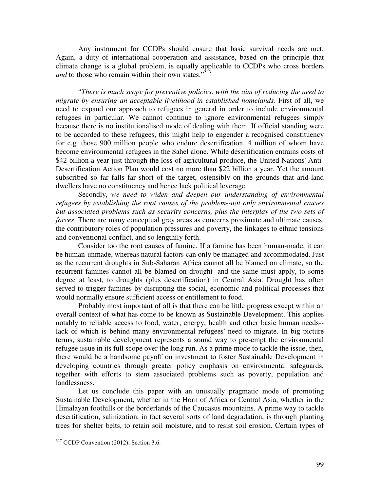Any instrument for CCDPs should ensure that basic survival needs are met. Again, a duty of international cooperation and assistance, based on the principle that climate change is a global problem, is equally applicable to CCDPs who cross borders *and* to those who remain within their own states."<sup>317</sup>

"*There is much scope for preventive policies, with the aim of reducing the need to migrate by ensuring an acceptable livelihood in established homelands*. First of all, we need to expand our approach to refugees in general in order to include environmental refugees in particular. We cannot continue to ignore environmental refugees simply because there is no institutionalised mode of dealing with them. If official standing were to be accorded to these refugees, this might help to engender a recognised constituency for e.g. those 900 million people who endure desertification, 4 million of whom have become environmental refugees in the Sahel alone. While desertification entrains costs of \$42 billion a year just through the loss of agricultural produce, the United Nations' Anti-Desertification Action Plan would cost no more than \$22 billion a year. Yet the amount subscribed so far falls far short of the target, ostensibly on the grounds that arid-land dwellers have no constituency and hence lack political leverage.

Secondly, *we need to widen and deepen our understanding of environmental refugees by establishing the root causes of the problem--not only environmental causes*  but associated problems such as security concerns, plus the interplay of the two sets of *forces*. There are many conceptual grey areas as concerns proximate and ultimate causes, the contributory roles of population pressures and poverty, the linkages to ethnic tensions and conventional conflict, and so lengthily forth.

Consider too the root causes of famine. If a famine has been human-made, it can be human-unmade, whereas natural factors can only be managed and accommodated. Just as the recurrent droughts in Sub-Saharan Africa cannot all be blamed on climate, so the recurrent famines cannot all be blamed on drought--and the same must apply, to some degree at least, to droughts (plus desertification) in Central Asia. Drought has often served to trigger famines by disrupting the social, economic and political processes that would normally ensure sufficient access or entitlement to food.

Probably most important of all is that there can be little progress except within an overall context of what has come to be known as Sustainable Development. This applies notably to reliable access to food, water, energy, health and other basic human needs- lack of which is behind many environmental refugees' need to migrate. In big picture terms, sustainable development represents a sound way to pre-empt the environmental refugee issue in its full scope over the long run. As a prime mode to tackle the issue, then, there would be a handsome payoff on investment to foster Sustainable Development in developing countries through greater policy emphasis on environmental safeguards, together with efforts to stem associated problems such as poverty, population and landlessness.

 Let us conclude this paper with an unusually pragmatic mode of promoting Sustainable Development, whether in the Horn of Africa or Central Asia, whether in the Himalayan foothills or the borderlands of the Caucasus mountains. A prime way to tackle desertification, salinization, in fact several sorts of land degradation, is through planting trees for shelter belts, to retain soil moisture, and to resist soil erosion. Certain types of

<sup>&</sup>lt;sup>317</sup> CCDP Convention (2012), Section 3.6.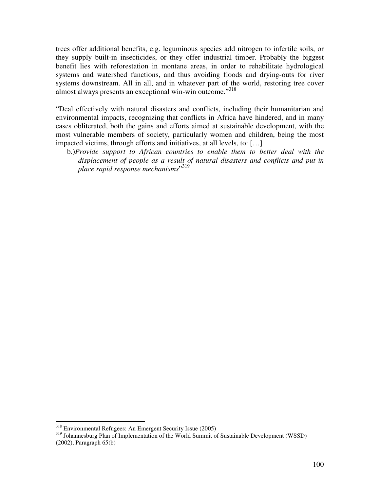trees offer additional benefits, e.g. leguminous species add nitrogen to infertile soils, or they supply built-in insecticides, or they offer industrial timber. Probably the biggest benefit lies with reforestation in montane areas, in order to rehabilitate hydrological systems and watershed functions, and thus avoiding floods and drying-outs for river systems downstream. All in all, and in whatever part of the world, restoring tree cover almost always presents an exceptional win-win outcome."<sup>318</sup>

"Deal effectively with natural disasters and conflicts, including their humanitarian and environmental impacts, recognizing that conflicts in Africa have hindered, and in many cases obliterated, both the gains and efforts aimed at sustainable development, with the most vulnerable members of society, particularly women and children, being the most impacted victims, through efforts and initiatives, at all levels, to: […]

b.)*Provide support to African countries to enable them to better deal with the*  displacement of people as a result of natural disasters and conflicts and put in *place rapid response mechanisms*" 319

 $\overline{a}$ <sup>318</sup> Environmental Refugees: An Emergent Security Issue (2005)

<sup>319</sup> Johannesburg Plan of Implementation of the World Summit of Sustainable Development (WSSD) (2002), Paragraph 65(b)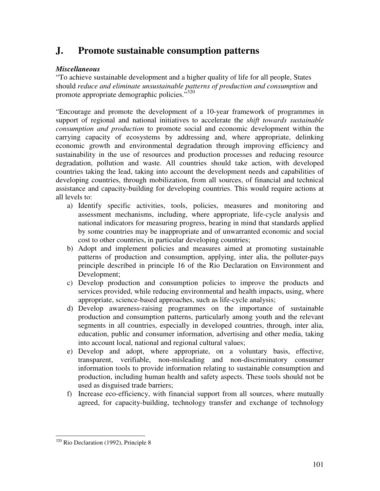# **J. Promote sustainable consumption patterns**

# *Miscellaneous*

"To achieve sustainable development and a higher quality of life for all people, States should *reduce and eliminate unsustainable patterns of production and consumption* and promote appropriate demographic policies."<sup>320</sup>

"Encourage and promote the development of a 10-year framework of programmes in support of regional and national initiatives to accelerate the *shift towards sustainable consumption and production* to promote social and economic development within the carrying capacity of ecosystems by addressing and, where appropriate, delinking economic growth and environmental degradation through improving efficiency and sustainability in the use of resources and production processes and reducing resource degradation, pollution and waste. All countries should take action, with developed countries taking the lead, taking into account the development needs and capabilities of developing countries, through mobilization, from all sources, of financial and technical assistance and capacity-building for developing countries. This would require actions at all levels to:

- a) Identify specific activities, tools, policies, measures and monitoring and assessment mechanisms, including, where appropriate, life-cycle analysis and national indicators for measuring progress, bearing in mind that standards applied by some countries may be inappropriate and of unwarranted economic and social cost to other countries, in particular developing countries;
- b) Adopt and implement policies and measures aimed at promoting sustainable patterns of production and consumption, applying, inter alia, the polluter-pays principle described in principle 16 of the Rio Declaration on Environment and Development;
- c) Develop production and consumption policies to improve the products and services provided, while reducing environmental and health impacts, using, where appropriate, science-based approaches, such as life-cycle analysis;
- d) Develop awareness-raising programmes on the importance of sustainable production and consumption patterns, particularly among youth and the relevant segments in all countries, especially in developed countries, through, inter alia, education, public and consumer information, advertising and other media, taking into account local, national and regional cultural values;
- e) Develop and adopt, where appropriate, on a voluntary basis, effective, transparent, verifiable, non-misleading and non-discriminatory consumer information tools to provide information relating to sustainable consumption and production, including human health and safety aspects. These tools should not be used as disguised trade barriers;
- f) Increase eco-efficiency, with financial support from all sources, where mutually agreed, for capacity-building, technology transfer and exchange of technology

 $\overline{a}$ <sup>320</sup> Rio Declaration (1992), Principle 8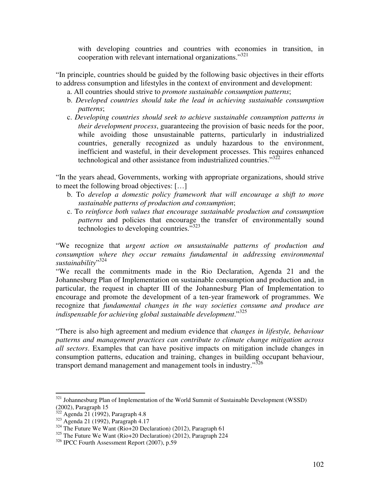with developing countries and countries with economies in transition, in cooperation with relevant international organizations."<sup>321</sup>

"In principle, countries should be guided by the following basic objectives in their efforts to address consumption and lifestyles in the context of environment and development:

a. All countries should strive to *promote sustainable consumption patterns*;

- b. *Developed countries should take the lead in achieving sustainable consumption patterns*;
- c. *Developing countries should seek to achieve sustainable consumption patterns in their development process*, guaranteeing the provision of basic needs for the poor, while avoiding those unsustainable patterns, particularly in industrialized countries, generally recognized as unduly hazardous to the environment, inefficient and wasteful, in their development processes. This requires enhanced technological and other assistance from industrialized countries."<sup>322</sup>

"In the years ahead, Governments, working with appropriate organizations, should strive to meet the following broad objectives: […]

- b. To *develop a domestic policy framework that will encourage a shift to more sustainable patterns of production and consumption*;
- c. To *reinforce both values that encourage sustainable production and consumption patterns* and policies that encourage the transfer of environmentally sound technologies to developing countries."<sup>323</sup>

"We recognize that *urgent action on unsustainable patterns of production and consumption where they occur remains fundamental in addressing environmental*  sustainability"<sup>324</sup>

"We recall the commitments made in the Rio Declaration, Agenda 21 and the Johannesburg Plan of Implementation on sustainable consumption and production and, in particular, the request in chapter III of the Johannesburg Plan of Implementation to encourage and promote the development of a ten-year framework of programmes. We recognize that *fundamental changes in the way societies consume and produce are indispensable for achieving global sustainable development*."<sup>325</sup>

"There is also high agreement and medium evidence that *changes in lifestyle, behaviour patterns and management practices can contribute to climate change mitigation across all sectors*. Examples that can have positive impacts on mitigation include changes in consumption patterns, education and training, changes in building occupant behaviour, transport demand management and management tools in industry."<sup>326</sup>

 $\overline{a}$  $321$  Johannesburg Plan of Implementation of the World Summit of Sustainable Development (WSSD)  $(2002)$ , Paragraph 15

 $2^{2}$  Agenda 21 (1992), Paragraph 4.8

<sup>323</sup> Agenda 21 (1992), Paragraph 4.17

 $324$  The Future We Want (Rio+20 Declaration) (2012), Paragraph 61

 $325$  The Future We Want (Rio+20 Declaration) (2012), Paragraph 224

<sup>&</sup>lt;sup>326</sup> IPCC Fourth Assessment Report (2007), p.59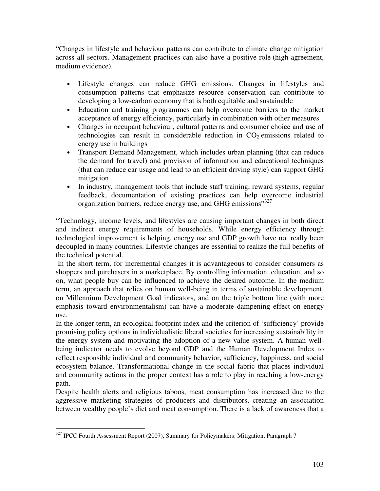"Changes in lifestyle and behaviour patterns can contribute to climate change mitigation across all sectors. Management practices can also have a positive role (high agreement, medium evidence).

- Lifestyle changes can reduce GHG emissions. Changes in lifestyles and consumption patterns that emphasize resource conservation can contribute to developing a low-carbon economy that is both equitable and sustainable
- Education and training programmes can help overcome barriers to the market acceptance of energy efficiency, particularly in combination with other measures
- Changes in occupant behaviour, cultural patterns and consumer choice and use of technologies can result in considerable reduction in  $CO<sub>2</sub>$  emissions related to energy use in buildings
- Transport Demand Management, which includes urban planning (that can reduce the demand for travel) and provision of information and educational techniques (that can reduce car usage and lead to an efficient driving style) can support GHG mitigation
- In industry, management tools that include staff training, reward systems, regular feedback, documentation of existing practices can help overcome industrial organization barriers, reduce energy use, and GHG emissions"<sup>327</sup>

"Technology, income levels, and lifestyles are causing important changes in both direct and indirect energy requirements of households. While energy efficiency through technological improvement is helping, energy use and GDP growth have not really been decoupled in many countries. Lifestyle changes are essential to realize the full benefits of the technical potential.

 In the short term, for incremental changes it is advantageous to consider consumers as shoppers and purchasers in a marketplace. By controlling information, education, and so on, what people buy can be influenced to achieve the desired outcome. In the medium term, an approach that relies on human well-being in terms of sustainable development, on Millennium Development Goal indicators, and on the triple bottom line (with more emphasis toward environmentalism) can have a moderate dampening effect on energy use.

In the longer term, an ecological footprint index and the criterion of 'sufficiency' provide promising policy options in individualistic liberal societies for increasing sustainability in the energy system and motivating the adoption of a new value system. A human wellbeing indicator needs to evolve beyond GDP and the Human Development Index to reflect responsible individual and community behavior, sufficiency, happiness, and social ecosystem balance. Transformational change in the social fabric that places individual and community actions in the proper context has a role to play in reaching a low-energy path.

Despite health alerts and religious taboos, meat consumption has increased due to the aggressive marketing strategies of producers and distributors, creating an association between wealthy people's diet and meat consumption. There is a lack of awareness that a

 $\overline{a}$ <sup>327</sup> IPCC Fourth Assessment Report (2007), Summary for Policymakers: Mitigation, Paragraph 7